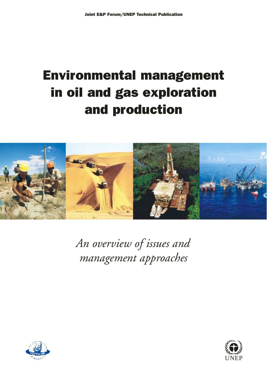## Environmental management in oil and gas exploration and production



*An overview of issues and management approaches*



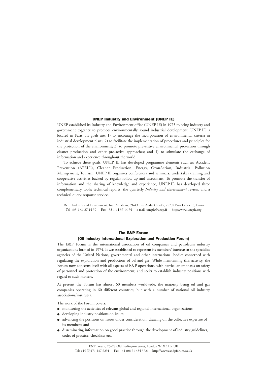#### UNEP Industry and Environment (UNEP IE)

UNEP established its Industry and Environment office (UNEP IE) in 1975 to bring industry and government together to promote environmentally sound industrial development. UNEP IE is located in Paris. Its goals are: 1) to encourage the incorporation of environmental criteria in industrial development plans; 2) to facilitate the implementation of procedures and principles for the protection of the environment; 3) to promote preventive environmental protection through cleaner production and other pro-active approaches; and 4) to stimulate the exchange of information and experience throughout the world.

To achieve these goals, UNEP IE has developed programme elements such as: Accident Prevention (APELL), Cleaner Production, Energy, OzonAction, Industrial Pollution Management, Tourism. UNEP IE organizes conferences and seminars, undertakes training and cooperative activities backed by regular follow-up and assessment. To promote the transfer of information and the sharing of knowledge and experience, UNEP IE has developed three complementary tools: technical reports, the quarterly *Industry and Environment* review, and a technical query-response service.

UNEP Industry and Environment, Tour Mirabeau, 39–43 quai André Citroën, 75739 Paris Cedex 15, France Tel: +33 1 44 37 14 50 Fax: +33 1 44 37 14 74 e-mail: unepie@unep.fr http://www.unepie.org

#### The E&P Forum (Oil Industry International Exploration and Production Forum)

The E&P Forum is the international association of oil companies and petroleum industry organizations formed in 1974. It was established to represent its members' interests at the specialist agencies of the United Nations, governmental and other international bodies concerned with regulating the exploration and production of oil and gas. While maintaining this activity, the Forum now concerns itself with all aspects of E&P operations, with particular emphasis on safety of personnel and protection of the environment, and seeks to establish industry positions with regard to such matters.

At present the Forum has almost 60 members worldwide, the majority being oil and gas companies operating in 60 different countries, but with a number of national oil industry associations/institutes.

The work of the Forum covers:

- monitoring the activities of relevant global and regional international organizations;
- developing industry positions on issues:
- advancing the positions on issues under consideration, drawing on the collective expertise of its members; and
- disseminating information on good practice through the development of industry guidelines, codes of practice, checklists etc.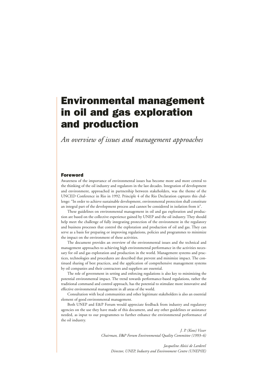### Environmental management in oil and gas exploration and production

*An overview of issues and management approaches*

#### Foreword

Awareness of the importance of environmental issues has become more and more central to the thinking of the oil industry and regulators in the last decades. Integration of development and environment, approached in partnership between stakeholders, was the theme of the UNCED Conference in Rio in 1992. Principle 4 of the Rio Declaration captures this challenge: "In order to achieve sustainable development, environmental protection shall constitute an integral part of the development process and cannot be considered in isolation from it".

These guidelines on environmental management in oil and gas exploration and production are based on the collective experience gained by UNEP and the oil industry. They should help meet the challenge of fully integrating protection of the environment in the regulatory and business processes that control the exploration and production of oil and gas. They can serve as a basis for preparing or improving regulations, policies and programmes to minimize the impact on the environment of these activities.

The document provides an overview of the environmental issues and the technical and management approaches to achieving high environmental performance in the activities necessary for oil and gas exploration and production in the world. Management systems and practices, technologies and procedures are described that prevent and minimize impact. The continued sharing of best practices, and the application of comprehensive management systems by oil companies and their contractors and suppliers are essential.

The role of government in setting and enforcing regulations is also key to minimizing the potential environmental impact. The trend towards performance-based regulations, rather the traditional command and control approach, has the potential to stimulate more innovative and effective environmental management in all areas of the world.

Consultation with local communities and other legitimate stakeholders is also an essential element of good environmental management.

Both UNEP and E&P Forum would appreciate feedback from industry and regulatory agencies on the use they have made of this document, and any other guidelines or assistance needed, as input to our programmes to further enhance the environmental performance of the oil industry.

> *J. P. (Koos) Visser Chairman, E&P Forum Environmental Quality Committee (1993–6)*

*Jacqueline Aloisi de Larderel Director, UNEP, Industry and Environment Centre (UNEP/IE)*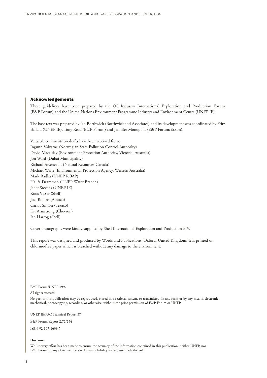#### Acknowledgements

These guidelines have been prepared by the Oil Industry International Exploration and Production Forum (E&P Forum) and the United Nations Environment Programme Industry and Environment Centre (UNEP IE).

The base text was prepared by Ian Borthwick (Borthwick and Associates) and its development was coordinated by Fritz Balkau (UNEP IE), Tony Read (E&P Forum) and Jennifer Monopolis (E&P Forum/Exxon).

Valuable comments on drafts have been received from: Ingunn Valvatne (Norwegian State Pollution Control Authority) David Macaulay (Environment Protection Authority, Victoria, Australia) Jon Ward (Dubai Municipality) Richard Arseneault (Natural Resources Canada) Michael Waite (Environmental Protection Agency, Western Australia) Mark Radka (UNEP ROAP) Halifa Drammeh (UNEP Water Branch) Janet Stevens (UNEP IE) Koos Visser (Shell) Joel Robins (Amoco) Carlos Simon (Texaco) Kit Armstrong (Chevron) Jan Hartog (Shell)

Cover photographs were kindly supplied by Shell International Exploration and Production B.V.

This report was designed and produced by Words and Publications, Oxford, United Kingdom. It is printed on chlorine-free paper which is bleached without any damage to the environment.

E&P Forum/UNEP 1997

All rights reserved.

No part of this publication may be reproduced, stored in a retrieval system, or transmitted, in any form or by any means, electronic, mechanical, photocopying, recording, or otherwise, without the prior permission of E&P Forum or UNEP.

UNEP IE/PAC Technical Report 37

E&P Forum Report 2.72/254

ISBN 92-807-1639-5

**Disclaimer**

Whilst every effort has been made to ensure the accuracy of the information contained in this publication, neither UNEP, nor E&P Forum or any of its members will assume liability for any use made thereof.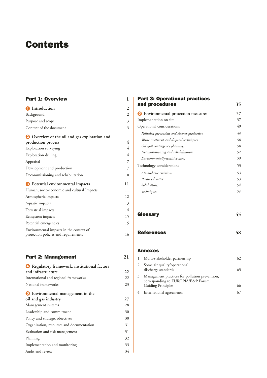### **Contents**

| <b>Part 1: Overview</b>                                                         | 1              |
|---------------------------------------------------------------------------------|----------------|
| <b>O</b> Introduction                                                           | 2              |
| Background                                                                      | $\overline{2}$ |
| Purpose and scope                                                               | 3              |
| Content of the document                                                         | 3              |
| 2 Overview of the oil and gas exploration and                                   |                |
| production process                                                              | 4              |
| Exploration surveying                                                           | 4              |
| Exploration drilling                                                            | 4              |
| Appraisal                                                                       | 7              |
| Development and production                                                      | 7              |
| Decommissioning and rehabilitation                                              | 10             |
| <b>8</b> Potential environmental impacts                                        | 11             |
| Human, socio-economic and cultural Impacts                                      | 11             |
| Atmospheric impacts                                                             | 12             |
| Aquatic impacts                                                                 | 13             |
| Terrestrial impacts                                                             | 14             |
| Ecosystem impacts                                                               | 15             |
| Potential emergencies                                                           | 15             |
| Environmental impacts in the context of<br>protection policies and requirements | 16             |
| <b>Part 2: Management</b>                                                       | 21             |

| Regulatory framework, institutional factors |    |
|---------------------------------------------|----|
| and infrastructure                          | 22 |
| International and regional frameworks       | 22 |
| National frameworks                         | 23 |
| <b>6</b> Environmental management in the    |    |
| oil and gas industry                        | 27 |
| Management systems                          | 28 |
| Leadership and commitment                   | 30 |
| Policy and strategic objectives             | 30 |
| Organization, resources and documentation   | 31 |
| Evaluation and risk management              | 31 |
| Planning                                    | 32 |
| Implementation and monitoring               | 33 |
| Audit and review                            | 34 |

#### Part 3: Operational practices and procedures **35**

| <b>6</b> Environmental protection measures  | 37 |
|---------------------------------------------|----|
| Implementation on site                      | 37 |
| Operational considerations                  | 49 |
| Pollution prevention and cleaner production | 49 |
| Waste treatment and disposal techniques     | 50 |
| Oil spill contingency planning              | 50 |
| Decommissioning and rehabilitation          | 52 |
| Environmentally-sensitive areas             | 53 |
| Technology considerations                   | 53 |
| Atmospheric emissions                       | 53 |
| Produced water                              | 53 |
| Solid Wastes                                | 54 |
| Techniques                                  | 54 |
|                                             |    |

| <b>Glossary</b> |  |
|-----------------|--|
|                 |  |

References **58**

#### Annexes

|    | 1. Multi-stakeholder partnership                                                                                  | 62. |
|----|-------------------------------------------------------------------------------------------------------------------|-----|
|    | 2. Some air quality/operational<br>discharge standards                                                            | 63  |
| 3. | Management practices for pollution prevention,<br>corresponding to EUROPIA/E&P Forum<br><b>Guiding Principles</b> | 66  |
|    | 4. International agreements                                                                                       |     |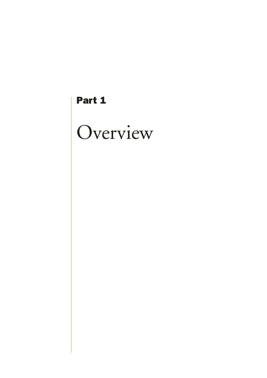### Part 1

# Overview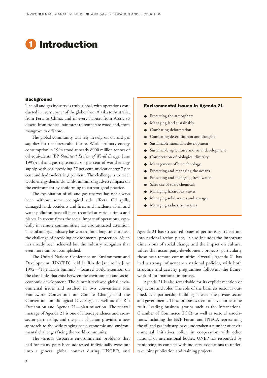### **1** Introduction

#### **Background**

The oil and gas industry is truly global, with operations conducted in every corner of the globe, from Alaska to Australia, from Peru to China, and in every habitat from Arctic to desert, from tropical rainforest to temperate woodland, from mangrove to offshore.

The global community will rely heavily on oil and gas supplies for the foreseeable future. World primary energy consumption in 1994 stood at nearly 8000 million tonnes of oil equivalents (BP *Statistical Review of World Energy*, June 1995); oil and gas represented 63 per cent of world energy supply, with coal providing 27 per cent, nuclear energy 7 per cent and hydro-electric 3 per cent. The challenge is to meet world energy demands, whilst minimizing adverse impact on the environment by conforming to current good practice.

The exploitation of oil and gas reserves has not always been without some ecological side effects. Oil spills, damaged land, accidents and fires, and incidents of air and water pollution have all been recorded at various times and places. In recent times the social impact of operations, especially in remote communities, has also attracted attention. The oil and gas industry has worked for a long time to meet the challenge of providing environmental protection. Much has already been achieved but the industry recognizes that even more can be accomplished.

The United Nations Conference on Environment and Development (UNCED) held in Rio de Janeiro in June 1992—'The Earth Summit'—focused world attention on the close links that exist between the environment and socioeconomic development. The Summit reviewed global environmental issues and resulted in two conventions (the Framework Convention on Climate Change and the Convention on Biological Diversity), as well as the Rio Declaration and Agenda 21—plan of action. The central message of Agenda 21 is one of interdependence and crosssector partnership, and the plan of action provided a new approach to the wide-ranging socio-economic and environmental challenges facing the world community.

The various disparate environmental problems that had for many years been addressed individually were put into a general global context during UNCED, and

#### Environmental issues in Agenda 21

- Protecting the atmosphere
- Managing land sustainably
- Combating deforestation
- Combating desertification and drought
- Sustainable mountain development
- Sustainable agriculture and rural development
- Conservation of biological diversity
- Management of biotechnology
- Protecting and managing the oceans
- Protecting and managing fresh water
- Safer use of toxic chemicals
- Managing hazardous wastes
- Managing solid wastes and sewage
- Managing radioactive wastes

Agenda 21 has structured issues to permit easy translation into national action plans. It also includes the important dimensions of social change and the impact on cultural values that accompany development projects, particularly those near remote communities. Overall, Agenda 21 has had a strong influence on national policies, with both structure and activity programmes following the framework of international initiatives.

Agenda 21 is also remarkable for its explicit mention of key actors and roles. The role of the business sector is outlined, as is partnership building between the private sector and governments. These proposals seem to have borne some fruit. Leading business groups such as the International Chamber of Commerce (ICC), as well as sectoral associations, including the E&P Forum and IPIECA representing the oil and gas industry, have undertaken a number of environmental initiatives, often in cooperation with other national or international bodies. UNEP has responded by reinforcing its contacts with industry associations to undertake joint publication and training projects.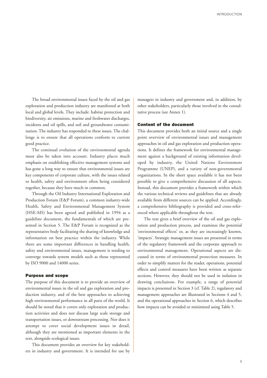The broad environmental issues faced by the oil and gas exploration and production industry are manifested at both local and global levels. They include: habitat protection and biodiversity, air emissions, marine and freshwater discharges, incidents and oil spills, and soil and groundwater contamination. The industry has responded to these issues. The challenge is to ensure that all operations conform to current good practice.

The continual evolution of the environmental agenda must also be taken into account. Industry places much emphasis on establishing effective management systems and has gone a long way to ensure that environmental issues are key components of corporate culture, with the issues related to health, safety and environment often being considered together, because they have much in common.

Through the Oil Industry International Exploration and Production Forum (E&P Forum), a common industry-wide Health, Safety and Environmental Management System (HSE-MS) has been agreed and published in 1994 as a guideline document, the fundamentals of which are presented in Section 5. The E&P Forum is recognized as the representative body facilitating the sharing of knowledge and information on best practice within the industry. While there are some important differences in handling health, safety and environmental issues, management is tending to converge towards system models such as those represented by ISO 9000 and 14000 series.

#### Purpose and scope

The purpose of this document is to provide an overview of environmental issues in the oil and gas exploration and production industry, and of the best approaches to achieving high environmental performance in all parts of the world. It should be noted that it covers only exploration and production activities and does not discuss large scale storage and transportation issues, or downstream processing. Nor does it attempt to cover social development issues in detail, although they are mentioned as important elements in the text, alongside ecological issues.

This document provides an overview for key stakeholders in industry and government. It is intended for use by managers in industry and government and, in addition, by other stakeholders, particularly those involved in the consultative process (see Annex 1).

#### Content of the document

This document provides both an initial source and a single point overview of environmental issues and management approaches in oil and gas exploration and production operations. It defines the framework for environmental management against a background of existing information developed by industry, the United Nations Environment Programme (UNEP), and a variety of non-governmental organizations. In the short space available it has not been possible to give a comprehensive discussion of all aspects. Instead, this document provides a framework within which the various technical reviews and guidelines that are already available from different sources can be applied. Accordingly, a comprehensive bibliography is provided and cross-referenced where applicable throughout the text.

The text gives a brief overview of the oil and gas exploration and production process, and examines the potential 'environmental effects' or, as they are increasingly known, 'impacts'. Strategic management issues are presented in terms of the regulatory framework and the corporate approach to environmental management. Operational aspects are discussed in terms of environmental protection measures. In order to simplify matters for the reader, operations, potential effects and control measures have been written as separate sections. However, they should not be used in isolation in drawing conclusions. For example, a range of potential impacts is presented in Section 3 (cf. Table 2), regulatory and management approaches are illustrated in Sections 4 and 5, and the operational approaches in Section 6, which describes how impacts can be avoided or minimized using Table 5.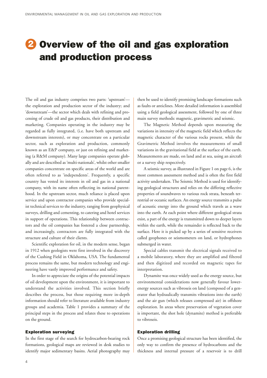### **2** Overview of the oil and gas exploration and production process

The oil and gas industry comprises two parts: 'upstream' the exploration and production sector of the industry; and 'downstream'—the sector which deals with refining and processing of crude oil and gas products, their distribution and marketing. Companies operating in the industry may be regarded as fully integrated, (i.e. have both upstream and downstream interests), or may concentrate on a particular sector, such as exploration and production, commonly known as an E&P company, or just on refining and marketing (a R&M company). Many large companies operate globally and are described as 'multi-nationals', whilst other smaller companies concentrate on specific areas of the world and are often referred to as 'independents'. Frequently, a specific country has vested its interests in oil and gas in a national company, with its name often reflecting its national parenthood. In the upstream sector, much reliance is placed upon service and upon contractor companies who provide specialist technical services to the industry, ranging from geophysical surveys, drilling and cementing, to catering and hotel services in support of operations. This relationship between contractors and the oil companies has fostered a close partnership, and increasingly, contractors are fully integrated with the structure and culture of their clients.

Scientific exploration for oil, in the modern sense, began in 1912 when geologists were first involved in the discovery of the Cushing Field in Oklahoma, USA. The fundamental process remains the same, but modern technology and engineering have vastly improved performance and safety.

In order to appreciate the origins of the potential impacts of oil development upon the environment, it is important to understand the activities involved. This section briefly describes the process, but those requiring more in-depth information should refer to literature available from industry groups and academia. Table 1 provides a summary of the principal steps in the process and relates these to operations on the ground.

#### Exploration surveying

In the first stage of the search for hydrocarbon-bearing rock formations, geological maps are reviewed in desk studies to identify major sedimentary basins. Aerial photography may then be used to identify promising landscape formations such as faults or anticlines. More detailed information is assembled using a field geological assessment, followed by one of three main survey methods: magnetic, gravimetric and seismic.

The Magnetic Method depends upon measuring the variations in intensity of the magnetic field which reflects the magnetic character of the various rocks present, while the Gravimetric Method involves the measurements of small variations in the gravitational field at the surface of the earth. Measurements are made, on land and at sea, using an aircraft or a survey ship respectively.

A seismic survey, as illustrated in Figure 1 on page 6, is the most common assessment method and is often the first field activity undertaken. The Seismic Method is used for identifying geological structures and relies on the differing reflective properties of soundwaves to various rock strata, beneath terrestrial or oceanic surfaces. An energy source transmits a pulse of acoustic energy into the ground which travels as a wave into the earth. At each point where different geological strata exist, a part of the energy is transmitted down to deeper layers within the earth, while the remainder is reflected back to the surface. Here it is picked up by a series of sensitive receivers called geophones or seismometers on land, or hydrophones submerged in water.

Special cables transmit the electrical signals received to a mobile laboratory, where they are amplified and filtered and then digitized and recorded on magnetic tapes for interpretation.

Dynamite was once widely used as the energy source, but environmental considerations now generally favour lowerenergy sources such as vibroseis on land (composed of a generator that hydraulically transmits vibrations into the earth) and the air gun (which releases compressed air) in offshore exploration. In areas where preservation of vegetation cover is important, the shot hole (dynamite) method is preferable to vibroseis.

#### Exploration drilling

Once a promising geological structure has been identified, the only way to confirm the presence of hydrocarbons and the thickness and internal pressure of a reservoir is to drill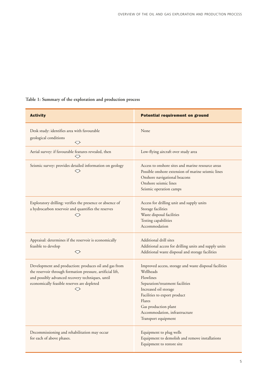#### **Table 1: Summary of the exploration and production process**

| <b>Activity</b>                                                                                                                                                                                                             | <b>Potential requirement on ground</b>                                                                                                                                                                                                                                 |
|-----------------------------------------------------------------------------------------------------------------------------------------------------------------------------------------------------------------------------|------------------------------------------------------------------------------------------------------------------------------------------------------------------------------------------------------------------------------------------------------------------------|
| Desk study: identifies area with favourable<br>geological conditions<br>$\bigtriangledown$                                                                                                                                  | None                                                                                                                                                                                                                                                                   |
| Aerial survey: if favourable features revealed, then<br>◆                                                                                                                                                                   | Low-flying aircraft over study area                                                                                                                                                                                                                                    |
| Seismic survey: provides detailed information on geology                                                                                                                                                                    | Access to onshore sites and marine resource areas<br>Possible onshore extension of marine seismic lines<br>Onshore navigational beacons<br>Onshore seismic lines<br>Seismic operation camps                                                                            |
| Exploratory drilling: verifies the presence or absence of<br>a hydrocarbon reservoir and quantifies the reserves                                                                                                            | Access for drilling unit and supply units<br>Storage facilities<br>Waste disposal facilities<br>Testing capabilities<br>Accommodation                                                                                                                                  |
| Appraisal: determines if the reservoir is economically<br>feasible to develop<br>▽                                                                                                                                          | Additional drill sites<br>Additional access for drilling units and supply units<br>Additional waste disposal and storage facilities                                                                                                                                    |
| Development and production: produces oil and gas from<br>the reservoir through formation pressure, artificial lift,<br>and possibly advanced recovery techniques, until<br>economically feasible reserves are depleted<br>₹ | Improved access, storage and waste disposal facilities<br>Wellheads<br>Flowlines<br>Separation/treatment facilities<br>Increased oil storage<br>Facilities to export product<br>Flares<br>Gas production plant<br>Accommodation, infrastructure<br>Transport equipment |
| Decommissioning and rehabilitation may occur<br>for each of above phases.                                                                                                                                                   | Equipment to plug wells<br>Equipment to demolish and remove installations<br>Equipment to restore site                                                                                                                                                                 |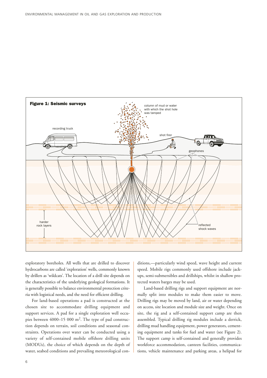

exploratory boreholes. All wells that are drilled to discover hydrocarbons are called 'exploration' wells, commonly known by drillers as 'wildcats'. The location of a drill site depends on the characteristics of the underlying geological formations. It is generally possible to balance environmental protection criteria with logistical needs, and the need for efficient drilling.

For land-based operations a pad is constructed at the chosen site to accommodate drilling equipment and support services. A pad for a single exploration well occupies between 4000–15 000 m2. The type of pad construction depends on terrain, soil conditions and seasonal constraints. Operations over water can be conducted using a variety of self-contained mobile offshore drilling units (MODUs), the choice of which depends on the depth of water, seabed conditions and prevailing meteorological conditions,—particularly wind speed, wave height and current speed. Mobile rigs commonly used offshore include jackups, semi-submersibles and drillships, whilst in shallow protected waters barges may be used.

Land-based drilling rigs and support equipment are normally split into modules to make them easier to move. Drilling rigs may be moved by land, air or water depending on access, site location and module size and weight. Once on site, the rig and a self-contained support camp are then assembled. Typical drilling rig modules include a derrick, drilling mud handling equipment, power generators, cementing equipment and tanks for fuel and water (see Figure 2). The support camp is self-contained and generally provides workforce accommodation, canteen facilities, communications, vehicle maintenance and parking areas, a helipad for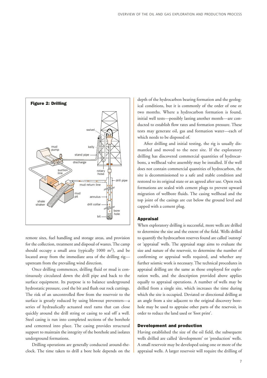

remote sites, fuel handling and storage areas, and provision for the collection, treatment and disposal of wastes. The camp should occupy a small area (typically  $1000 \text{ m}^2$ ), and be located away from the immediate area of the drilling rig upstream from the prevailing wind direction.

Once drilling commences, drilling fluid or mud is continuously circulated down the drill pipe and back to the surface equipment. Its purpose is to balance underground hydrostatic pressure, cool the bit and flush out rock cuttings. The risk of an uncontrolled flow from the reservoir to the surface is greatly reduced by using blowout preventers—a series of hydraulically actuated steel rams that can close quickly around the drill string or casing to seal off a well. Steel casing is run into completed sections of the borehole and cemented into place. The casing provides structural support to maintain the integrity of the borehole and isolates underground formations.

Drilling operations are generally conducted around-theclock. The time taken to drill a bore hole depends on the depth of the hydrocarbon bearing formation and the geological conditions, but it is commonly of the order of one or two months. Where a hydrocarbon formation is found, initial well tests—possibly lasting another month—are conducted to establish flow rates and formation pressure. These tests may generate oil, gas and formation water—each of which needs to be disposed of.

After drilling and initial testing, the rig is usually dismantled and moved to the next site. If the exploratory drilling has discovered commercial quantities of hydrocarbons, a wellhead valve assembly may be installed. If the well does not contain commercial quantities of hydrocarbon, the site is decommissioned to a safe and stable condition and restored to its original state or an agreed after use. Open rock formations are sealed with cement plugs to prevent upward migration of wellbore fluids. The casing wellhead and the top joint of the casings are cut below the ground level and capped with a cement plug.

#### Appraisal

When exploratory drilling is successful, more wells are drilled to determine the size and the extent of the field. Wells drilled to quantify the hydrocarbon reserves found are called 'outstep' or 'appraisal' wells. The appraisal stage aims to evaluate the size and nature of the reservoir, to determine the number of confirming or appraisal wells required, and whether any further seismic work is necessary. The technical procedures in appraisal drilling are the same as those employed for exploration wells, and the description provided above applies equally to appraisal operations. A number of wells may be drilled from a single site, which increases the time during which the site is occupied. Deviated or directional drilling at an angle from a site adjacent to the original discovery borehole may be used to appraise other parts of the reservoir, in order to reduce the land used or 'foot print'.

#### Development and production

Having established the size of the oil field, the subsequent wells drilled are called 'development' or 'production' wells. A small reservoir may be developed using one or more of the appraisal wells. A larger reservoir will require the drilling of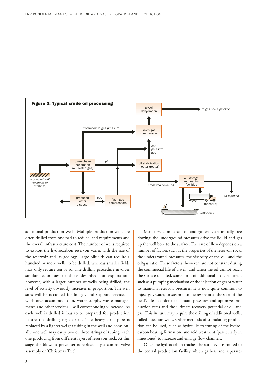

additional production wells. Multiple production wells are often drilled from one pad to reduce land requirements and the overall infrastructure cost. The number of wells required to exploit the hydrocarbon reservoir varies with the size of the reservoir and its geology. Large oilfields can require a hundred or more wells to be drilled, whereas smaller fields may only require ten or so. The drilling procedure involves similar techniques to those described for exploration; however, with a larger number of wells being drilled, the level of activity obviously increases in proportion. The well sites will be occupied for longer, and support services workforce accommodation, water supply, waste management, and other services—will correspondingly increase. As each well is drilled it has to be prepared for production before the drilling rig departs. The heavy drill pipe is replaced by a lighter weight tubing in the well and occasionally one well may carry two or three strings of tubing, each one producing from different layers of reservoir rock. At this stage the blowout preventer is replaced by a control valve assembly or 'Christmas Tree'.

Most new commercial oil and gas wells are initially free flowing: the underground pressures drive the liquid and gas up the well bore to the surface. The rate of flow depends on a number of factors such as the properties of the reservoir rock, the underground pressures, the viscosity of the oil, and the oil/gas ratio. These factors, however, are not constant during the commercial life of a well, and when the oil cannot reach the surface unaided, some form of additional lift is required, such as a pumping mechanism or the injection of gas or water to maintain reservoir pressures. It is now quite common to inject gas, water, or steam into the reservoir at the start of the field's life in order to maintain pressures and optimize production rates and the ultimate recovery potential of oil and gas. This in turn may require the drilling of additional wells, called injection wells. Other methods of stimulating production can be used, such as hydraulic fracturing of the hydrocarbon bearing formation, and acid treatment (particularly in limestones) to increase and enlarge flow channels.

Once the hydrocarbon reaches the surface, it is routed to the central production facility which gathers and separates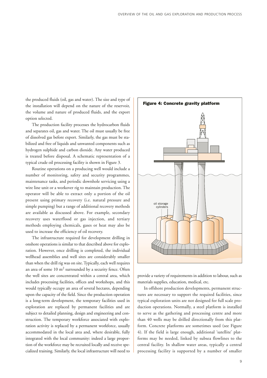the produced fluids (oil, gas and water). The size and type of the installation will depend on the nature of the reservoir, the volume and nature of produced fluids, and the export option selected.

The production facility processes the hydrocarbon fluids and separates oil, gas and water. The oil must usually be free of dissolved gas before export. Similarly, the gas must be stabilized and free of liquids and unwanted components such as hydrogen sulphide and carbon dioxide. Any water produced is treated before disposal. A schematic representation of a typical crude oil processing facility is shown in Figure 3.

Routine operations on a producing well would include a number of monitoring, safety and security programmes, maintenance tasks, and periodic downhole servicing using a wire line unit or a workover rig to maintain production. The operator will be able to extract only a portion of the oil present using primary recovery (i.e. natural pressure and simple pumping) but a range of additional recovery methods are available as discussed above. For example, secondary recovery uses waterflood or gas injection, and tertiary methods employing chemicals, gases or heat may also be used to increase the efficiency of oil recovery.

The infrastructure required for development drilling in onshore operations is similar to that described above for exploration. However, once drilling is completed, the individual wellhead assemblies and well sites are considerably smaller than when the drill rig was on site. Typically, each well requires an area of some  $10 \text{ m}^2$  surrounded by a security fence. Often the well sites are concentrated within a central area, which includes processing facilities, offices and workshops, and this would typically occupy an area of several hectares, depending upon the capacity of the field. Since the production operation is a long-term development, the temporary facilities used in exploration are replaced by permanent facilities and are subject to detailed planning, design and engineering and construction. The temporary workforce associated with exploration activity is replaced by a permanent workforce, usually accommodated in the local area and, where desirable, fully integrated with the local community: indeed a large proportion of the workforce may be recruited locally and receive specialized training. Similarly, the local infrastructure will need to



provide a variety of requirements in addition to labour, such as materials supplies, education, medical, etc.

In offshore production developments, permanent structures are necessary to support the required facilities, since typical exploration units are not designed for full scale production operations. Normally, a steel platform is installed to serve as the gathering and processing centre and more than 40 wells may be drilled directionally from this platform. Concrete platforms are sometimes used (see Figure 4). If the field is large enough, additional 'satellite' platforms may be needed, linked by subsea flowlines to the central facility. In shallow water areas, typically a central processing facility is supported by a number of smaller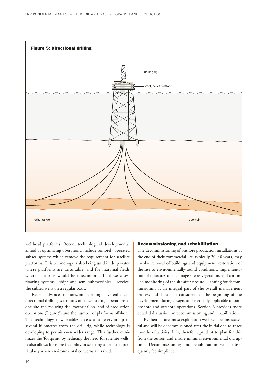

wellhead platforms. Recent technological developments, aimed at optimizing operations, include remotely operated subsea systems which remove the requirement for satellite platforms. This technology is also being used in deep water where platforms are unsuitable, and for marginal fields where platforms would be uneconomic. In these cases, floating systems—ships and semi-submersibles—'service' the subsea wells on a regular basis.

Recent advances in horizontal drilling have enhanced directional drilling as a means of concentrating operations at one site and reducing the 'footprint' on land of production operations (Figure 5) and the number of platforms offshore. The technology now enables access to a reservoir up to several kilometres from the drill rig, while technology is developing to permit even wider range. This further minimizes the 'footprint' by reducing the need for satellite wells. It also allows for more flexibility in selecting a drill site, particularly where environmental concerns are raised.

#### Decommissioning and rehabilitation

The decommissioning of onshore production installations at the end of their commercial life, typically 20–40 years, may involve removal of buildings and equipment, restoration of the site to environmentally-sound conditions, implementation of measures to encourage site re-vegetation, and continued monitoring of the site after closure. Planning for decommissioning is an integral part of the overall management process and should be considered at the beginning of the development during design, and is equally applicable to both onshore and offshore operations. Section 6 provides more detailed discussion on decommissioning and rehabilitation.

By their nature, most exploration wells will be unsuccessful and will be decommissioned after the initial one-to-three months of activity. It is, therefore, prudent to plan for this from the outset, and ensure minimal environmental disruption. Decommissioning and rehabilitation will, subsequently, be simplified.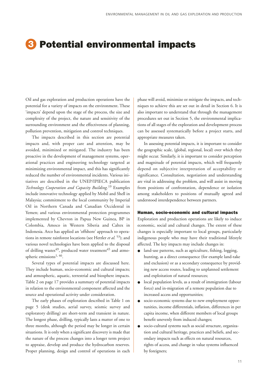### **3** Potential environmental impacts

Oil and gas exploration and production operations have the potential for a variety of impacts on the environment. These 'impacts' depend upon the stage of the process, the size and complexity of the project, the nature and sensitivity of the surrounding environment and the effectiveness of planning, pollution prevention, mitigation and control techniques.

The impacts described in this section are potential impacts and, with proper care and attention, may be avoided, minimized or mitigated. The industry has been proactive in the development of management systems, operational practices and engineering technology targeted at minimizing environmental impact, and this has significantly reduced the number of environmental incidents. Various initiatives are described in the UNEP/IPIECA publication *Technology Cooperation and Capacity Building.*<sup>19</sup> Examples include innovative technology applied by Mobil and Shell in Malaysia; commitment to the local community by Imperial Oil in Northern Canada and Canadian Occidental in Yemen; and various environmental protection programmes implemented by Chevron in Papua New Guinea, BP in Colombia, Amoco in Western Siberia and Caltex in Indonesia. Arco has applied an 'offshore' approach to operations in remote rainforest locations (see Hettler *et al.* 53); and various novel technologies have been applied to the disposal of drilling wastes<sup>49</sup>, produced water treatment<sup>45</sup> and atmospheric emissions<sup>1, 46</sup>.

Several types of potential impacts are discussed here. They include human, socio-economic and cultural impacts; and atmospheric, aquatic, terrestrial and biosphere impacts. Table 2 on page 17 provides a summary of potential impacts in relation to the environmental component affected and the source and operational activity under consideration.

The early phases of exploration described in Table 1 on page 5 (desk studies, aerial survey, seismic survey and exploratory drilling) are short-term and transient in nature. The longest phase, drilling, typically lasts a matter of one to three months, although the period may be longer in certain situations. It is only when a significant discovery is made that the nature of the process changes into a longer term project to appraise, develop and produce the hydrocarbon reserves. Proper planning, design and control of operations in each phase will avoid, minimize or mitigate the impacts, and techniques to achieve this are set out in detail in Section 6. It is also important to understand that through the management procedures set out in Section 5, the environmental implications of all stages of the exploration and development process can be assessed systematically before a project starts, and appropriate measures taken.

In assessing potential impacts, it is important to consider the geographic scale, (global, regional, local) over which they might occur. Similarly, it is important to consider perception and magnitude of potential impacts, which will frequently depend on subjective interpretation of acceptability or significance. Consultation, negotiation and understanding are vital in addressing the problem, and will assist in moving from positions of confrontation, dependence or isolation among stakeholders to positions of mutually agreed and understood interdependence between partners.

#### Human, socio-economic and cultural impacts

Exploration and production operations are likely to induce economic, social and cultural changes. The extent of these changes is especially important to local groups, particularly indigenous people who may have their traditional lifestyle affected. The key impacts may include changes in:

- land-use patterns, such as agriculture, fishing, logging, hunting, as a direct consequence (for example land-take and exclusion) or as a secondary consequence by providing new access routes, leading to unplanned settlement and exploitation of natural resources;
- local population levels, as a result of immigration (labour force) and in-migration of a remote population due to increased access and opportunities;
- socio-economic systems due to new employment opportunities, income differentials, inflation, differences in per capita income, when different members of local groups benefit unevenly from induced changes;
- socio-cultural systems such as social structure, organization and cultural heritage, practices and beliefs, and secondary impacts such as effects on natural resources, rights of access, and change in value systems influenced by foreigners;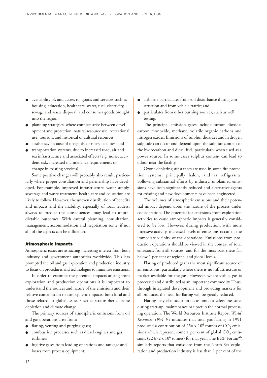- availability of, and access to, goods and services such as housing, education, healthcare, water, fuel, electricity, sewage and waste disposal, and consumer goods brought into the region;
- planning strategies, where conflicts arise between development and protection, natural resource use, recreational use, tourism, and historical or cultural resources;
- aesthetics, because of unsightly or noisy facilities; and
- transportation systems, due to increased road, air and sea infrastructure and associated effects (e.g. noise, accident risk, increased maintenance requirements or change in existing services).

Some positive changes will probably also result, particularly where proper consultation and partnership have developed. For example, improved infrastructure, water supply, sewerage and waste treatment, health care and education are likely to follow. However, the uneven distribution of benefits and impacts and the inability, especially of local leaders, always to predict the consequences, may lead to unpredictable outcomes. With careful planning, consultation, management, accommodation and negotiation some, if not all, of the aspects can be influenced.

#### Atmospheric impacts

Atmospheric issues are attracting increasing interest from both industry and government authorities worldwide. This has prompted the oil and gas exploration and production industry to focus on procedures and technologies to minimize emissions.

In order to examine the potential impacts arising from exploration and production operations it is important to understand the sources and nature of the emissions and their relative contribution to atmospheric impacts, both local and those related to global issues such as stratospheric ozone depletion and climate change.

The primary sources of atmospheric emissions from oil and gas operations arise from:

- flaring, venting and purging gases;
- combustion processes such as diesel engines and gas turbines;
- fugitive gases from loading operations and tankage and losses from process equipment;
- airborne particulates from soil disturbance during construction and from vehicle traffic; and
- particulates from other burning sources, such as well testing.

The principal emission gases include carbon dioxide, carbon monoxide, methane, volatile organic carbons and nitrogen oxides. Emissions of sulphur dioxides and hydrogen sulphide can occur and depend upon the sulphur content of the hydrocarbon and diesel fuel, particularly when used as a power source. In some cases sulphur content can lead to odour near the facility.

Ozone depleting substances are used in some fire protection systems, principally halon, and as refrigerants. Following substantial efforts by industry, unplanned emissions have been significantly reduced and alternative agents for existing and new developments have been engineered.

The volumes of atmospheric emissions and their potential impact depend upon the nature of the process under consideration. The potential for emissions from exploration activities to cause atmospheric impacts is generally considered to be low. However, during production, with more intensive activity, increased levels of emissions occur in the immediate vicinity of the operations. Emissions from production operations should be viewed in the context of total emissions from all sources, and for the most part these fall below 1 per cent of regional and global levels.

Flaring of produced gas is the most significant source of air emissions, particularly where there is no infrastructure or market available for the gas. However, where viable, gas is processed and distributed as an important commodity. Thus, through integrated development and providing markets for all products, the need for flaring will be greatly reduced.

Flaring may also occur on occasions as a safety measure, during start-up, maintenance or upset in the normal processing operation. The World Resources Institute Report *World Resources 1994–95* indicates that total gas flaring in 1991 produced a contribution of 256 x  $10^6$  tonnes of CO<sub>2</sub> emissions which represent some 1 per cent of global  $CO<sub>2</sub>$  emissions (22 672 x 10<sup>6</sup> tonnes) for that year. The E&P Forum<sup>46</sup> similarly reports that emissions from the North Sea exploration and production industry is less than 1 per cent of the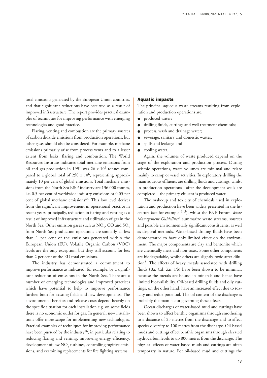total emissions generated by the European Union countries, and that significant reductions have occurred as a result of improved infrastructure. The report provides practical examples of techniques for improving performance with emerging technologies and good practice.

Flaring, venting and combustion are the primary sources of carbon dioxide emissions from production operations, but other gases should also be considered. For example, methane emissions primarily arise from process vents and to a lesser extent from leaks, flaring and combustion. The World Resources Institute indicates total methane emissions from oil and gas production in 1991 was  $26 \times 10^6$  tonnes compared to a global total of  $250 \times 10^6$ , representing approximately 10 per cent of global emissions. Total methane emissions from the North Sea E&P industry are 136 000 tonnes, i.e. 0.5 per cent of worldwide industry emissions or 0.05 per cent of global methane emissions<sup>46</sup>. This low level derives from the significant improvement in operational practice in recent years: principally, reduction in flaring and venting as a result of improved infrastructure and utilization of gas in the North Sea. Other emission gases such as  $\rm NO_{x}^{\vphantom{\dagger}}}$  CO and  $\rm SO_{x}^{\vphantom{\dagger}}$ from North Sea production operations are similarly all less than 1 per cent of the emissions generated within the European Union (EU). Volatile Organic Carbon (VOC) levels are the only exception, but they still account for less than 2 per cent of the EU total emissions.

The industry has demonstrated a commitment to improve performance as indicated, for example, by a significant reduction of emissions in the North Sea. There are a number of emerging technologies and improved practices which have potential to help to improve performance further, both for existing fields and new developments. The environmental benefits and relative costs depend heavily on the specific situation for each installation e.g. on some fields there is no economic outlet for gas. In general, new installations offer more scope for implementing new technologies. Practical examples of techniques for improving performance have been pursued by the industry  $46$ , in particular relating to reducing flaring and venting, improving energy efficiency, development of low NO<sub>x</sub> turbines, controlling fugitive emissions, and examining replacements for fire fighting systems.

#### Aquatic impacts

The principal aqueous waste streams resulting from exploration and production operations are:

- produced water;
- drilling fluids, cuttings and well treatment chemicals;
- process, wash and drainage water;
- sewerage, sanitary and domestic wastes;
- spills and leakage; and
- cooling water.

Again, the volumes of waste produced depend on the stage of the exploration and production process. During seismic operations, waste volumes are minimal and relate mainly to camp or vessel activities. In exploratory drilling the main aqueous effluents are drilling fluids and cuttings, whilst in production operations—after the development wells are completed—the primary effluent is produced water.

The make-up and toxicity of chemicals used in exploration and production have been widely presented in the literature (see for example 2, 3), whilst the E&P Forum *Waste Management Guidelines*<sup>4</sup> summarize waste streams, sources and possible environmentally significant constituents, as well as disposal methods. Water-based drilling fluids have been demonstrated to have only limited effect on the environment. The major components are clay and bentonite which are chemically inert and non-toxic. Some other components are biodegradable, whilst others are slightly toxic after dilution<sup>5</sup>. The effects of heavy metals associated with drilling fluids (Ba, Cd, Zn, Pb) have been shown to be minimal, because the metals are bound in minerals and hence have limited bioavailability. Oil-based drilling fluids and oily cuttings, on the other hand, have an increased effect due to toxicity and redox potential. The oil content of the discharge is probably the main factor governing these effects.

Ocean discharges of water-based mud and cuttings have been shown to affect benthic organisms through smothering to a distance of 25 metres from the discharge and to affect species diversity to 100 metres from the discharge. Oil-based muds and cuttings effect benthic organisms through elevated hydrocarbon levels to up 800 metres from the discharge. The physical effects of water-based muds and cuttings are often temporary in nature. For oil-based mud and cuttings the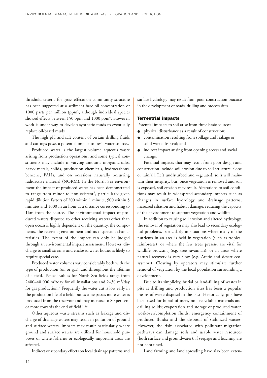threshold criteria for gross effects on community structure has been suggested at a sediment base oil concentration of 1000 parts per million (ppm), although individual species showed effects between 150 ppm and 1000 ppm<sup>6</sup>. However, work is under way to develop synthetic muds to eventually replace oil-based muds.

The high pH and salt content of certain drilling fluids and cuttings poses a potential impact to fresh-water sources.

Produced water is the largest volume aqueous waste arising from production operations, and some typical constituents may include in varying amounts inorganic salts, heavy metals, solids, production chemicals, hydrocarbons, benzene, PAHs, and on occasions naturally occurring radioactive material (NORM). In the North Sea environment the impact of produced water has been demonstrated to range from minor to non-existent<sup>7</sup>, particularly given rapid dilution factors of 200 within 1 minute, 500 within 5 minutes and 1000 in an hour at a distance corresponding to 1km from the source. The environmental impact of produced waters disposed to other receiving waters other than open ocean is highly dependent on the quantity, the components, the receiving environment and its dispersion characteristics. The extent of the impact can only be judged through an environmental impact assessment. However, discharge to small streams and enclosed water bodies is likely to require special care.

Produced water volumes vary considerably both with the type of production (oil or gas), and throughout the lifetime of a field. Typical values for North Sea fields range from 2400–40 000 m<sup>3</sup>/day for oil installations and 2–30 m<sup>3</sup>/day for gas production.7 Frequently the water cut is low early in the production life of a field, but as time passes more water is produced from the reservoir and may increase to 80 per cent or more towards the end of field life.

Other aqueous waste streams such as leakage and discharge of drainage waters may result in pollution of ground and surface waters. Impacts may result particularly where ground and surface waters are utilized for household purposes or where fisheries or ecologically important areas are affected.

Indirect or secondary effects on local drainage patterns and

surface hydrology may result from poor construction practice in the development of roads, drilling and process sites.

#### Terrestrial impacts

Potential impacts to soil arise from three basic sources:

- physical disturbance as a result of construction;
- contamination resulting from spillage and leakage or solid waste disposal; and
- indirect impact arising from opening access and social change.

Potential impacts that may result from poor design and construction include soil erosion due to soil structure, slope or rainfall. Left undisturbed and vegetated, soils will maintain their integrity, but, once vegetation is removed and soil is exposed, soil erosion may result. Alterations to soil conditions may result in widespread secondary impacts such as changes in surface hydrology and drainage patterns, increased siltation and habitat damage, reducing the capacity of the environment to support vegetation and wildlife.

In addition to causing soil erosion and altered hydrology, the removal of vegetation may also lead to secondary ecological problems, particularly in situations where many of the nutrients in an area is held in vegetation (such as tropical rainforests); or where the few trees present are vital for wildlife browsing (e.g. tree savannah); or in areas where natural recovery is very slow (e.g. Arctic and desert ecosystems). Clearing by operators may stimulate further removal of vegetation by the local population surrounding a development.

Due to its simplicity, burial or land-filling of wastes in pits at drilling and production sites has been a popular means of waste disposal in the past. Historically, pits have been used for burial of inert, non-recyclable materials and drilling solids; evaporation and storage of produced water, workover/completion fluids; emergency containment of produced fluids; and the disposal of stabilized wastes. However, the risks associated with pollutant migration pathways can damage soils and usable water resources (both surface and groundwater), if seepage and leaching are not contained.

Land farming and land spreading have also been exten-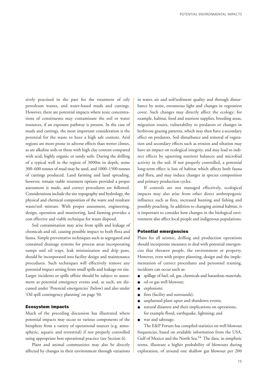sively practised in the past for the treatment of oily petroleum wastes, and water-based muds and cuttings. However, there are potential impacts where toxic concentrations of constituents may contaminate the soil or water resources, if an exposure pathway is present. In the case of muds and cuttings, the most important consideration is the potential for the waste to have a high salt content. Arid regions are more prone to adverse effects than wetter climes, as are alkaline soils or those with high clay content compared with acid, highly organic or sandy soils. During the drilling of a typical well in the region of 3000m in depth, some 300–600 tonnes of mud may be used, and 1000–1500 tonnes of cuttings produced. Land farming and land spreading, however, remain viable treatment options provided a proper assessment is made, and correct procedures are followed. Considerations include the site topography and hydrology, the physical and chemical composition of the waste and resultant waste/soil mixture. With proper assessment, engineering, design, operation and monitoring, land farming provides a cost effective and viable technique for waste disposal.

Soil contamination may arise from spills and leakage of chemicals and oil, causing possible impact to both flora and fauna. Simple preventative techniques such as segregated and contained drainage systems for process areas incorporating sumps and oil traps, leak minimization and drip pans, should be incorporated into facility design and maintenance procedures. Such techniques will effectively remove any potential impact arising from small spills and leakage on site. Larger incidents or spills offsite should be subject to assessment as potential emergency events and, as such, are discussed under 'Potential emergencies' (below) and also under 'Oil spill contingency planning' on page 50.

#### Ecosystem impacts

Much of the preceding discussion has illustrated where potential impacts may occur to various components of the biosphere from a variety of operational sources (e.g. atmospheric, aquatic and terrestrial) if not properly controlled using appropriate best operational practice (see Section 6).

Plant and animal communities may also be directly affected by changes in their environment through variations in water, air and soil/sediment quality and through disturbance by noise, extraneous light and changes in vegetation cover. Such changes may directly affect the ecology: for example, habitat, food and nutrient supplies, breeding areas, migration routes, vulnerability to predators or changes in herbivore grazing patterns, which may then have a secondary effect on predators. Soil disturbance and removal of vegetation and secondary effects such as erosion and siltation may have an impact on ecological integrity, and may lead to indirect effects by upsetting nutrient balances and microbial activity in the soil. If not properly controlled, a potential long-term effect is loss of habitat which affects both fauna and flora, and may induce changes in species composition and primary production cycles.

If controls are not managed effectively, ecological impacts may also arise from other direct anthropogenic influence such as fires, increased hunting and fishing and possibly poaching. In addition to changing animal habitat, it is important to consider how changes in the biological environment also affect local people and indigenous populations.

#### Potential emergencies

Plans for all seismic, drilling and production operations should incorporate measures to deal with potential emergencies that threaten people, the environment or property. However, even with proper planning, design and the implementation of correct procedures and personnel training, incidents can occur such as:

- spillage of fuel, oil, gas, chemicals and hazardous materials;
- oil or gas well blowout;
- explosions:
- fires (facility and surrounds);
- unplanned plant upset and shutdown events;
- natural disasters and their implications on operations, for example flood, earthquake, lightning; and
- war and sabotage.

The E&P Forum has compiled statistics on well blowout frequencies, based on available information from the USA, Gulf of Mexico and the North Sea.<sup>54</sup> The data, in simplistic terms, illustrate a higher probability of blowouts during exploration, of around one shallow gas blowout per 200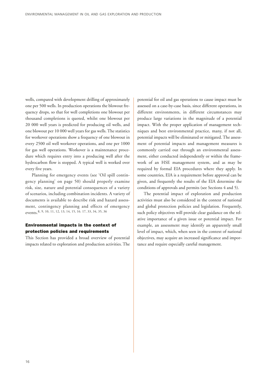wells, compared with development drilling of approximately one per 500 wells. In production operations the blowout frequency drops, so that for well completions one blowout per thousand completions is quoted, whilst one blowout per 20 000 well years is predicted for producing oil wells, and one blowout per 10 000 well years for gas wells. The statistics for workover operations show a frequency of one blowout in every 2500 oil well workover operations, and one per 1000 for gas well operations. Workover is a maintenance procedure which requires entry into a producing well after the hydrocarbon flow is stopped. A typical well is worked over every five years.

Planning for emergency events (see 'Oil spill contingency planning' on page 50) should properly examine risk, size, nature and potential consequences of a variety of scenarios, including combination incidents. A variety of documents is available to describe risk and hazard assessment, contingency planning and effects of emergency events.8, 9, 10, 11, 12, 13, 14, 15, 16. 17, 33, 34, 35, 36

#### Environmental impacts in the context of protection policies and requirements

This Section has provided a broad overview of potential impacts related to exploration and production activities. The potential for oil and gas operations to cause impact must be assessed on a case-by-case basis, since different operations, in different environments, in different circumstances may produce large variations in the magnitude of a potential impact. With the proper application of management techniques and best environmental practice, many, if not all, potential impacts will be eliminated or mitigated. The assessment of potential impacts and management measures is commonly carried out through an environmental assessment, either conducted independently or within the framework of an HSE management system, and as may be required by formal EIA procedures where they apply. In some countries, EIA is a requirement before approval can be given, and frequently the results of the EIA determine the conditions of approvals and permits (see Sections 4 and 5).

The potential impact of exploration and production activities must also be considered in the context of national and global protection policies and legislation. Frequently, such policy objectives will provide clear guidance on the relative importance of a given issue or potential impact. For example, an assessment may identify an apparently small level of impact, which, when seen in the context of national objectives, may acquire an increased significance and importance and require especially careful management.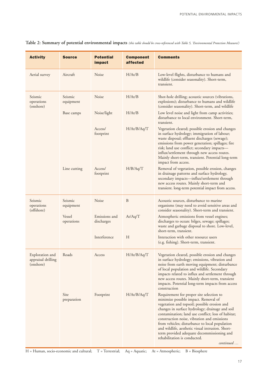| <b>Activity</b>                                    | <b>Source</b>                      | <b>Potential</b><br>impact  | <b>Component</b><br>affected | <b>Comments</b>                                                                                                                                                                                                                                                                                                                                                                                                                                                                           |
|----------------------------------------------------|------------------------------------|-----------------------------|------------------------------|-------------------------------------------------------------------------------------------------------------------------------------------------------------------------------------------------------------------------------------------------------------------------------------------------------------------------------------------------------------------------------------------------------------------------------------------------------------------------------------------|
| Aerial survey                                      | Aircraft                           | Noise                       | H/At/B                       | Low-level flights, disturbance to humans and<br>wildlife (consider seasonality). Short-term,<br>transient.                                                                                                                                                                                                                                                                                                                                                                                |
| Seismic<br>operations<br>(onshore)                 | Seismic<br>equipment<br>Base camps | Noise<br>Noise/light        | H/At/B<br>H/At/B             | Shot-hole drilling; acoustic sources (vibrations,<br>explosions); disturbance to humans and wildlife<br>(consider seasonality). Short-term, and wildlife<br>Low level noise and light from camp activities;                                                                                                                                                                                                                                                                               |
|                                                    |                                    |                             |                              | disturbance to local environment. Short-term,<br>transient.                                                                                                                                                                                                                                                                                                                                                                                                                               |
|                                                    |                                    | Access/<br>footprint        | H/At/B/Aq/T                  | Vegetation cleared; possible erosion and changes<br>in surface hydrology; immigration of labour;<br>waste disposal; effluent discharges (sewage);<br>emissions from power generation; spillages; fire<br>risk; land use conflict; secondary impacts-<br>influx/settlement through new access routes.<br>Mainly short-term, transient. Potential long-term<br>impact from access.                                                                                                          |
|                                                    | Line cutting                       | Access/<br>footprint        | H/B/Aq/T                     | Removal of vegetation, possible erosion, changes<br>in drainage patterns and surface hydrology,<br>secondary impacts-influx/settlement through<br>new access routes. Mainly short-term and<br>transient. long-term potential impact from access.                                                                                                                                                                                                                                          |
| Seismic<br>operations<br>(offshore)                | Seismic<br>equipment               | Noise                       | B                            | Acoustic sources, disturbance to marine<br>organisms (may need to avoid sensitive areas and<br>consider seasonality). Short-term and transient.                                                                                                                                                                                                                                                                                                                                           |
|                                                    | Vessel<br>operations               | Emissions and<br>discharges | At/Aq/T                      | Atmospheric emissions from vessel engines;<br>discharges to ocean: bilges, sewage; spillages;<br>waste and garbage disposal to shore. Low-level,<br>short-term, transient.                                                                                                                                                                                                                                                                                                                |
|                                                    |                                    | Interference                | H                            | Interaction with other resource users<br>(e.g. fishing). Short-term, transient.                                                                                                                                                                                                                                                                                                                                                                                                           |
| Exploration and<br>appraisal drilling<br>(onshore) | Roads                              | Access                      | H/At/B/Aq/T                  | Vegetation cleared, possible erosion and changes<br>in surface hydrology; emissions, vibration and<br>noise from earth moving equipment; disturbance<br>of local population and wildlife. Secondary<br>impacts related to influx and settlement through<br>new access routes. Mainly short-term, transient<br>impacts. Potential long-term impacts from access<br>construction                                                                                                            |
|                                                    | Site<br>preparation                | Footprint                   | H/At/B/Aq/T                  | Requirement for proper site selection to<br>minimize possible impact. Removal of<br>vegetation and topsoil; possible erosion and<br>changes in surface hydrology; drainage and soil<br>contamination; land use conflict; loss of habitat;<br>construction noise, vibration and emissions<br>from vehicles; disturbance to local population<br>and wildlife, aesthetic visual intrusion. Short-<br>term provided adequate decommissioning and<br>rehabilitation is conducted.<br>continued |

**Table 2: Summary of potential environmental impacts** *(this table should be cross-referenced with Table 5, 'Environmental Protection Measures')*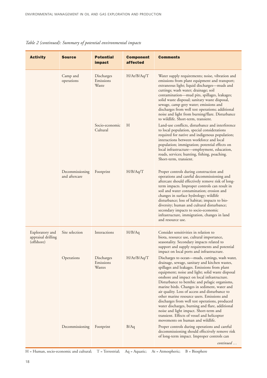| <b>Activity</b>                                     | <b>Source</b>                    | <b>Potential</b><br>impact        | <b>Component</b><br>affected | <b>Comments</b>                                                                                                                                                                                                                                                                                                                                                                                                                                                                                                                                                                                                                                                                         |
|-----------------------------------------------------|----------------------------------|-----------------------------------|------------------------------|-----------------------------------------------------------------------------------------------------------------------------------------------------------------------------------------------------------------------------------------------------------------------------------------------------------------------------------------------------------------------------------------------------------------------------------------------------------------------------------------------------------------------------------------------------------------------------------------------------------------------------------------------------------------------------------------|
|                                                     | Camp and<br>operations           | Discharges<br>Emissions<br>Waste  | H/At/B/Aq/T                  | Water supply requirements; noise, vibration and<br>emissions from plant equipment and transport;<br>extraneous light; liquid discharges-muds and<br>cuttings; wash water; drainage; soil<br>contamination-mud pits, spillages, leakages;<br>solid waste disposal; sanitary waste disposal,<br>sewage, camp grey water; emissions and<br>discharges from well test operations; additional<br>noise and light from burning/flare. Disturbance<br>to wildlife. Short-term, transient.                                                                                                                                                                                                      |
|                                                     |                                  | Socio-economic<br>Cultural        | H                            | Land-use conflicts, disturbance and interference<br>to local population, special considerations<br>required for native and indigenous population;<br>interactions between workforce and local<br>population; immigration; potential effects on<br>local infrastructure-employment, education,<br>roads, services; hunting, fishing, poaching.<br>Short-term, transient.                                                                                                                                                                                                                                                                                                                 |
|                                                     | Decommissioning<br>and aftercare | Footprint                         | H/B/Aq/T                     | Proper controls during construction and<br>operations and careful decommissioning and<br>aftercare should effectively remove risk of long-<br>term impacts. Improper controls can result in<br>soil and water contamination; erosion and<br>changes in surface hydrology; wildlife<br>disturbance; loss of habitat; impacts to bio-<br>diversity; human and cultural disturbance;<br>secondary impacts to socio-economic<br>infrastructure, immigration, changes in land<br>and resource use.                                                                                                                                                                                           |
| Exploratory and<br>appraisal drilling<br>(offshore) | Site selection                   | Interactions                      | H/B/Aq                       | Consider sensitivities in relation to<br>biota, resource use, cultural importance,<br>seasonality. Secondary impacts related to<br>support and supply requirements and potential<br>impact on local ports and infrastructure.                                                                                                                                                                                                                                                                                                                                                                                                                                                           |
|                                                     | Operations                       | Discharges<br>Emissions<br>Wastes | H/At/B/Aq/T                  | Discharges to ocean-muds, cuttings, wash water,<br>drainage, sewage, sanitary and kitchen wastes,<br>spillages and leakages. Emissions from plant<br>equipment; noise and light; solid waste disposal<br>onshore and impact on local infrastructure.<br>Disturbance to benthic and pelagic organisms,<br>marine birds. Changes in sediment, water and<br>air quality. Loss of access and disturbance to<br>other marine resource users. Emissions and<br>discharges from well test operations, produced<br>water discharges, burning and flare, additional<br>noise and light impact. Short-term and<br>transient. Effects of vessel and helicopter<br>movements on human and wildlife. |
|                                                     | Decommissioning                  | Footprint                         | B/Aq                         | Proper controls during operations and careful<br>decommissioning should effectively remove risk<br>of long-term impact. Improper controls can<br>continued                                                                                                                                                                                                                                                                                                                                                                                                                                                                                                                              |

*Table 2 (continued): Summary of potential environmental impacts*

H = Human, socio-economic and cultural; T = Terrestrial; Aq = Aquatic; At = Atmospheric; B = Biosphere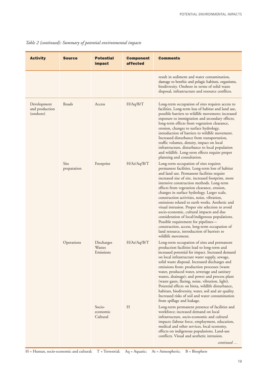| <b>Activity</b>                            | <b>Source</b>       | <b>Potential</b><br>impact        | <b>Component</b><br>affected | <b>Comments</b>                                                                                                                                                                                                                                                                                                                                                                                                                                                                                                                                                                                                                                                                                                                                        |
|--------------------------------------------|---------------------|-----------------------------------|------------------------------|--------------------------------------------------------------------------------------------------------------------------------------------------------------------------------------------------------------------------------------------------------------------------------------------------------------------------------------------------------------------------------------------------------------------------------------------------------------------------------------------------------------------------------------------------------------------------------------------------------------------------------------------------------------------------------------------------------------------------------------------------------|
|                                            |                     |                                   |                              | result in sediment and water contamination,<br>damage to benthic and pelagic habitats, organisms,<br>biodiversity. Onshore in terms of solid waste<br>disposal, infrastructure and resource conflicts.                                                                                                                                                                                                                                                                                                                                                                                                                                                                                                                                                 |
| Development<br>and production<br>(onshore) | Roads               | Access                            | H/Aq/B/T                     | Long-term occupation of sites requires access to<br>facilities. Long-term loss of habitat and land use,<br>possible barriers to wildlife movement; increased<br>exposure to immigration and secondary effects;<br>long-term effects from vegetation clearance,<br>erosion, changes to surface hydrology,<br>introduction of barriers to wildlife movement.<br>Increased disturbance from transportation,<br>traffic volumes, density, impact on local<br>infrastructure, disturbance to local population<br>and wildlife. Long-term effects require proper<br>planning and consultation.                                                                                                                                                               |
|                                            | Site<br>preparation | Footprint                         | H/At/Aq/B/T                  | Long-term occupation of sites requires<br>permanent facilities. Long-term loss of habitat<br>and land use. Permanent facilities require<br>increased size of site, increased footprint, more<br>intensive construction methods. Long-term<br>effects from vegetation clearance, erosion,<br>changes in surface hydrology. Larger scale,<br>construction activities, noise, vibration,<br>emissions related to earth works. Aesthetic and<br>visual intrusion. Proper site selection to avoid<br>socio-economic, cultural impacts and due<br>consideration of local/indigenous populations.<br>Possible requirement for pipelines-<br>construction, access, long-term occupation of<br>land resource, introduction of barriers to<br>wildlife movement. |
|                                            | Operations          | Discharges<br>Wastes<br>Emissions | H/At/Aq/B/T                  | Long-term occupation of sites and permanent<br>production facilities lead to long-term and<br>increased potential for impact. Increased demand<br>on local infrastructure water supply, sewage,<br>solid waste disposal. Increased discharges and<br>emissions from: production processes (waste<br>water, produced water, sewerage and sanitary<br>wastes, drainage); and power and process plant<br>(waste gases, flaring, noise, vibration, light).<br>Potential effects on biota, wildlife disturbance,<br>habitats, biodiversity, water, soil and air quality.<br>Increased risks of soil and water contamination<br>from spillage and leakage.                                                                                                   |
|                                            |                     | Socio-<br>economic<br>Cultural    | H                            | Long-term permanent presence of facilities and<br>workforce; increased demand on local<br>infrastructure, socio-economic and cultural<br>impacts (labour force, employment, education,<br>medical and other services, local economy,<br>effects on indigenous populations. Land-use<br>conflicts. Visual and aesthetic intrusion.<br>continued                                                                                                                                                                                                                                                                                                                                                                                                         |

#### *Table 2 (continued): Summary of potential environmental impacts*

H = Human, socio-economic and cultural; T = Terrestrial; Aq = Aquatic; At = Atmospheric; B = Biosphere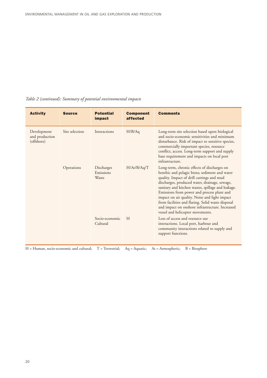*Table 2 (continued): Summary of potential environmental impacts*

| <b>Activity</b>                             | <b>Source</b>  | <b>Potential</b><br>impact       | <b>Component</b><br>affected | <b>Comments</b>                                                                                                                                                                                                                                                                                                                                                                                                                                                                             |
|---------------------------------------------|----------------|----------------------------------|------------------------------|---------------------------------------------------------------------------------------------------------------------------------------------------------------------------------------------------------------------------------------------------------------------------------------------------------------------------------------------------------------------------------------------------------------------------------------------------------------------------------------------|
| Development<br>and production<br>(offshore) | Site selection | Interactions                     | H/B/Aq                       | Long-term site selection based upon biological<br>and socio-economic sensitivities and minimum<br>disturbance. Risk of impact to sensitive species,<br>commercially important species, resource<br>conflict, access. Long-term support and supply<br>base requirement and impacts on local port<br>infrastructure.                                                                                                                                                                          |
|                                             | Operations     | Discharges<br>Emissions<br>Waste | H/At/B/Aq/T                  | Long-term, chronic effects of discharges on<br>benthic and pelagic biota; sediment and water<br>quality. Impact of drill cuttings and mud<br>discharges, produced water, drainage, sewage,<br>sanitary and kitchen wastes, spillage and leakage.<br>Emissions from power and process plant and<br>impact on air quality. Noise and light impact<br>from facilities and flaring. Solid waste disposal<br>and impact on onshore infrastructure. Increased<br>vessel and helicopter movements. |
|                                             |                | Socio-economic<br>Cultural       | H                            | Loss of access and resource use<br>interactions. Local port, harbour and<br>community interactions related to supply and<br>support functions.                                                                                                                                                                                                                                                                                                                                              |

H = Human, socio-economic and cultural; T = Terrestrial; Aq = Aquatic; At = Atmospheric; B = Biosphere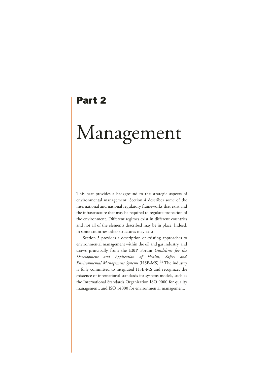### Part 2

## Management

This part provides a background to the strategic aspects of environmental management. Section 4 describes some of the international and national regulatory frameworks that exist and the infrastructure that may be required to regulate protection of the environment. Different regimes exist in different countries and not all of the elements described may be in place. Indeed, in some countries other structures may exist.

Section 5 provides a description of existing approaches to environmental management within the oil and gas industry, and draws principally from the E&P Forum *Guidelines for the Development and Application of Health, Safety and Environmental Management Systems* (HSE-MS).23 The industry is fully committed to integrated HSE-MS and recognizes the existence of international standards for systems models, such as the International Standards Organization ISO 9000 for quality management, and ISO 14000 for environmental management.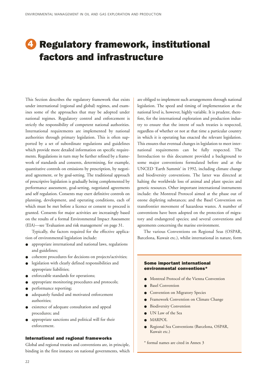### **4** Regulatory framework, institutional factors and infrastructure

This Section describes the regulatory framework that exists under international (regional and global) regimes, and examines some of the approaches that may be adopted under national regimes. Regulatory control and enforcement is strictly the responsibility of competent national authorities. International requirements are implemented by national authorities through primary legislation. This is often supported by a set of subordinate regulations and guidelines which provide more detailed information on specific requirements. Regulations in turn may be further refined by a framework of standards and consents, determining, for example, quantitative controls on emissions by prescription, by negotiated agreement, or by goal-setting. The traditional approach of prescriptive legislation is gradually being complemented by performance assessment, goal-setting, negotiated agreements and self regulation. Consents may exert definitive controls on planning, development, and operating conditions, each of which must be met before a licence or consent to proceed is granted. Consents for major activities are increasingly based on the results of a formal Environmental Impact Assessment (EIA)—see 'Evaluation and risk management' on page 31.

Typically, the factors required for the effective application of environmental legislation include:

- appropriate international and national laws, regulations and guidelines;
- coherent procedures for decisions on projects/activities;
- legislation with clearly defined responsibilities and appropriate liabilities;
- enforceable standards for operations;
- appropriate monitoring procedures and protocols;
- performance reporting;
- adequately funded and motivated enforcement authorities;
- existence of adequate consultation and appeal procedures; and
- appropriate sanctions and political will for their enforcement.

#### International and regional frameworks

Global and regional treaties and conventions are, in principle, binding in the first instance on national governments, which

are obliged to implement such arrangements through national legislation. The speed and timing of implementation at the national level is, however, highly variable. It is prudent, therefore, for the international exploration and production industry to ensure that the intent of such treaties is respected, regardless of whether or not at that time a particular country in which it is operating has enacted the relevant legislation. This ensures that eventual changes in legislation to meet international requirements can be fully respected. The Introduction to this document provided a background to some major conventions formulated before and at the UNCED 'Earth Summit' in 1992, including climate change and biodiversity conventions. The latter was directed at halting the worldwide loss of animal and plant species and genetic resources. Other important international instruments include: the Montreal Protocol aimed at the phase out of ozone depleting substances; and the Basel Convention on transfrontier movement of hazardous wastes. A number of conventions have been adopted on the protection of migratory and endangered species; and several conventions and agreements concerning the marine environment.

The various Conventions on Regional Seas (OSPAR, Barcelona, Kuwait etc.), whilst international in nature, form

#### Some important international environmental conventions\*

- Montreal Protocol of the Vienna Convention
- **Basel Convention**
- Convention on Migratory Species
- Framework Convention on Climate Change
- **Biodiversity Convention**
- UN Law of the Sea
- MARPOL.
- Regional Sea Conventions (Barcelona, OSPAR, Kuwait etc.)

\* formal names are cited in Annex 3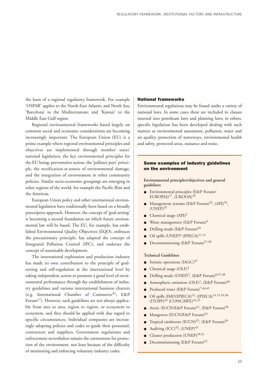the basis of a regional regulatory framework. For example 'OSPAR' applies to the North-East Atlantic and North Sea; 'Barcelona' to the Mediterranean; and 'Kuwait' to the Middle East Gulf region.

Regional environmental frameworks based largely on common social and economic considerations are becoming increasingly important. The European Union (EU) is a prime example where regional environmental principles and objectives are implemented through member states' national legislation, the key environmental principles for the EU being: preventative action, the 'polluter pays' principle, the rectification-at-source of environmental damage, and the integration of environment in other community policies. Similar socio-economic groupings are emerging in other regions of the world, for example the Pacific Rim and the Americas.

European Union policy and other international environmental legislation have traditionally been based on a broadly prescriptive approach. However, the concept of 'goal-setting' is becoming a second foundation on which future environmental law will be based. The EU, for example, has established Environmental Quality Objectives (EQO), embraces the precautionary principle, has adapted the concept of Integrated Pollution Control (IPC), and endorses the concept of sustainable development.

The international exploration and production industry has made its own contribution to the principle of goalsetting and self-regulation at the international level by taking independent action to promote a good level of environmental performance through the establishment of industry guidelines and various international business charters (e.g. International Chamber of Commerce<sup>42</sup>, E&P Forum<sup>17</sup>). However, such guidelines are not always applicable from area to area, region to region, or ecosystem to ecosystem, and they should be applied with due regard to specific circumstances. Individual companies are increasingly adopting policies and codes to guide their personnel, contractors and suppliers. Government regulations and enforcement nevertheless remain the cornerstone for protection of the environment, not least because of the difficulty of monitoring and enforcing voluntary industry codes.

#### National frameworks

Environmental regulations may be found under a variety of national laws. In some cases these are included in clauses inserted into petroleum laws and planning laws; in others, specific legislation has been developed dealing with such matters as environmental assessment, pollution, water and air quality, protection of waterways, environmental health and safety, protected areas, nuisance and noise.

#### Some examples of industry guidelines on the environment

**Environmental principles/objectives and general guidelines**

- Environmental principles (E&P Forum/ EUROPIA)17, (UKOOA)18
- Management systems (E&P Forum)<sup>23</sup>, (API)<sup>24</sup>,  $(UNEP)<sup>29</sup>$
- Chemical usage  $(API)^2$
- Waste management (E&P Forum)<sup>4</sup>
- Drilling muds (E&P Forum)<sup>49</sup>
- $\bullet$  Oil spills (UNEP)<sup>8</sup> (IPIECA)<sup>11,13</sup>
- Decommissioning (E&P Forum)<sup>37,38</sup>

#### **Technical Guidelines**

- $\bullet$  Seismic operations (IAGC)<sup>27</sup>
- $\bullet$  Chemical usage (OLF)<sup>3</sup>
- Drilling muds (UNEP)<sup>5</sup>, (E&P Forum)<sup>6,47,48</sup>
- Atmospheric emissions (OLF)<sup>1</sup>, (E&P Forum)<sup>46</sup>
- Produced water (E&P Forum)<sup>7,44,45</sup>
- Oil spills (IMO/IPIECA)<sup>12,</sup> (IPIECA)<sup>14,15,16,36,</sup>  $(TTOPF)^{33}$  (CONCAWE)<sup>34,35</sup>
- Arctic (IUCN/E&P Forum)<sup>21</sup>, (E&P Forum)<sup>30</sup>
- Mangroves (IUCN/E&P Forum)<sup>22</sup>
- Tropical rainforests  $(IUCN)^{25}$ ,  $(E&P$  Forum)<sup>26</sup>
- Auditing  $(ICC)^{42}$ ,  $(UNEP)^{43}$
- Cleaner production (UNEP)<sup>50,51</sup>
- Decommissioning (E&P Forum) $52$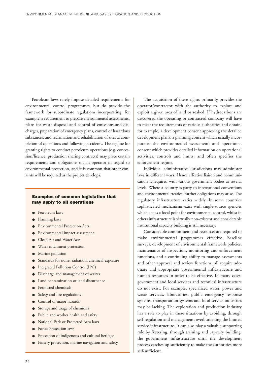Petroleum laws rarely impose detailed requirements for environmental control programmes, but do provide the framework for subordinate regulations incorporating, for example, a requirement to prepare environmental assessments, plans for waste disposal and control of emissions and discharges, preparation of emergency plans, control of hazardous substances, and reclamation and rehabilitation of sites at completion of operations and following accidents. The regime for granting rights to conduct petroleum operations (e.g. concession/licence, production sharing contracts) may place certain requirements and obligations on an operator in regard to environmental protection, and it is common that other consents will be required as the project develops.

#### Examples of common legislation that may apply to oil operations

- Petroleum laws
- Planning laws
- **Environmental Protection Acts**
- Environmental impact assessment
- Clean Air and Water Acts
- Water catchment protection
- Marine pollution
- Standards for noise, radiation, chemical exposure
- Integrated Pollution Control (IPC)
- Discharge and management of wastes
- Land contamination or land disturbance
- Permitted chemicals
- Safety and fire regulations
- Control of major hazards
- Storage and usage of chemicals
- Public and worker health and safety
- National Park or Protected Area laws
- **Forest Protection laws**
- Protection of indigenous and cultural heritage
- Fishery protection, marine navigation and safety

The acquisition of these rights primarily provides the operator/contractor with the authority to explore and exploit a given area of land or seabed. If hydrocarbons are discovered the operating or contracted company will have to meet the requirements of various authorities and obtain, for example, a development consent approving the detailed development plans; a planning consent which usually incorporates the environmental assessment; and operational consent which provides detailed information on operational activities, controls and limits, and often specifies the enforcement regime.

Individual administrative jurisdictions may administer laws in different ways. Hence effective liaison and communication is required with various government bodies at several levels. Where a country is party to international conventions and environmental treaties, further obligations may arise. The regulatory infrastructure varies widely. In some countries sophisticated mechanisms exist with single source agencies which act as a focal point for environmental control, whilst in others infrastructure is virtually non-existent and considerable institutional capacity building is still necessary.

Considerable commitment and resources are required to make environmental programmes effective. Baseline surveys, development of environmental framework policies, maintenance of inspection, monitoring and enforcement functions, and a continuing ability to manage assessments and other approval and review functions, all require adequate and appropriate governmental infrastructure and human resources in order to be effective. In many cases, government and local services and technical infrastructure do not exist. For example, specialized water, power and waste services, laboratories, public emergency response systems, transportation systems and local service industries may be lacking. The exploration and production industry has a role to play in these situations by avoiding, through self-regulation and management, overburdening the limited service infrastructure. It can also play a valuable supporting role by fostering, through training and capacity building, the government infrastructure until the development process catches up sufficiently to make the authorities more self-sufficient.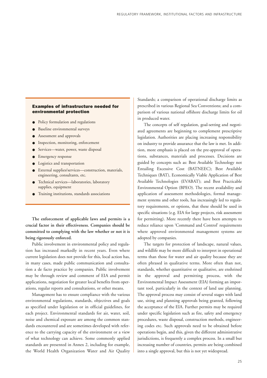#### Examples of infrastructure needed for environmental protection

- Policy formulation and regulations
- Baseline environmental surveys
- Assessment and approvals
- Inspection, monitoring, enforcement
- Services—water, power, waste disposal
- Emergency response
- Logistics and transportation
- External supplies/services—construction, materials, engineering, consultants, etc.
- Technical services-laboratories, laboratory supplies, equipment
- Training institutions, standards associations

**The enforcement of applicable laws and permits is a crucial factor in their effectiveness. Companies should be committed to complying with the law whether or not it is being rigorously enforced.**

Public involvement in environmental policy and regulation has increased markedly in recent years. Even where current legislation does not provide for this, local action has, in many cases, made public communication and consultation a de facto practice by companies. Public involvement may be through review and comment of EIA and permit applications, negotiation for greater local benefits from operations, regular reports and consultations, or other means.

Management has to ensure compliance with the various environmental regulations, standards, objectives and goals as specified under legislation or in official guidelines, for each project. Environmental standards for air, water, soil, noise and chemical exposure are among the common standards encountered and are sometimes developed with reference to the carrying capacity of the environment or a view of what technology can achieve. Some commonly applied standards are presented in Annex 2, including for example, the World Health Organization Water and Air Quality

Standards; a comparison of operational discharge limits as prescribed in various Regional Sea Conventions; and a comparison of various national offshore discharge limits for oil in produced water.

The concepts of self regulation, goal-setting and negotiated agreements are beginning to complement prescriptive legislation. Authorities are placing increasing responsibility on industry to provide assurance that the law is met. In addition, more emphasis is placed on the pre-approval of operations, substances, materials and processes. Decisions are guided by concepts such as: Best Available Technology not Entailing Excessive Cost (BATNEEC); Best Available Techniques (BAT), Economically Viable Application of Best Available Technologies (EVABAT); and Best Practicable Environmental Option (BPEO). The recent availability and application of assessment methodologies, formal management systems and other tools, has increasingly led to regulatory requirements, or options, that these should be used in specific situations (e.g. EIA for large projects, risk assessment for permitting). More recently there have been attempts to reduce reliance upon 'Command and Control' requirements where approved environmental management systems are adopted by companies.

The targets for protection of landscape, natural values, and wildlife may be more difficult to interpret in operational terms than those for water and air quality because they are often phrased in qualitative terms. More often than not, standards, whether quantitative or qualitative, are enshrined in the approval and permitting process, with the Environmental Impact Assessment (EIA) forming an important tool, particularly in the context of land use planning. The approval process may consist of several stages with land use, siting and planning approvals being granted, following the acceptance of the EIA. Further permits may be required under specific legislation such as fire, safety and emergency procedures, waste disposal, construction methods, engineering codes etc. Such approvals need to be obtained before operations begin, and this, given the different administrative jurisdictions, is frequently a complex process. In a small but increasing number of countries, permits are being combined into a single approval, but this is not yet widespread.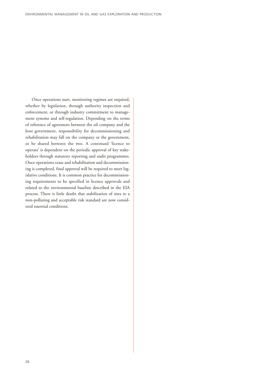Once operations start, monitoring regimes are required, whether by legislation, through authority inspection and enforcement, or through industry commitment to management systems and self-regulation. Depending on the terms of reference of agreement between the oil company and the host government, responsibility for decommissioning and rehabilitation may fall on the company or the government, or be shared between the two. A continued 'licence to operate' is dependent on the periodic approval of key stakeholders through statutory reporting and audit programmes. Once operations cease and rehabilitation and decommissioning is completed, final approval will be required to meet legislative conditions. It is common practice for decommissioning requirements to be specified in licence approvals and related to the environmental baseline described in the EIA process. There is little doubt that stabilization of sites to a non-polluting and acceptable risk standard are now considered essential conditions.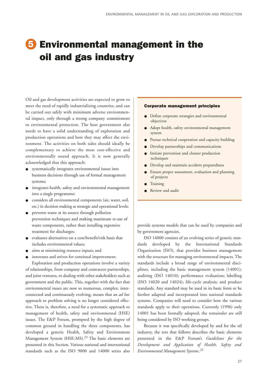### **5** Environmental management in the oil and gas industry

Oil and gas development activities are expected to grow to meet the need of rapidly industrializing countries, and can be carried out safely with minimum adverse environmental impact, only through a strong company commitment to environmental protection. The host government also needs to have a solid understanding of exploration and production operations and how they may affect the environment. The activities on both sides should ideally be complementary to achieve the most cost-effective and environmentally sound approach. It is now generally acknowledged that this approach:

- systematically integrates environmental issues into business decisions through use of formal management systems;
- integrates health, safety and environmental management into a single programme;
- considers all environmental components (air, water, soil, etc.) in decision making at strategic and operational levels;
- prevents waste at its source through pollution prevention techniques and making maximum re-use of waste components, rather than installing expensive treatment for discharges;
- evaluates alternatives on a cost/benefit/risk basis that includes environmental values;
- aims at minimizing resource inputs; and
- innovates and strives for continual improvement.

Exploration and production operations involve a variety of relationships, from company and contractor partnerships, and joint ventures, to dealing with other stakeholders such as government and the public. This, together with the fact that environmental issues are now so numerous, complex, interconnected and continuously evolving, means that an *ad hoc* approach to problem solving is no longer considered effective. There is, therefore, a need for a systematic approach to management of health, safety and environmental (HSE) issues. The E&P Forum, prompted by the high degree of common ground in handling the three components, has developed a generic Health, Safety and Environment Management System (HSE-MS).<sup>23</sup> The basic elements are presented in this Section. Various national and international standards such as the ISO 9000 and 14000 series also

#### Corporate management principles

- Define corporate strategies and environmental objectives
- Adopt health, safety environmental management system
- Pursue technical cooperation and capacity building
- Develop partnerships and communications
- Initiate prevention and cleaner production techniques
- Develop and maintain accident preparedness
- Ensure proper assessment, evaluation and planning of projects
- **Training**
- Review and audit

provide systems models that can be used by companies and by government agencies.

ISO 14000 consists of an evolving series of generic standards developed by the International Standards Organization (ISO), that provides business management with the structure for managing environmental impacts. The standards include a broad range of environmental disciplines, including the basic management system (14001); auditing (ISO 14010); performance evaluation; labelling (ISO 14020 and 14024); life-cycle analysis; and product standards. Any standard may be used in its basic form or be further adapted and incorporated into national standards systems. Companies will need to consider how the various standards apply to their operations. Currently (1996) only 14001 has been formally adopted; the remainder are still being considered by ISO working groups.

Because it was specifically developed by and for the oil industry, the text that follows describes the basic elements presented in the E&P Forum's *Guidelines for the Development and Application of Health, Safety and Environmental Management Systems*. 23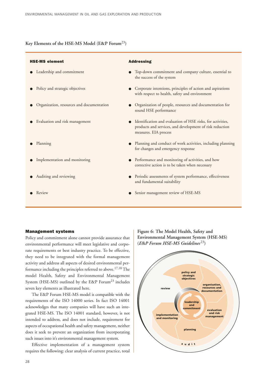**Key Elements of the HSE-MS Model (E&P Forum**23**)**

| <b>HSE-MS element</b>                     | <b>Addressing</b>                                                                                                                                |
|-------------------------------------------|--------------------------------------------------------------------------------------------------------------------------------------------------|
| Leadership and commitment                 | Top-down commitment and company culture, essential to<br>the success of the system                                                               |
| Policy and strategic objectives           | Corporate intentions, principles of action and aspirations<br>with respect to health, safety and environment                                     |
| Organization, resources and documentation | Organization of people, resources and documentation for<br>sound HSE performance                                                                 |
| Evaluation and risk management            | Identification and evaluation of HSE risks, for activities,<br>products and services, and development of risk reduction<br>measures. EIA process |
| Planning                                  | Planning and conduct of work activities, including planning<br>for changes and emergency response                                                |
| Implementation and monitoring             | Performance and monitoring of activities, and how<br>corrective action is to be taken when necessary                                             |
| Auditing and reviewing                    | Periodic assessments of system performance, effectiveness<br>and fundamental suitability                                                         |
| Review                                    | Senior management review of HSE-MS                                                                                                               |

#### Management systems

Policy and commitment alone cannot provide assurance that environmental performance will meet legislative and corporate requirements or best industry practice. To be effective, they need to be integrated with the formal management activity and address all aspects of desired environmental performance including the principles referred to above.17,18 The model Health, Safety and Environmental Management System (HSE-MS) outlined by the E&P Forum<sup>23</sup> includes seven key elements as illustrated here.

The E&P Forum HSE-MS model is compatible with the requirements of the ISO 14000 series. In fact ISO 14001 acknowledges that many companies will have such an integrated HSE-MS. The ISO 14001 standard, however, is not intended to address, and does not include, requirement for aspects of occupational health and safety management, neither does it seek to prevent an organization from incorporating such issues into it's environmental management system.

Effective implementation of a management system requires the following: clear analysis of current practice, total **Figure 6: The Model Health, Safety and Environmental Management System (HSE-MS) (***E&P Forum HSE-MS Guidelines* <sup>23</sup>**)**

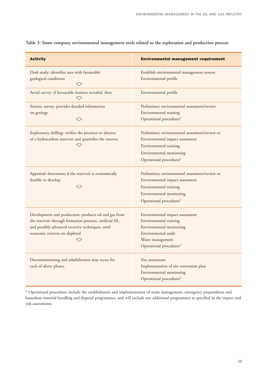| <b>Activity</b>                                                                                                                                                                                                | <b>Environmental management requirement</b>                                                                                                                        |
|----------------------------------------------------------------------------------------------------------------------------------------------------------------------------------------------------------------|--------------------------------------------------------------------------------------------------------------------------------------------------------------------|
| Desk study: identifies area with favourable<br>geological conditions<br>▽                                                                                                                                      | Establish environmental management system<br>Environmental profile                                                                                                 |
| Aerial survey: if favourable features revealed, then<br>▽                                                                                                                                                      | Environmental profile                                                                                                                                              |
| Seismic survey: provides detailed information<br>on geology<br>▽                                                                                                                                               | Preliminary environmental assessment/review<br>Environmental training<br>Operational procedures*                                                                   |
| Exploratory drilling: verifies the presence or absence<br>of a hydrocarbon reservoir and quantifies the reserves<br>▽                                                                                          | Preliminary environmental assessment/review or<br>Environmental impact assessment<br>Environmental training<br>Environmental monitoring<br>Operational procedures* |
| Appraisal: determines if the reservoir is economically<br>feasible to develop<br>▽                                                                                                                             | Preliminary environmental assessment/review or<br>Environmental impact assessment<br>Environmental training<br>Environmental monitoring<br>Operational procedures* |
| Development and production: produces oil and gas from<br>the reservoir through formation pressure, artificial lift,<br>and possibly advanced recovery techniques, until<br>economic reserves are depleted<br>▽ | Environmental impact assessment<br>Environmental training<br>Environmental monitoring<br>Environmental audit<br>Waste management<br>Operational procedures*        |
| Decommissioning and rehabilitation may occur for<br>each of above phases.                                                                                                                                      | Site assessment<br>Implementation of site restoration plan<br>Environmental monitoring<br>Operational procedures*                                                  |

**Table 3: Some company environmental management tools related to the exploration and production process**

\* Operational procedures include the establishment and implementation of waste management, emergency preparedness and hazardous material handling and disposal programmes, and will include any additional programmes as specified in the impact and risk assessments.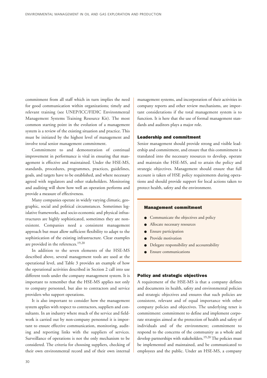commitment from all staff which in turn implies the need for good communication within organizations; timely and relevant training (see UNEP/ICC/FIDIC Environmental Management Systems Training Resource Kit). The most common starting point in the evolution of a management system is a review of the existing situation and practice. This must be initiated by the highest level of management and involve total senior management commitment.

Commitment to and demonstration of continual improvement in performance is vital in ensuring that management is effective and maintained. Under the HSE-MS, standards, procedures, programmes, practices, guidelines, goals, and targets have to be established, and where necessary agreed with regulators and other stakeholders. Monitoring and auditing will show how well an operation performs and provide a measure of effectiveness.

Many companies operate in widely varying climatic, geographic, social and political circumstances. Sometimes legislative frameworks, and socio-economic and physical infrastructures are highly sophisticated, sometimes they are nonexistent. Companies need a consistent management approach but must allow sufficient flexibility to adapt to the sophistication of the existing infrastructure. Clear examples are provided in the references.19,20

In addition to the seven elements of the HSE-MS described above, several management tools are used at the operational level, and Table 3 provides an example of how the operational activities described in Section 2 call into use different tools under the company management system. It is important to remember that the HSE-MS applies not only to company personnel, but also to contractors and service providers who support operations.

It is also important to consider how the management system applies with respect to contractors, suppliers and consultants. In an industry where much of the service and fieldwork is carried out by non-company personnel it is important to ensure effective communication, monitoring, auditing and reporting links with the suppliers of services. Surveillance of operations is not the only mechanism to be considered. The criteria for choosing suppliers, checking of their own environmental record and of their own internal management systems, and incorporation of their activities in company reports and other review mechanisms, are important considerations if the total management system is to function. It is here that the use of formal management standards and auditors plays a major role.

#### Leadership and commitment

Senior management should provide strong and visible leadership and commitment, and ensure that this commitment is translated into the necessary resources to develop, operate and maintain the HSE-MS, and to attain the policy and strategic objectives. Management should ensure that full account is taken of HSE policy requirements during operations and should provide support for local actions taken to protect health, safety and the environment.

#### Management commitment

- Communicate the objectives and policy
- Allocate necessary resources
- Ensure participation
- Provide motivation
- Delegate responsibility and accountability
- Ensure communications

#### Policy and strategic objectives

A requirement of the HSE-MS is that a company defines and documents its health, safety and environmental policies and strategic objectives and ensures that such policies are consistent, relevant and of equal importance with other company policies and objectives. The underlying tenet is commitment: commitment to define and implement corporate strategies aimed at the protection of health and safety of individuals and of the environment; commitment to respond to the concerns of the community as a whole and develop partnerships with stakeholders.<sup>19,20</sup> The policies must be implemented and maintained, and be communicated to employees and the public. Under an HSE-MS, a company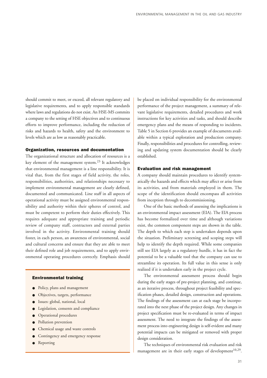should commit to meet, or exceed, all relevant regulatory and legislative requirements, and to apply responsible standards where laws and regulations do not exist. An HSE-MS commits a company to the setting of HSE objectives and to continuous efforts to improve performance, including the reduction of risks and hazards to health, safety and the environment to levels which are as low as reasonably practicable.

#### Organization, resources and documentation

The organizational structure and allocation of resources is a key element of the management system.<sup>23</sup> It acknowledges that environmental management is a line responsibility. It is vital that, from the first stages of field activity, the roles, responsibilities, authorities, and relationships necessary to implement environmental management are clearly defined, documented and communicated. Line staff in all aspects of operational activity must be assigned environmental responsibility and authority within their spheres of control, and must be competent to perform their duties effectively. This requires adequate and appropriate training and periodic review of company staff, contractors and external parties involved in the activity. Environmental training should foster, in each person, an awareness of environmental, social and cultural concerns and ensure that they are able to meet their defined role and job requirements, and to apply environmental operating procedures correctly. Emphasis should

#### Environmental training

- Policy, plans and management
- Objectives, targets, performance
- Issues: global, national, local
- Legislation, consents and compliance
- Operational procedures
- Pollution prevention
- Chemical usage and waste controls
- Contingency and emergency response
- Reporting

be placed on individual responsibility for the environmental performance of the project management, a summary of relevant legislative requirements, detailed procedures and work instructions for key activities and tasks, and should describe emergency plans and the means of responding to incidents. Table 5 in Section 6 provides an example of documents available within a typical exploration and production company. Finally, responsibilities and procedures for controlling, reviewing and updating system documentation should be clearly established.

#### Evaluation and risk management

A company should maintain procedures to identify systematically the hazards and effects which may affect or arise from its activities, and from materials employed in them. The scope of the identification should encompass all activities from inception through to decommissioning.

One of the basic methods of assessing the implications is an environmental impact assessment (EIA). The EIA process has become formalized over time and although variations exist, the common component steps are shown in the table. The depth to which each step is undertaken depends upon the situation. Preliminary screening and scoping steps will help to identify the depth required. While some companies still see EIA largely as a regulatory hurdle, it has in fact the potential to be a valuable tool that the company can use to streamline its operation. Its full value in this sense is only realized if it is undertaken early in the project cycle.

The environmental assessment process should begin during the early stages of pre-project planning, and continue, as an iterative process, throughout project feasibility and specification phases, detailed design, construction and operations. The findings of the assessment can at each stage be incorporated into the next phase of the project design. Any changes in project specification must be re-evaluated in terms of impact assessment. The need to integrate the findings of the assessment process into engineering design is self-evident and many potential impacts can be mitigated or removed with proper design consideration.

The techniques of environmental risk evaluation and risk management are in their early stages of development<sup>10,29</sup>.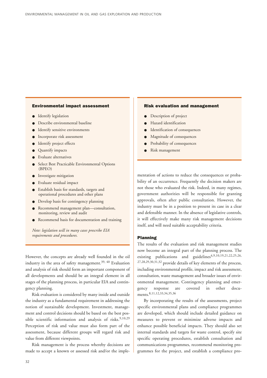#### Environmental impact assessment

- Identify legislation
- Describe environmental baseline
- Identify sensitive environments
- Incorporate risk assessment
- Identify project effects
- Quantify impacts
- **Evaluate alternatives**
- Select Best Practicable Environmental Options (BPEO)
- **•** Investigate mitigation
- Evaluate residual impact
- Establish basis for standards, targets and operational procedures and other plans
- Develop basis for contingency planning
- Recommend management plan—consultation, monitoring, review and audit
- Recommend basis for documentation and training

*Note: legislation will in many cases prescribe EIA requirements and procedures.*

However, the concepts are already well founded in the oil industry in the area of safety management.<sup>39, 40</sup> Evaluation and analysis of risk should form an important component of all developments and should be an integral element in all stages of the planning process, in particular EIA and contingency planning.

Risk evaluation is considered by many inside and outside the industry as a fundamental requirement in addressing the notion of sustainable development. Investment, management and control decisions should be based on the best possible scientific information and analysis of risks.<sup>9,10,29</sup> Perception of risk and value must also form part of the assessment, because different groups will regard risk and value from different viewpoints.

Risk management is the process whereby decisions are made to accept a known or assessed risk and/or the imple-

#### Risk evaluation and management

- Description of project
- **Hazard** identification
- Identification of consequences
- Magnitude of consequences
- Probability of consequences
- Risk management

mentation of actions to reduce the consequences or probability of an occurrence. Frequently the decision makers are not those who evaluated the risk. Indeed, in many regimes, government authorities will be responsible for granting approvals, often after public consultation. However, the industry must be in a position to present its case in a clear and defensible manner. In the absence of legislative controls, it will effectively make many risk management decisions itself, and will need suitable acceptability criteria.

#### Planning

The results of the evaluation and risk management studies now become an integral part of the planning process. The existing publications and guidelines<sup>4,9,10,19,21,22,25,26,</sup> 27,28,29,30,31,32 provide details of key elements of the process, including environmental profile, impact and risk assessment, consultation, waste management and broader issues of environmental management. Contingency planning and emergency response are covered in other documents.<sup>8,11,12,33,34,35,36</sup>

By incorporating the results of the assessments, project specific environmental plans and compliance programmes are developed, which should include detailed guidance on measures to prevent or minimize adverse impacts and enhance possible beneficial impacts. They should also set internal standards and targets for waste control, specify site specific operating procedures, establish consultation and communications programmes, recommend monitoring programmes for the project, and establish a compliance pro-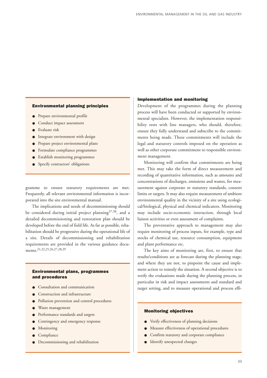#### Environmental planning principles

- Prepare environmental profile
- Conduct impact assessment
- Evaluate risk
- Integrate environment with design
- Prepare project environmental plans
- Formulate compliance programmes
- Establish monitoring programmes
- Specify contractors' obligations

gramme to ensure statutory requirements are met. Frequently, all relevant environmental information is incorporated into the site environmental manual.

The implications and needs of decommissioning should be considered during initial project planning<sup>37,38</sup>, and a detailed decommissioning and restoration plan should be developed before the end of field life. As far as possible, rehabilitation should be progressive during the operational life of a site. Details of decommissioning and rehabilitation requirements are provided in the various guidance documents.<sup>21,22,25,26,27,28,29</sup>

#### Environmental plans, programmes and procedures

- Consultation and communication
- Construction and infrastructure
- Pollution prevention and control procedures
- Waste management
- Performance standards and targets
- Contingency and emergency response
- **Monitoring**
- Compliance
- Decommissioning and rehabilitation

#### Implementation and monitoring

Development of the programmes during the planning process will have been conducted or supported by environmental specialists. However, the implementation responsibility rests with line managers, who should, therefore, ensure they fully understand and subscribe to the commitments being made. These commitments will include the legal and statutory controls imposed on the operation as well as other corporate commitment to responsible environment management.

Monitoring will confirm that commitments are being met. This may take the form of direct measurement and recording of quantitative information, such as amounts and concentrations of discharges, emissions and wastes, for measurement against corporate or statutory standards, consent limits or targets. It may also require measurement of ambient environmental quality in the vicinity of a site using ecological/biological, physical and chemical indicators. Monitoring may include socio-economic interaction, through local liaison activities or even assessment of complaints.

The preventative approach to management may also require monitoring of process inputs, for example, type and stocks of chemical use, resource consumption, equipment and plant performance etc.

The key aims of monitoring are, first, to ensure that results/conditions are as forecast during the planning stage, and where they are not, to pinpoint the cause and implement action to remedy the situation. A second objective is to verify the evaluations made during the planning process, in particular in risk and impact assessments and standard and target setting, and to measure operational and process effi-

#### Monitoring objectives

- Verify effectiveness of planning decisions
- Measure effectiveness of operational procedures
- Confirm statutory and corporate compliance
- Identify unexpected changes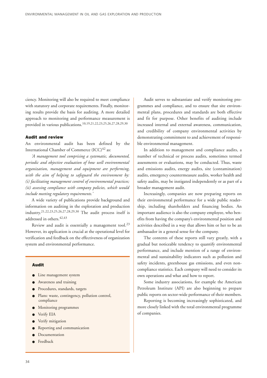ciency. Monitoring will also be required to meet compliance with statutory and corporate requirements. Finally, monitoring results provide the basis for auditing. A more detailed approach to monitoring and performance measurement is provided in various publications.10,19,21,22,23,25,26,27,28,29,30

#### Audit and review

An environmental audit has been defined by the International Chamber of Commerce (ICC)<sup>42</sup> as:

*'A management tool comprising a systematic, documented, periodic and objective evaluation of how well environmental organization, management and equipment are performing, with the aim of helping to safeguard the environment by: (i) facilitating management control of environmental practices; (ii) assessing compliance with company policies, which would include meeting regulatory requirements.'*

A wide variety of publications provide background and information on auditing in the exploration and production industry.21,22,23,25,26,27,28,29,30 The audit process itself is addressed in others.<sup>42,43</sup>

Review and audit is essentially a management tool.<sup>23</sup> However, its application is crucial at the operational level for verification and feedback on the effectiveness of organization system and environmental performance.

#### Audit

- Line management system
- Awareness and training
- Procedures, standards, targets
- Plans: waste, contingency, pollution control, compliance
- Monitoring programmes
- Verify EIA
- Verify mitigation
- Reporting and communication
- Documentation
- Feedback

Audit serves to substantiate and verify monitoring programmes and compliance, and to ensure that site environmental plans, procedures and standards are both effective and fit for purpose. Other benefits of auditing include increased internal and external awareness, communication, and credibility of company environmental activities by demonstrating commitment to and achievement of responsible environmental management.

In addition to management and compliance audits, a number of technical or process audits, sometimes termed assessments or evaluations, may be conducted. Thus, waste and emissions audits, energy audits, site (contamination) audits, emergency countermeasure audits, worker health and safety audits, may be instigated independently or as part of a broader management audit.

Increasingly, companies are now preparing reports on their environmental performance for a wide public readership, including shareholders and financing bodies. An important audience is also the company employee, who benefits from having the company's environmental position and activities described in a way that allows him or her to be an ambassador in a general sense for the company.

The contents of these reports still vary greatly, with a gradual but noticeable tendency to quantify environmental performance, and include mention of a range of environmental and sustainability indicators such as pollution and safety incidents, greenhouse gas emissions, and even noncompliance statistics. Each company will need to consider its own operations and what and how to report.

Some industry associations, for example the American Petroleum Institute (API) are also beginning to prepare public reports on sector-wide performance of their members.

Reporting is becoming increasingly sophisticated, and more closely linked with the total environmental programme of companies.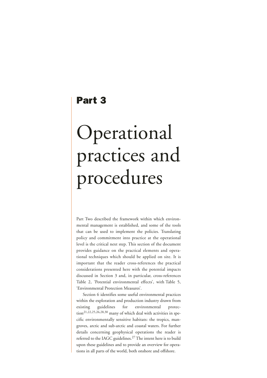### Part 3

# Operational practices and procedures

Part Two described the framework within which environmental management is established, and some of the tools that can be used to implement the policies. Translating policy and commitment into practice at the operational level is the critical next step. This section of the document provides guidance on the practical elements and operational techniques which should be applied on site. It is important that the reader cross-references the practical considerations presented here with the potential impacts discussed in Section 3 and, in particular, cross-references Table 2, 'Potential environmental effects', with Table 5, 'Environmental Protection Measures'.

Section 6 identifies some useful environmental practices within the exploration and production industry drawn from existing guidelines for environmental protection21,22,25,26,28,30 many of which deal with activities in specific environmentally sensitive habitats: the tropics, mangroves, arctic and sub-arctic and coastal waters. For further details concerning geophysical operations the reader is referred to the IAGC guidelines.27 The intent here is to build upon these guidelines and to provide an overview for operations in all parts of the world, both onshore and offshore.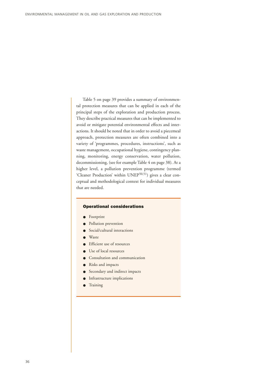Table 5 on page 39 provides a summary of environmental protection measures that can be applied in each of the principal steps of the exploration and production process. They describe practical measures that can be implemented to avoid or mitigate potential environmental effects and interactions. It should be noted that in order to avoid a piecemeal approach, protection measures are often combined into a variety of 'programmes, procedures, instructions', such as waste management, occupational hygiene, contingency planning, monitoring, energy conservation, water pollution, decommissioning, (see for example Table 4 on page 38). At a higher level, a pollution prevention programme (termed 'Cleaner Production' within UNEP50,51) gives a clear conceptual and methodological context for individual measures that are needed.

#### Operational considerations

- Footprint
- Pollution prevention
- Social/cultural interactions
- Waste
- Efficient use of resources
- Use of local resources
- Consultation and communication
- Risks and impacts
- Secondary and indirect impacts
- Infrastructure implications
- **Training**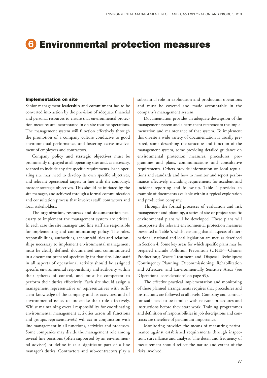### **6** Environmental protection measures

#### Implementation on site

Senior management **leadership** and **commitment** has to be converted into action by the provision of adequate financial and personal resources to ensure that environmental protection measures are incorporated in on-site routine operations. The management system will function effectively through the promotion of a company culture conducive to good environmental performance, and fostering active involvement of employees and contractors.

Company **policy and strategic objectives** must be prominently displayed at all operating sites and, as necessary, adapted to include any site specific requirements. Each operating site may need to develop its own specific objectives, and relevant operational targets in line with the company's broader strategic objectives. This should be initiated by the site manager, and achieved through a formal communication and consultation process that involves staff, contractors and local stakeholders.

The **organization, resources and documentation** necessary to implement the management system are critical. In each case the site manager and line staff are responsible for implementing and communicating policy. The roles, responsibilities, authorities, accountabilities and relationships necessary to implement environmental management must be clearly defined, documented and communicated in a document prepared specifically for that site. Line staff in all aspects of operational activity should be assigned specific environmental responsibility and authority within their spheres of control, and must be competent to perform their duties effectively. Each site should assign a management representative or representatives with sufficient knowledge of the company and its activities, and of environmental issues to undertake their role effectively. Whilst maintaining overall responsibility for coordinating environmental management activities across all functions and groups, representative(s) will act in conjunction with line management in all functions, activities and processes. Some companies may divide the management role among several line positions (often supported by an environmental adviser) or define it as a significant part of a line manager's duties. Contractors and sub-contractors play a

substantial role in exploration and production operations and must be covered and made accountable in the company's management system.

Documentation provides an adequate description of the management system and a permanent reference to the implementation and maintenance of that system. To implement this on-site a wide variety of documentation is usually prepared, some describing the structure and function of the management system, some providing detailed guidance on environmental protection measures, procedures, programmes and plans, communications and consultative requirements. Others provide information on local regulations and standards and how to monitor and report performance effectively, including requirements for accident and incident reporting and follow-up. Table 4 provides an example of documents available within a typical exploration and production company.

Through the formal processes of evaluation and risk management and planning, a series of site or project specific environmental plans will be developed. These plans will incorporate the relevant environmental protection measures presented in Table 5, whilst ensuring that all aspects of international, national and local legislation are met, as described in Section 4. Some key areas for which specific plans may be prepared include Pollution Prevention (UNEP—Cleaner Production); Waste Treatment and Disposal Techniques; Contingency Planning; Decommissioning, Rehabilitation and Aftercare; and Environmentally Sensitive Areas (see 'Operational considerations' on page 49).

The effective practical implementation and monitoring of these planned arrangements requires that procedures and instructions are followed at all levels. Company and contractor staff need to be familiar with relevant procedures and instructions before they start work. Training programmes and definition of responsibilities in job descriptions and contracts are therefore of paramount importance.

Monitoring provides the means of measuring performance against established requirements through inspection, surveillance and analysis. The detail and frequency of measurement should reflect the nature and extent of the risks involved.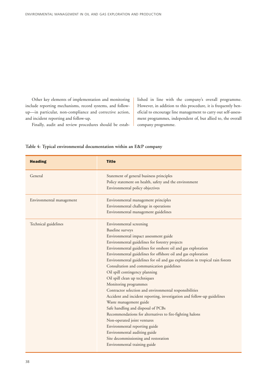Other key elements of implementation and monitoring include reporting mechanisms, record systems, and followup—in particular, non-compliance and corrective action, and incident reporting and follow-up.

Finally, audit and review procedures should be estab-

lished in line with the company's overall programme. However, in addition to this procedure, it is frequently beneficial to encourage line management to carry out self-assessment programmes, independent of, but allied to, the overall company programme.

| <b>Heading</b>           | <b>Title</b>                                                                  |
|--------------------------|-------------------------------------------------------------------------------|
| General                  | Statement of general business principles                                      |
|                          | Policy statement on health, safety and the environment                        |
|                          | Environmental policy objectives                                               |
| Environmental management | Environmental management principles                                           |
|                          | Environmental challenge in operations                                         |
|                          | Environmental management guidelines                                           |
| Technical guidelines     | Environmental screening                                                       |
|                          | <b>Baseline</b> surveys                                                       |
|                          | Environmental impact assessment guide                                         |
|                          | Environmental guidelines for forestry projects                                |
|                          | Environmental guidelines for onshore oil and gas exploration                  |
|                          | Environmental guidelines for offshore oil and gas exploration                 |
|                          | Environmental guidelines for oil and gas exploration in tropical rain forests |
|                          | Consultation and communication guidelines                                     |
|                          | Oil spill contingency planning                                                |
|                          | Oil spill clean up techniques                                                 |
|                          | Monitoring programmes                                                         |
|                          | Contractor selection and environmental responsibilities                       |
|                          | Accident and incident reporting, investigation and follow-up guidelines       |
|                          | Waste management guide                                                        |
|                          | Safe handling and disposal of PCBs                                            |
|                          | Recommendations for alternatives to fire-fighting halons                      |
|                          | Non-operated joint ventures                                                   |
|                          | Environmental reporting guide                                                 |
|                          | Environmental auditing guide                                                  |
|                          | Site decommissioning and restoration                                          |
|                          | Environmental training guide                                                  |

#### **Table 4: Typical environmental documentation within an E&P company**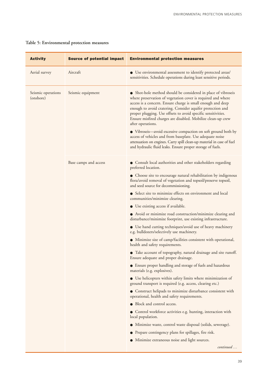| <b>Activity</b>                 | <b>Source of potential impact</b> | <b>Environmental protection measures</b>                                                                                                                                                                                                                                                                                                                                                                                                                                                                                                                                                                                                                                              |
|---------------------------------|-----------------------------------|---------------------------------------------------------------------------------------------------------------------------------------------------------------------------------------------------------------------------------------------------------------------------------------------------------------------------------------------------------------------------------------------------------------------------------------------------------------------------------------------------------------------------------------------------------------------------------------------------------------------------------------------------------------------------------------|
| Aerial survey                   | Aircraft                          | • Use environmental assessment to identify protected areas/<br>sensitivities. Schedule operations during least sensitive periods.                                                                                                                                                                                                                                                                                                                                                                                                                                                                                                                                                     |
| Seismic operations<br>(onshore) | Seismic equipment                 | • Shot-hole method should be considered in place of vibroseis<br>where preservation of vegetation cover is required and where<br>access is a concern. Ensure charge is small enough and deep<br>enough to avoid cratering. Consider aquifer protection and<br>proper plugging. Use offsets to avoid specific sensitivities.<br>Ensure misfired charges are disabled. Mobilize clean-up crew<br>after operations.<br>• Vibroseis—avoid excessive compaction on soft ground both by<br>access of vehicles and from baseplate. Use adequate noise<br>attenuation on engines. Carry spill clean-up material in case of fuel<br>and hydraulic fluid leaks. Ensure proper storage of fuels. |
|                                 | Base camps and access             | • Consult local authorities and other stakeholders regarding<br>preferred location.                                                                                                                                                                                                                                                                                                                                                                                                                                                                                                                                                                                                   |
|                                 |                                   | • Choose site to encourage natural rehabilitation by indigenous<br>flora/avoid removal of vegetation and topsoil/preserve topsoil,<br>and seed source for decommissioning.                                                                                                                                                                                                                                                                                                                                                                                                                                                                                                            |
|                                 |                                   | • Select site to minimize effects on environment and local<br>communities/minimize clearing.                                                                                                                                                                                                                                                                                                                                                                                                                                                                                                                                                                                          |
|                                 |                                   | • Use existing access if available.                                                                                                                                                                                                                                                                                                                                                                                                                                                                                                                                                                                                                                                   |
|                                 |                                   | • Avoid or minimize road construction/minimize clearing and<br>disturbance/minimize footprint, use existing infrastructure.                                                                                                                                                                                                                                                                                                                                                                                                                                                                                                                                                           |
|                                 |                                   | • Use hand cutting techniques/avoid use of heavy machinery<br>e.g. bulldozers/selectively use machinery.                                                                                                                                                                                                                                                                                                                                                                                                                                                                                                                                                                              |
|                                 |                                   | • Minimize size of camp/facilities consistent with operational,<br>health and safety requirements.                                                                                                                                                                                                                                                                                                                                                                                                                                                                                                                                                                                    |
|                                 |                                   | • Take account of topography, natural drainage and site runoff.<br>Ensure adequate and proper drainage.                                                                                                                                                                                                                                                                                                                                                                                                                                                                                                                                                                               |
|                                 |                                   | • Ensure proper handling and storage of fuels and hazardous<br>materials (e.g. explosives).                                                                                                                                                                                                                                                                                                                                                                                                                                                                                                                                                                                           |
|                                 |                                   | • Use helicopters within safety limits where minimization of<br>ground transport is required (e.g. access, clearing etc.)                                                                                                                                                                                                                                                                                                                                                                                                                                                                                                                                                             |
|                                 |                                   | • Construct helipads to minimize disturbance consistent with<br>operational, health and safety requirements.                                                                                                                                                                                                                                                                                                                                                                                                                                                                                                                                                                          |
|                                 |                                   | • Block and control access.                                                                                                                                                                                                                                                                                                                                                                                                                                                                                                                                                                                                                                                           |
|                                 |                                   | • Control workforce activities e.g. hunting, interaction with<br>local population.                                                                                                                                                                                                                                                                                                                                                                                                                                                                                                                                                                                                    |
|                                 |                                   | • Minimize waste, control waste disposal (solids, sewerage).                                                                                                                                                                                                                                                                                                                                                                                                                                                                                                                                                                                                                          |
|                                 |                                   | • Prepare contingency plans for spillages, fire risk.                                                                                                                                                                                                                                                                                                                                                                                                                                                                                                                                                                                                                                 |
|                                 |                                   | • Minimize extraneous noise and light sources.                                                                                                                                                                                                                                                                                                                                                                                                                                                                                                                                                                                                                                        |
|                                 |                                   | continued                                                                                                                                                                                                                                                                                                                                                                                                                                                                                                                                                                                                                                                                             |

#### **Table 5: Environmental protection measures**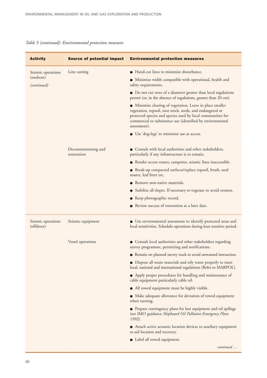| <b>Activity</b>                                       | <b>Source of potential impact</b>  | <b>Environmental protection measures</b>                                                                                                                                                                                                                                                                                                                                                                                                                                                                                                                                                                                                                                                                                                                                                                                                                       |
|-------------------------------------------------------|------------------------------------|----------------------------------------------------------------------------------------------------------------------------------------------------------------------------------------------------------------------------------------------------------------------------------------------------------------------------------------------------------------------------------------------------------------------------------------------------------------------------------------------------------------------------------------------------------------------------------------------------------------------------------------------------------------------------------------------------------------------------------------------------------------------------------------------------------------------------------------------------------------|
| Seismic operations<br>(onshore)<br><i>(continued)</i> | Line cutting                       | • Hand-cut lines to minimize disturbance.<br>• Minimize width compatible with operational, health and<br>safety requirements.<br>• Do not cut trees of a diameter greater than local regulations<br>permit (or, in the absence of regulations, greater than 20 cm).<br>• Minimize clearing of vegetation. Leave in place smaller<br>vegetation, topsoil, root stock, seeds, and endangered or<br>protected species and species used by local communities for<br>commercial or subsistence use (identified by environmental<br>assessment).<br>• Use 'dog-legs' to minimize use as access.                                                                                                                                                                                                                                                                      |
|                                                       | Decommissioning and<br>restoration | • Consult with local authorities and other stakeholders,<br>particularly if any infrastructure is to remain.<br>• Render access routes, campsites, seismic lines inaccessible.<br>• Break-up compacted surfaces/replace topsoil, brash, seed<br>source, leaf litter etc.<br>• Remove non-native materials.<br>Stabilize all slopes. If necessary re-vegetate to avoid erosion.<br>$\bullet$<br>• Keep photographic record.<br>Review success of restoration at a later date.                                                                                                                                                                                                                                                                                                                                                                                   |
| Seismic operations<br>(offshore)                      | Seismic equipment                  | • Use environmental assessment to identify protected areas and<br>local sensitivities. Schedule operations during least sensitive period.                                                                                                                                                                                                                                                                                                                                                                                                                                                                                                                                                                                                                                                                                                                      |
|                                                       | Vessel operations                  | • Consult local authorities and other stakeholders regarding<br>survey programme, permitting and notifications.<br>• Remain on planned survey track to avoid unwanted interaction.<br>• Dispose all waste materials and oily water properly to meet<br>local, national and international regulations (Refer to MARPOL).<br>• Apply proper procedures for handling and maintenance of<br>cable equipment particularly cable oil.<br>• All towed equipment must be highly visible.<br>• Make adequate allowance for deviation of towed equipment<br>when turning.<br>• Prepare contingency plans for lost equipment and oil spillage<br>(see IMO guidance Shipboard Oil Pollution Emergency Plans<br>$1992$ ).<br>• Attach active acoustic location devices to auxiliary equipment<br>to aid location and recovery.<br>• Label all towed equipment.<br>continued |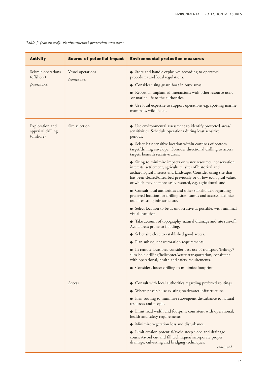| <b>Activity</b>                                        | <b>Source of potential impact</b>       | <b>Environmental protection measures</b>                                                                                                                                                                                                                                                                                                                                                                                                                                                                                                                                                                                                                                                                                                                                                                                                                                                                                                                                                                                                                                                                                                                                                                                                                                                                                                                                        |
|--------------------------------------------------------|-----------------------------------------|---------------------------------------------------------------------------------------------------------------------------------------------------------------------------------------------------------------------------------------------------------------------------------------------------------------------------------------------------------------------------------------------------------------------------------------------------------------------------------------------------------------------------------------------------------------------------------------------------------------------------------------------------------------------------------------------------------------------------------------------------------------------------------------------------------------------------------------------------------------------------------------------------------------------------------------------------------------------------------------------------------------------------------------------------------------------------------------------------------------------------------------------------------------------------------------------------------------------------------------------------------------------------------------------------------------------------------------------------------------------------------|
| Seismic operations<br>(offshore)<br><i>(continued)</i> | Vessel operations<br><i>(continued)</i> | • Store and handle explosives according to operators'<br>procedures and local regulations.<br>• Consider using guard boat in busy areas.<br>• Report all unplanned interactions with other resource users<br>or marine life to the authorities.<br>• Use local expertise to support operations e.g. spotting marine<br>mammals, wildlife etc.                                                                                                                                                                                                                                                                                                                                                                                                                                                                                                                                                                                                                                                                                                                                                                                                                                                                                                                                                                                                                                   |
| Exploration and<br>appraisal drilling<br>(onshore)     | Site selection                          | • Use environmental assessment to identify protected areas/<br>sensitivities. Schedule operations during least sensitive<br>periods.<br>• Select least sensitive location within confines of bottom<br>target/drilling envelope. Consider directional drilling to access<br>targets beneath sensitive areas.<br>• Siting to minimize impacts on water resources, conservation<br>interests, settlement, agriculture, sites of historical and<br>archaeological interest and landscape. Consider using site that<br>has been cleared/disturbed previously or of low ecological value,<br>or which may be more easily restored, e.g. agricultural land.<br>• Consult local authorities and other stakeholders regarding<br>preferred location for drilling sites, camps and access/maximize<br>use of existing infrastructure.<br>• Select location to be as unobtrusive as possible, with minimal<br>visual intrusion.<br>• Take account of topography, natural drainage and site run-off.<br>Avoid areas prone to flooding.<br>• Select site close to established good access.<br>• Plan subsequent restoration requirements.<br>• In remote locations, consider best use of transport 'helirigs'/<br>slim-hole drilling/helicopter/water transportation, consistent<br>with operational, health and safety requirements.<br>• Consider cluster drilling to minimize footprint. |
|                                                        | Access                                  | • Consult with local authorities regarding preferred routings.<br>• Where possible use existing road/water infrastructure.<br>• Plan routing to minimize subsequent disturbance to natural<br>resources and people.<br>• Limit road width and footprint consistent with operational,<br>health and safety requirements.<br>• Minimize vegetation loss and disturbance.<br>• Limit erosion potential/avoid steep slope and drainage<br>courses/avoid cut and fill techniques/incorporate proper<br>drainage, culverting and bridging techniques.<br>continued                                                                                                                                                                                                                                                                                                                                                                                                                                                                                                                                                                                                                                                                                                                                                                                                                    |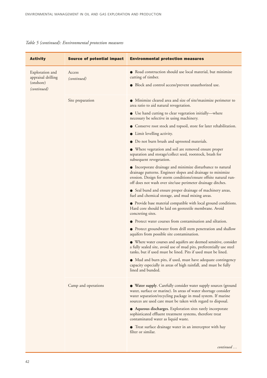| <b>Activity</b>                                    | <b>Source of potential impact</b> | <b>Environmental protection measures</b>                                                                                                                                                                                                                         |
|----------------------------------------------------|-----------------------------------|------------------------------------------------------------------------------------------------------------------------------------------------------------------------------------------------------------------------------------------------------------------|
| Exploration and<br>appraisal drilling<br>(onshore) | Access<br>(continued)             | • Road construction should use local material, but minimize<br>cutting of timber.                                                                                                                                                                                |
| (continued)                                        |                                   | • Block and control access/prevent unauthorized use.                                                                                                                                                                                                             |
|                                                    | Site preparation                  | • Minimize cleared area and size of site/maximize perimeter to<br>area ratio to aid natural revegetation.                                                                                                                                                        |
|                                                    |                                   | • Use hand cutting to clear vegetation initially—where<br>necessary be selective in using machinery.                                                                                                                                                             |
|                                                    |                                   | • Conserve root stock and topsoil, store for later rehabilitation.                                                                                                                                                                                               |
|                                                    |                                   | • Limit levelling activity.                                                                                                                                                                                                                                      |
|                                                    |                                   | • Do not burn brush and uprooted materials.                                                                                                                                                                                                                      |
|                                                    |                                   | • Where vegetation and soil are removed ensure proper<br>separation and storage/collect seed, rootstock, brash for<br>subsequent revegetation.                                                                                                                   |
|                                                    |                                   | • Incorporate drainage and minimize disturbance to natural<br>drainage patterns. Engineer slopes and drainage to minimize<br>erosion. Design for storm conditions/ensure offsite natural run-<br>off does not wash over site/use perimeter drainage ditches.     |
|                                                    |                                   | • Seal bund and ensure proper drainage of machinery areas,<br>fuel and chemical storage, and mud mixing areas.                                                                                                                                                   |
|                                                    |                                   | • Provide base material compatible with local ground conditions.<br>Hard core should be laid on geotextile membrane. Avoid<br>concreting sites.                                                                                                                  |
|                                                    |                                   | • Protect water courses from contamination and siltation.                                                                                                                                                                                                        |
|                                                    |                                   | • Protect groundwater from drill stem penetration and shallow<br>aquifers from possible site contamination.                                                                                                                                                      |
|                                                    |                                   | • Where water courses and aquifers are deemed sensitive, consider<br>a fully sealed site, avoid use of mud pits, preferentially use steel<br>tanks, but if used must be lined. Pits if used must be lined.                                                       |
|                                                    |                                   | • Mud and burn pits, if used, must have adequate contingency<br>capacity especially in areas of high rainfall, and must be fully<br>lined and bunded.                                                                                                            |
|                                                    | Camp and operations               | • Water supply. Carefully consider water supply sources (ground<br>water, surface or marine). In areas of water shortage consider<br>water separation/recycling package in mud system. If marine<br>sources are used care must be taken with regard to disposal. |
|                                                    |                                   | • Aqueous discharges. Exploration sites rarely incorporate<br>sophisticated effluent treatment systems, therefore treat<br>contaminated water as liquid waste.                                                                                                   |
|                                                    |                                   | • Treat surface drainage water in an interceptor with hay<br>filter or similar.                                                                                                                                                                                  |
|                                                    |                                   | continued                                                                                                                                                                                                                                                        |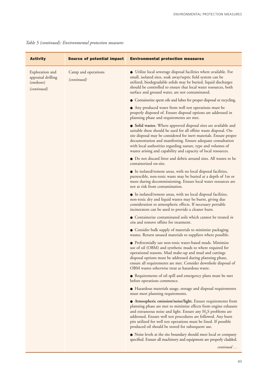| <b>Activity</b>                                                          | <b>Source of potential impact</b>         | <b>Environmental protection measures</b>                                                                                                                                                                                                                                                                                                                                                                    |
|--------------------------------------------------------------------------|-------------------------------------------|-------------------------------------------------------------------------------------------------------------------------------------------------------------------------------------------------------------------------------------------------------------------------------------------------------------------------------------------------------------------------------------------------------------|
| Exploration and<br>appraisal drilling<br>(onshore)<br><i>(continued)</i> | Camp and operations<br><i>(continued)</i> | • Utilize local sewerage disposal facilities where available. For<br>small, isolated sites, soak away/septic field system can be<br>utilized, biodegradable solids may be buried, liquid discharges<br>should be controlled to ensure that local water resources, both<br>surface and ground water, are not contaminated.                                                                                   |
|                                                                          |                                           | • Containerize spent oils and lubes for proper disposal or recycling.                                                                                                                                                                                                                                                                                                                                       |
|                                                                          |                                           | • Any produced water from well test operations must be<br>properly disposed of. Ensure disposal options are addressed in<br>planning phase and requirements are met.                                                                                                                                                                                                                                        |
|                                                                          |                                           | • Solid wastes. Where approved disposal sites are available and<br>suitable these should be used for all offsite waste disposal. On-<br>site disposal may be considered for inert materials. Ensure proper<br>documentation and manifesting. Ensure adequate consultation<br>with local authorities regarding nature, type and volumes of<br>wastes arising and capability and capacity of local resources. |
|                                                                          |                                           | • Do not discard litter and debris around sites. All wastes to be<br>containerized on-site.                                                                                                                                                                                                                                                                                                                 |
|                                                                          |                                           | • In isolated/remote areas, with no local disposal facilities,<br>putrescible, non-toxic waste may be buried at a depth of 1m or<br>more during decommissioning. Ensure local water resources are<br>not at risk from contamination.                                                                                                                                                                        |
|                                                                          |                                           | • In isolated/remote areas, with no local disposal facilities,<br>non-toxic dry and liquid wastes may be burnt, giving due<br>consideration to atmospheric effects. If necessary portable<br>incinerators can be used to provide a cleaner burn.                                                                                                                                                            |
|                                                                          |                                           | • Containerize contaminated soils which cannot be treated in<br>situ and remove offsite for treatment.                                                                                                                                                                                                                                                                                                      |
|                                                                          |                                           | • Consider bulk supply of materials to minimize packaging<br>wastes. Return unused materials to suppliers where possible.                                                                                                                                                                                                                                                                                   |
|                                                                          |                                           | • Preferentially use non-toxic water-based muds. Minimize<br>use of oil (OBM) and synthetic muds to where required for<br>operational reasons. Mud make-up and mud and cuttings<br>disposal options must be addressed during planning phase,<br>ensure all requirements are met. Consider downhole disposal of<br>OBM wastes otherwise treat as hazardous waste.                                            |
|                                                                          |                                           | • Requirements of oil spill and emergency plans must be met<br>before operations commence.                                                                                                                                                                                                                                                                                                                  |
|                                                                          |                                           | • Hazardous materials usage, storage and disposal requirements<br>must meet planning requirements.                                                                                                                                                                                                                                                                                                          |
|                                                                          |                                           | • Atmospheric emission/noise/light. Ensure requirements from<br>planning phase are met to minimize effects from engine exhausts<br>and extraneous noise and light. Ensure any $H_2S$ problems are<br>addressed. Ensure well test procedures are followed. Any burn<br>pits utilized for well test operations must be lined. If possible<br>produced oil should be stored for subsequent use.                |
|                                                                          |                                           | • Noise levels at the site boundary should meet local or company<br>specified. Ensure all machinery and equipment are properly cladded.                                                                                                                                                                                                                                                                     |
|                                                                          |                                           | continued                                                                                                                                                                                                                                                                                                                                                                                                   |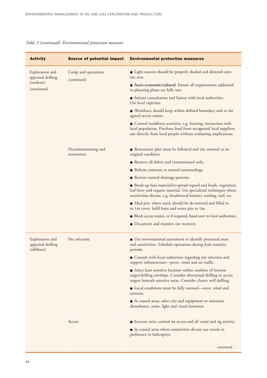| <b>Activity</b>                                                   | <b>Source of potential impact</b>         | <b>Environmental protection measures</b>                                                                                                                                                                                                                                                                                                                                                                                                                                                                                                                                                                                                                                      |
|-------------------------------------------------------------------|-------------------------------------------|-------------------------------------------------------------------------------------------------------------------------------------------------------------------------------------------------------------------------------------------------------------------------------------------------------------------------------------------------------------------------------------------------------------------------------------------------------------------------------------------------------------------------------------------------------------------------------------------------------------------------------------------------------------------------------|
| Exploration and<br>appraisal drilling<br>(onshore)<br>(continued) | Camp and operations<br><i>(continued)</i> | • Light sources should be properly shaded and directed onto<br>site area.<br>· Socio-economic/cultural. Ensure all requirements addressed<br>in planning phase are fully met.<br>• Initiate consultation and liaison with local authorities.<br>Use local expertise.<br>• Workforce should keep within defined boundary and to the<br>agreed access routes.<br>• Control workforce activities, e.g. hunting, interaction with<br>local population. Purchase food from recognized local suppliers,<br>not directly from local people without evaluating implications.                                                                                                          |
|                                                                   | Decommissioning and<br>restoration        | • Restoration plan must be followed and site restored to its<br>original condition.<br>• Remove all debris and contaminated soils.<br>• Reform contours to natural surroundings.<br>• Restore natural drainage patterns.<br>· Break-up base material/re-spread topsoil and brash, vegetation,<br>leaf litter and organic material. Use specialized techniques where<br>sensitivities dictate, e.g. brushwood barriers, seeding, turf, etc.<br>• Mud pits, where used, should be de-watered and filled in<br>to 1m cover. Infill burn and waste pits to 1m.<br>• Block access routes, or if required, hand over to local authorities.<br>• Document and monitor site recovery. |
| Exploration and<br>appraisal drilling<br>(offshore)               | Site selection                            | • Use environmental assessment to identify protected areas<br>and sensitivities. Schedule operations during least sensitive<br>periods.<br>• Consult with local authorities regarding site selection and<br>support infrastructure-ports, vessel and air traffic.<br>• Select least sensitive location within confines of bottom<br>target/drilling envelope. Consider directional drilling to access<br>targets beneath sensitive areas. Consider cluster well drilling.<br>• Local conditions must be fully assessed—wave, wind and<br>currents.<br>• In coastal areas, select site and equipment to minimize<br>disturbance, noise, light and visual intrusion.            |
|                                                                   | Access                                    | • Exercise strict control on access and all vessel and rig activity.<br>• In coastal areas where sensitivities dictate use vessels in<br>preference to helicopters.<br>continued                                                                                                                                                                                                                                                                                                                                                                                                                                                                                              |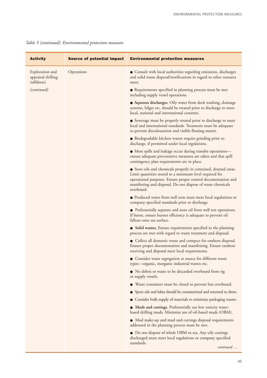| <b>Activity</b>                                     | <b>Source of potential impact</b> | <b>Environmental protection measures</b>                                                                                                                                                                                                                                  |
|-----------------------------------------------------|-----------------------------------|---------------------------------------------------------------------------------------------------------------------------------------------------------------------------------------------------------------------------------------------------------------------------|
| Exploration and<br>appraisal drilling<br>(offshore) | Operations                        | • Consult with local authorities regarding emissions, discharges<br>and solid waste disposal/notifications in regard to other resource<br>users.                                                                                                                          |
| <i>(continued)</i>                                  |                                   | • Requirements specified in planning process must be met<br>including supply vessel operations.                                                                                                                                                                           |
|                                                     |                                   | • Aqueous discharges. Oily water from deck washing, drainage<br>systems, bilges etc. should be treated prior to discharge to meet<br>local, national and international consents.                                                                                          |
|                                                     |                                   | • Sewerage must be properly treated prior to discharge to meet<br>local and international standards. Treatment must be adequate<br>to prevent discolouration and visible floating matter.                                                                                 |
|                                                     |                                   | • Biodegradable kitchen wastes require grinding prior to<br>discharge, if permitted under local regulations.                                                                                                                                                              |
|                                                     |                                   | • Most spills and leakage occur during transfer operations-<br>ensure adequate preventative measures are taken and that spill<br>contingency plan requirements are in place.                                                                                              |
|                                                     |                                   | • Store oils and chemicals properly in contained, drained areas.<br>Limit quantities stored to a minimum level required for<br>operational purposes. Ensure proper control documentation and<br>manifesting and disposal. Do not dispose of waste chemicals<br>overboard. |
|                                                     |                                   | • Produced water from well tests must meet local regulations or<br>company specified standards prior to discharge.                                                                                                                                                        |
|                                                     |                                   | • Preferentially separate and store oil from well test operations.<br>If burnt, ensure burner efficiency is adequate to prevent oil<br>fallout onto sea surface.                                                                                                          |
|                                                     |                                   | • Solid wastes. Ensure requirements specified in the planning<br>process are met with regard to waste treatment and disposal.                                                                                                                                             |
|                                                     |                                   | • Collect all domestic waste and compact for onshore disposal.<br>Ensure proper documentation and manifesting. Ensure onshore<br>receiving and disposal meet local requirements.                                                                                          |
|                                                     |                                   | • Consider waste segregation at source for different waste<br>types-organic, inorganic industrial wastes etc.                                                                                                                                                             |
|                                                     |                                   | • No debris or waste to be discarded overboard from rig<br>or supply vessels.                                                                                                                                                                                             |
|                                                     |                                   | • Waste containers must be closed to prevent loss overboard.                                                                                                                                                                                                              |
|                                                     |                                   | • Spent oils and lubes should be containerized and returned to shore.                                                                                                                                                                                                     |
|                                                     |                                   | • Consider bulk supply of materials to minimize packaging wastes.                                                                                                                                                                                                         |
|                                                     |                                   | • Muds and cuttings. Preferentially use low toxicity water-<br>based drilling muds. Minimize use of oil-based muds (OBM).                                                                                                                                                 |
|                                                     |                                   | • Mud make-up and mud and cuttings disposal requirements<br>addressed in the planning process must be met.                                                                                                                                                                |
|                                                     |                                   | • Do not dispose of whole OBM to sea. Any oily cuttings<br>discharged must meet local regulations or company specified<br>standards.<br>continued                                                                                                                         |
|                                                     |                                   |                                                                                                                                                                                                                                                                           |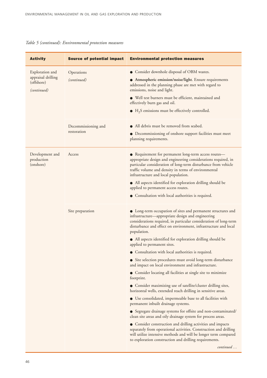| <b>Activity</b>                                                           | <b>Source of potential impact</b>  | <b>Environmental protection measures</b>                                                                                                                                                                                                                                                                                                                                                                                                                                                                                                                                                                                                                                                                                                                                                                                                                                                                                                                                                                                                                                                                                                                                                                                                                                                    |
|---------------------------------------------------------------------------|------------------------------------|---------------------------------------------------------------------------------------------------------------------------------------------------------------------------------------------------------------------------------------------------------------------------------------------------------------------------------------------------------------------------------------------------------------------------------------------------------------------------------------------------------------------------------------------------------------------------------------------------------------------------------------------------------------------------------------------------------------------------------------------------------------------------------------------------------------------------------------------------------------------------------------------------------------------------------------------------------------------------------------------------------------------------------------------------------------------------------------------------------------------------------------------------------------------------------------------------------------------------------------------------------------------------------------------|
| Exploration and<br>appraisal drilling<br>(offshore)<br><i>(continued)</i> | Operations<br>(continued)          | • Consider downhole disposal of OBM wastes.<br>• Atmospheric emission/noise/light. Ensure requirements<br>addressed in the planning phase are met with regard to<br>emissions, noise and light.<br>· Well test burners must be efficient, maintained and<br>effectively burn gas and oil.<br>$\bullet$ H <sub>2</sub> S emissions must be effectively controlled.                                                                                                                                                                                                                                                                                                                                                                                                                                                                                                                                                                                                                                                                                                                                                                                                                                                                                                                           |
|                                                                           | Decommissioning and<br>restoration | • All debris must be removed from seabed.<br>• Decommissioning of onshore support facilities must meet<br>planning requirements.                                                                                                                                                                                                                                                                                                                                                                                                                                                                                                                                                                                                                                                                                                                                                                                                                                                                                                                                                                                                                                                                                                                                                            |
| Development and<br>production<br>(onshore)                                | Access                             | • Requirement for permanent long-term access routes-<br>appropriate design and engineering considerations required, in<br>particular consideration of long-term disturbance from vehicle<br>traffic volume and density in terms of environmental<br>infrastructure and local population.<br>• All aspects identified for exploration drilling should be<br>applied to permanent access routes.<br>• Consultation with local authorities is required.                                                                                                                                                                                                                                                                                                                                                                                                                                                                                                                                                                                                                                                                                                                                                                                                                                        |
|                                                                           | Site preparation                   | • Long-term occupation of sites and permanent structures and<br>infrastructure-appropriate design and engineering<br>considerations required, in particular consideration of long-term<br>disturbance and effect on environment, infrastructure and local<br>population.<br>• All aspects identified for exploration drilling should be<br>applied to permanent sites.<br>• Consultation with local authorities is required.<br>• Site selection procedures must avoid long-term disturbance<br>and impact on local environment and infrastructure.<br>• Consider locating all facilities at single site to minimize<br>footprint.<br>• Consider maximizing use of satellite/cluster drilling sites,<br>horizontal wells, extended reach drilling in sensitive areas.<br>• Use consolidated, impermeable base to all facilities with<br>permanent inbuilt drainage systems.<br>• Segregate drainage systems for offsite and non-contaminated/<br>clean site areas and oily drainage system for process areas.<br>• Consider construction and drilling activities and impacts<br>separately from operational activities. Construction and drilling<br>will utilize intensive methods and will be longer term compared<br>to exploration construction and drilling requirements.<br>continued |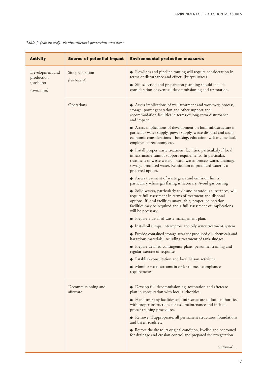| <b>Activity</b>                 | <b>Source of potential impact</b>      | <b>Environmental protection measures</b>                                                                                                                                                                                                                                                   |
|---------------------------------|----------------------------------------|--------------------------------------------------------------------------------------------------------------------------------------------------------------------------------------------------------------------------------------------------------------------------------------------|
| Development and<br>production   | Site preparation<br><i>(continued)</i> | • Flowlines and pipeline routing will require consideration in<br>terms of disturbance and effects (bury/surface).                                                                                                                                                                         |
| (onshore)<br><i>(continued)</i> |                                        | • Site selection and preparation planning should include<br>consideration of eventual decommissioning and restoration.                                                                                                                                                                     |
|                                 | Operations                             | • Assess implications of well treatment and workover, process,<br>storage, power generation and other support and<br>accommodation facilities in terms of long-term disturbance<br>and impact.                                                                                             |
|                                 |                                        | • Assess implications of development on local infrastructure in<br>particular water supply, power supply, waste disposal and socio-<br>economic considerations-housing, education, welfare, medical,<br>employment/economy etc.                                                            |
|                                 |                                        | • Install proper waste treatment facilities, particularly if local<br>infrastructure cannot support requirements. In particular,<br>treatment of waste waters-wash water, process water, drainage,<br>sewage, produced water. Reinjection of produced water is a<br>preferred option.      |
|                                 |                                        | • Assess treatment of waste gases and emission limits,<br>particulary where gas flaring is necessary. Avoid gas venting                                                                                                                                                                    |
|                                 |                                        | • Solid wastes, particularly toxic and hazardous substances, will<br>require full assessment in terms of treatment and disposal<br>options. If local facilities unavailable, proper incineration<br>facilities may be required and a full assessment of implications<br>will be necessary. |
|                                 |                                        | • Prepare a detailed waste management plan.                                                                                                                                                                                                                                                |
|                                 |                                        | • Install oil sumps, interceptors and oily water treatment system.                                                                                                                                                                                                                         |
|                                 |                                        | • Provide contained storage areas for produced oil, chemicals and<br>hazardous materials, including treatment of tank sludges.                                                                                                                                                             |
|                                 |                                        | • Prepare detailed contingency plans, personnel training and<br>regular exercise of response.                                                                                                                                                                                              |
|                                 |                                        | • Establish consultation and local liaison activities.                                                                                                                                                                                                                                     |
|                                 |                                        | • Monitor waste streams in order to meet compliance<br>requirements.                                                                                                                                                                                                                       |
|                                 | Decommissioning and<br>aftercare       | • Develop full decommissioning, restoration and aftercare<br>plan in consultation with local authorities.                                                                                                                                                                                  |
|                                 |                                        | • Hand over any facilities and infrastructure to local authorities<br>with proper instructions for use, maintenance and include<br>proper training procedures.                                                                                                                             |
|                                 |                                        | • Remove, if appropriate, all permanent structures, foundations<br>and bases, roads etc.                                                                                                                                                                                                   |
|                                 |                                        | • Restore the site to its original condition, levelled and contoured<br>for drainage and erosion control and prepared for revegetation.                                                                                                                                                    |
|                                 |                                        | continued                                                                                                                                                                                                                                                                                  |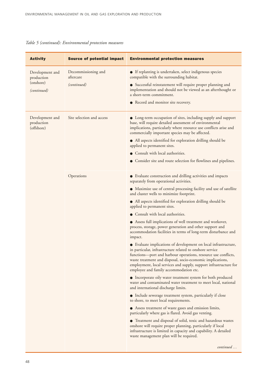| <b>Activity</b>                                                  | <b>Source of potential impact</b>                      | <b>Environmental protection measures</b>                                                                                                                                                                                                                                                                                                                                                                                                                                                                                                                                                                                                                                                                                                                                                                                                                                                                                                                                                                                                                                                                                                                                                                                                                                                                                                                                                                                                                                                                                                                                                       |
|------------------------------------------------------------------|--------------------------------------------------------|------------------------------------------------------------------------------------------------------------------------------------------------------------------------------------------------------------------------------------------------------------------------------------------------------------------------------------------------------------------------------------------------------------------------------------------------------------------------------------------------------------------------------------------------------------------------------------------------------------------------------------------------------------------------------------------------------------------------------------------------------------------------------------------------------------------------------------------------------------------------------------------------------------------------------------------------------------------------------------------------------------------------------------------------------------------------------------------------------------------------------------------------------------------------------------------------------------------------------------------------------------------------------------------------------------------------------------------------------------------------------------------------------------------------------------------------------------------------------------------------------------------------------------------------------------------------------------------------|
| Development and<br>production<br>(onshore)<br><i>(continued)</i> | Decommissioning and<br>aftercare<br><i>(continued)</i> | • If replanting is undertaken, select indigenous species<br>compatible with the surrounding habitat.<br>• Successful reinstatement will require proper planning and<br>implementation and should not be viewed as an afterthought or<br>a short-term commitment.<br>• Record and monitor site recovery.                                                                                                                                                                                                                                                                                                                                                                                                                                                                                                                                                                                                                                                                                                                                                                                                                                                                                                                                                                                                                                                                                                                                                                                                                                                                                        |
| Development and<br>production<br>(offshore)                      | Site selection and access                              | • Long-term occupation of sites, including supply and support<br>base, will require detailed assessment of environmental<br>implications, particularly where resource use conflicts arise and<br>commercially important species may be affected.<br>• All aspects identified for exploration drilling should be<br>applied to permanent sites.<br>Consult with local authorities.<br>• Consider site and route selection for flowlines and pipelines.                                                                                                                                                                                                                                                                                                                                                                                                                                                                                                                                                                                                                                                                                                                                                                                                                                                                                                                                                                                                                                                                                                                                          |
|                                                                  | Operations                                             | • Evaluate construction and drilling activities and impacts<br>separately from operational activities.<br>• Maximize use of central processing facility and use of satellite<br>and cluster wells to minimize footprint.<br>• All aspects identified for exploration drilling should be<br>applied to permanent sites.<br>Consult with local authorities.<br>• Assess full implications of well treatment and workover,<br>process, storage, power generation and other support and<br>accommodation facilities in terms of long-term disturbance and<br>impact.<br>• Evaluate implications of development on local infrastructure,<br>in particular, infrastructure related to onshore service<br>functions-port and harbour operations, resource use conflicts,<br>waste treatment and disposal, socio-economic implications,<br>employment, local services and supply, support infrastructure for<br>employee and family accommodation etc.<br>• Incorporate oily water treatment system for both produced<br>water and contaminated water treatment to meet local, national<br>and international discharge limits.<br>• Include sewerage treatment system, particularly if close<br>to shore, to meet local requirements.<br>• Assess treatment of waste gases and emission limits,<br>particularly where gas is flared. Avoid gas venting.<br>• Treatment and disposal of solid, toxic and hazardous wastes<br>onshore will require proper planning, particularly if local<br>infrastructure is limited in capacity and capability. A detailed<br>waste management plan will be required. |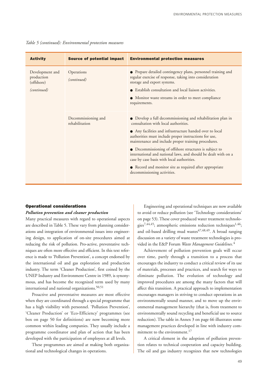| <b>Activity</b>                                                   | <b>Source of potential impact</b>     | <b>Environmental protection measures</b>                                                                                                                                                                                                                                                                                                                                                                                                                                                                                                            |
|-------------------------------------------------------------------|---------------------------------------|-----------------------------------------------------------------------------------------------------------------------------------------------------------------------------------------------------------------------------------------------------------------------------------------------------------------------------------------------------------------------------------------------------------------------------------------------------------------------------------------------------------------------------------------------------|
| Development and<br>production<br>(offshore)<br><i>(continued)</i> | Operations<br><i>(continued)</i>      | • Prepare detailed contingency plans, personnel training and<br>regular exercise of response, taking into consideration<br>storage and export systems.<br>• Establish consultation and local liaison activities.<br>• Monitor waste streams in order to meet compliance<br>requirements.                                                                                                                                                                                                                                                            |
|                                                                   | Decommissioning and<br>rehabilitation | • Develop a full decommissioning and rehabilitation plan in<br>consultation with local authorities.<br>• Any facilities and infrastructure handed over to local<br>authorities must include proper instructions for use,<br>maintenance and include proper training procedures.<br>• Decommissioning of offshore structures is subject to<br>international and national laws, and should be dealt with on a<br>case by case basis with local authorities.<br>• Record and monitor site as required after appropriate<br>decommissioning activities. |

#### Operational considerations

#### *Pollution prevention and cleaner production*

Many practical measures with regard to operational aspects are described in Table 5. These vary from planning considerations and integration of environmental issues into engineering design, to application of on-site procedures aimed at reducing the risk of pollution. Pro-active, preventative techniques are often more effective and efficient. In this text reference is made to 'Pollution Prevention', a concept endorsed by the international oil and gas exploration and production industry. The term 'Cleaner Production', first coined by the UNEP Industry and Environment Centre in 1989, is synonymous, and has become the recognized term used by many international and national organizations.50,51

Proactive and preventative measures are most effective when they are coordinated through a special programme that has a high visibility with personnel. 'Pollution Prevention', 'Cleaner Production' or 'Eco-Efficiency' programmes (see box on page 50 for definitions) are now becoming more common within leading companies. They usually include a programme coordinator and plan of action that has been developed with the participation of employees at all levels.

These programmes are aimed at making both organizational and technological changes in operations.

Engineering and operational techniques are now available to avoid or reduce pollution (see 'Technology considerations' on page 53). These cover produced water treatment technologies<sup>7,44,45</sup>; atmospheric emissions reduction techniques<sup>1,46</sup>; and oil-based drilling mud wastes $47,48,49$ . A broad ranging discussion on a variety of waste treatment technologies is provided in the E&P Forum *Waste Management Guidelines.*<sup>4</sup>

Achievement of pollution prevention goals will occur over time, partly through a transition to a process that encourages the industry to conduct a critical review of its use of materials, processes and practices, and search for ways to eliminate pollution. The evolution of technology and improved procedures are among the many factors that will affect this transition. A practical approach to implementation encourages managers in striving to conduct operations in an environmentally sound manner, and to move up the environmental management hierarchy (that is, from treatment to environmentally sound recycling and beneficial use to source reduction). The table in Annex 3 on page 66 illustrates some management practices developed in line with industry commitment to the environment.<sup>17</sup>

A critical element in the adoption of pollution prevention relates to technical cooperation and capacity building. The oil and gas industry recognizes that new technologies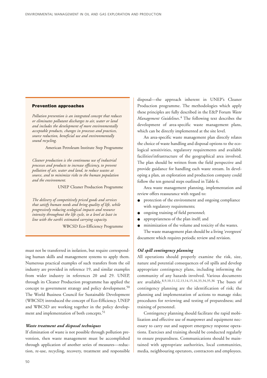#### Prevention approaches

*Pollution prevention is an integrated concept that reduces or eliminates pollutant discharges to air, water or land and includes the development of more environmentally acceptable products, changes in processes and practices, source reduction, beneficial use and environmentally sound recycling.*

American Petroleum Institute Step Programme

*Cleaner production is the continuous use of industrial processes and products to increase efficiency, to prevent pollution of air, water and land, to reduce wastes at source, and to minimize risks to the human population and the environment.*

UNEP Cleaner Production Programme

*The delivery of competitively priced goods and services that satisfy human needs and bring quality of life, while progressively reducing ecological impacts and resource intensity throughout the life cycle, to a level at least in line with the earth's estimated carrying capacity.*

WBCSD Eco-Efficiency Programme

must not be transferred in isolation, but require corresponding human skills and management systems to apply them. Numerous practical examples of such transfers from the oil industry are provided in reference 19, and similar examples from wider industry in references 20 and 29. UNEP, through its Cleaner Production programme has applied the concept to government strategy and policy development.<sup>50</sup> The World Business Council for Sustainable Development (WBCSD) introduced the concept of Eco-Efficiency. UNEP and WBCSD are working together in the policy development and implementation of both concepts.<sup>51</sup>

#### *Waste treatment and disposal techniques*

If elimination of waste is not possible through pollution prevention, then waste management must be accomplished through application of another series of measures—reduction, re-use, recycling, recovery, treatment and responsible disposal—the approach inherent in UNEP's Cleaner Production programme. The methodologies which apply these principles are fully described in the E&P Forum *Waste Management Guidelines*. <sup>4</sup> The following text describes the development of area-specific waste management plans, which can be directly implemented at the site level.

An area-specific waste management plan directly relates the choice of waste handling and disposal options to the ecological sensitivities, regulatory requirements and available facilities/infrastructure of the geographical area involved. The plan should be written from the field perspective and provide guidance for handling each waste stream. In developing a plan, an exploration and production company could follow the ten general steps outlined in Table 6.

Area waste management planning, implementation and review offers reassurance with regard to:

- protection of the environment and ongoing compliance with regulatory requirements;
- ongoing training of field personnel;
- appropriateness of the plan itself; and
- minimization of the volume and toxicity of the wastes. The waste management plan should be a living 'evergreen' document which requires periodic review and revision.

#### *Oil spill contingency planning*

All operations should properly examine the risk, size, nature and potential consequences of oil spills and develop appropriate contingency plans, including informing the community of any hazards involved. Various documents are available.8,9,10,11,12,13,14,15,16,33,34,35,36 The bases of contingency planning are the identification of risk; the planning and implementation of actions to manage risks; procedures for reviewing and testing of preparedness; and training of personnel.

Contingency planning should facilitate the rapid mobilization and effective use of manpower and equipment necessary to carry out and support emergency response operations. Exercises and training should be conducted regularly to ensure preparedness. Communications should be maintained with appropriate authorities, local communities, media, neighbouring operators, contractors and employees.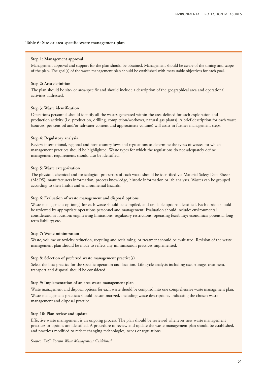#### **Table 6: Site or area-specific waste management plan**

#### **Step 1: Management approval**

Management approval and support for the plan should be obtained. Management should be aware of the timing and scope of the plan. The goal(s) of the waste management plan should be established with measurable objectives for each goal.

#### **Step 2: Area definition**

The plan should be site- or area-specific and should include a description of the geographical area and operational activities addressed.

#### **Step 3: Waste identification**

Operations personnel should identify all the wastes generated within the area defined for each exploration and production activity (i.e. production, drilling, completion/workover, natural gas plants). A brief description for each waste (sources, per cent oil and/or saltwater content and approximate volume) will assist in further management steps.

#### **Step 4: Regulatory analysis**

Review international, regional and host country laws and regulations to determine the types of wastes for which management practices should be highlighted. Waste types for which the regulations do not adequately define management requirements should also be identified.

#### **Step 5: Waste categorization**

The physical, chemical and toxicological properties of each waste should be identified via Material Safety Data Sheets (MSDS), manufacturers information, process knowledge, historic information or lab analyses. Wastes can be grouped according to their health and environmental hazards.

#### **Step 6: Evaluation of waste management and disposal options**

Waste management option(s) for each waste should be compiled, and available options identified. Each option should be reviewed by appropriate operations personnel and management. Evaluation should include: environmental considerations; location; engineering limitations; regulatory restrictions; operating feasibility; economics; potential longterm liability; etc.

#### **Step 7: Waste minimization**

Waste, volume or toxicity reduction, recycling and reclaiming, or treatment should be evaluated. Revision of the waste management plan should be made to reflect any minimization practices implemented.

#### **Step 8: Selection of preferred waste management practice(s)**

Select the best practice for the specific operation and location. Life-cycle analysis including use, storage, treatment, transport and disposal should be considered.

#### **Step 9: Implementation of an area waste management plan**

Waste management and disposal options for each waste should be compiled into one comprehensive waste management plan. Waste management practices should be summarized, including waste descriptions, indicating the chosen waste management and disposal practice.

#### **Step 10: Plan review and update**

Effective waste management is an ongoing process. The plan should be reviewed whenever new waste management practices or options are identified. A procedure to review and update the waste management plan should be established, and practices modified to reflect changing technologies, needs or regulations.

Source: E&P Forum *Waste Management Guidelines* <sup>4</sup>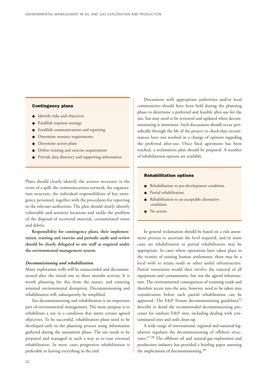#### Contingency plans

- Identify risks and objectives
- Establish response strategy
- Establish communications and reporting
- Determine resource requirements
- Determine action plans
- Define training and exercise requirements
- Provide data directory and supporting information

Plans should clearly identify the actions necessary in the event of a spill: the communications network, the organization structure, the individual responsibilities of key emergency personnel, together with the procedures for reporting to the relevant authorities. The plan should clearly identify vulnerable and sensitive locations and tackle the problem of the disposal of recovered material, contaminated waste and debris.

**Responsibility for contingency plans, their implementation, training and exercise and periodic audit and review should be clearly delegated to site staff as required under the environmental management system.**

#### *Decommissioning and rehabilitation*

Many exploration wells will be unsuccessful and decommissioned after the initial one to three months activity. It is worth planning for this from the outset, and ensuring minimal environmental disruption. Decommissioning and rehabilitation will, subsequently, be simplified.

Site decommissioning and rehabilitation is an important part of environmental management. The main purpose is to rehabilitate a site to a condition that meets certain agreed objectives. To be successful, rehabilitation plans need to be developed early in the planning process using information gathered during the assessment phase. The site needs to be prepared and managed in such a way as to ease eventual rehabilitation. In most cases progressive rehabilitation is preferable to leaving everything to the end.

Discussions with appropriate authorities and/or local communities should have been held during the planning phase to determine a preferred and feasible after-use for the site, but may need to be reviewed and updated when decommissioning is imminent. Such discussions should occur periodically through the life of the project to check that circumstances have not resulted in a change of opinion regarding the preferred after-use. Once final agreement has been reached, a reclamation plan should be prepared. A number of rehabilitation options are available.

#### Rehabilitation options

- Rehabilitation to pre-development condition.
- Partial rehabilitation.
- Rehabilitation to an acceptable alternative condition.
- No action.

In general reclamation should be based on a risk assessment process to ascertain the level required, and in some cases no rehabilitation or partial rehabilitation may be appropriate. In cases where operations have taken place in the vicinity of existing human settlements, there may be a local wish to retain roads or other useful infrastructure. Partial restoration would then involve the removal of all equipment and contaminants, but not the agreed infrastructure. The environmental consequences of retaining roads and therefore access into the area, however, need to be taken into consideration before such partial rehabilitation can be approved. The E&P Forum decommissioning guidelines<sup>52</sup> describe in detail the recommended decommissioning processes for onshore E&P sites, including dealing with contaminated sites and soils clean-up.

A wide range of international, regional and national legislation regulates the decommissioning of offshore structures.37,38 The offshore oil and natural gas exploration and production industry has provided a briefing paper assessing the implications of decommissioning.<sup>38</sup>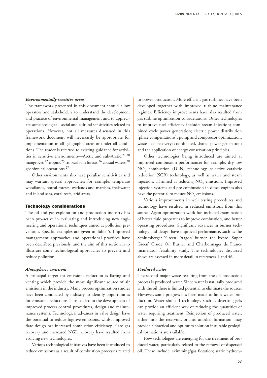#### *Environmentally-sensitive areas*

The framework presented in this document should allow operators and stakeholders to understand the development and practice of environmental management and to appreciate some ecological, social and cultural sensitivities related to operations. However, not all measures discussed in this framework document will necessarily be appropriate for implementation in all geographic areas or under all conditions. The reader is referred to existing guidance for activities in sensitive environments—Arctic and sub-Arctic,  $21,30$ mangroves,  $^{22}$  tropics,  $^{25}$  tropical rain forests,  $^{26}$  coastal waters,  $^{28}$ geophysical operations.27

Other environments also have peculiar sensitivities and may warrant special approaches: for example, temperate woodlands, boreal forests, wetlands and marshes, freshwater and inland seas, coral reefs, arid areas.

#### Technology considerations

The oil and gas exploration and production industry has been pro-active in evaluating and introducing new engineering and operational techniques aimed at pollution prevention. Specific examples are given in Table 5. Improved management approaches and operational practices have been described previously, and the aim of this section is to illustrate some technological approaches to prevent and reduce pollution.

#### *Atmospheric emissions*

A principal target for emissions reduction is flaring and venting which provide the most significant source of air emissions in the industry. Many process optimization studies have been conducted by industry to identify opportunities for emissions reductions. This has led to the development of improved process control procedures, design and maintenance systems. Technological advances in valve design have the potential to reduce fugitive emissions, whilst improved flare design has increased combustion efficiency. Flare gas recovery and increased NGL recovery have resulted from evolving new technologies.

Various technological initiatives have been introduced to reduce emissions as a result of combustion processes related to power production. More efficient gas turbines have been developed together with improved turbine maintenance regimes. Efficiency improvements have also resulted from gas turbine optimization considerations. Other technologies to improve fuel efficiency include: steam injection; combined cycle power generation; electric power distribution (phase compensations); pump and compressor optimization; waste heat recovery; coordinated, shared power generation; and the application of energy conservation principles.

Other technologies being introduced are aimed at improved combustion performance: for example, dry low NO<sub>x</sub> combustion (DLN) technology, selective catalytic reduction (SCR) technology, as well as water and steam injection, all aimed at reducing NO<sub>y</sub> emissions. Improved injection systems and pre-combustion in diesel engines also have the potential to reduce NO<sub>y</sub> emissions.

Various improvements in well testing procedures and technology have resulted in reduced emissions from this source. Again optimization work has included examination of better fluid properties to improve combustion, and better operating procedures. Significant advances in burner technology and design have improved performance, such as the Schlumberger 'Green Dragon' burner, the Expro 'Super Green' Crude Oil Burner and Charbonnages de France incinerator feasibility study. The technologies discussed above are assessed in more detail in references 1 and 46.

#### *Produced water*

The second major waste resulting from the oil production process is produced water. Since water is naturally produced with the oil there is limited potential to eliminate the source. However, some progress has been made to limit water production. Water shut-off technology such as diverting gels can provide an efficient way of reducing the quantities of water requiring treatment. Reinjection of produced water, either into the reservoir, or into another formation, may provide a practical and optimum solution if suitable geological formations are available.

New technologies are emerging for the treatment of produced water, particularly related to the removal of dispersed oil. These include: skimming/gas flotation; static hydrocy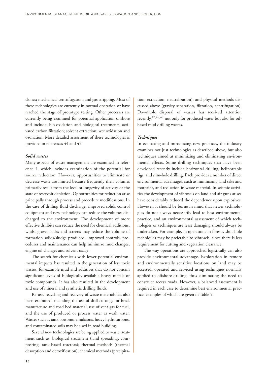clones; mechanical centrifugation; and gas stripping. Most of these technologies are currently in normal operation or have reached the stage of prototype testing. Other processes are currently being examined for potential application onshore and include: bio-oxidation and biological treatments; activated carbon filtration; solvent extraction; wet oxidation and ozonation. More detailed assessment of these technologies is provided in references 44 and 45.

#### *Solid wastes*

Many aspects of waste management are examined in reference 4, which includes examination of the potential for source reduction. However, opportunities to eliminate or decrease waste are limited because frequently their volumes primarily result from the level or longevity of activity or the state of reservoir depletion. Opportunities for reduction arise principally through process and procedure modifications. In the case of drilling fluid discharge, improved solids control equipment and new technology can reduce the volumes discharged to the environment. The development of more effective drillbits can reduce the need for chemical additions, whilst gravel packs and screens may reduce the volume of formation solids/sludge produced. Improved controls, procedures and maintenance can help minimize mud changes, engine oil changes and solvent usage.

The search for chemicals with lower potential environmental impacts has resulted in the generation of less toxic wastes, for example mud and additives that do not contain significant levels of biologically available heavy metals or toxic compounds. It has also resulted in the development and use of mineral and synthetic drilling fluids.

Re-use, recycling and recovery of waste materials has also been examined, including the use of drill cuttings for brick manufacture and road bed material, use of vent gas for fuel, and the use of produced or process water as wash water. Wastes such as tank bottoms, emulsions, heavy hydrocarbons, and contaminated soils may be used in road building.

Several new technologies are being applied to waste treatment such as: biological treatment (land spreading, composting, tank-based reactors); thermal methods (thermal desorption and detoxification); chemical methods (precipitation, extraction; neutralization); and physical methods discussed above (gravity separation, filtration, centrifugation). Downhole disposal of wastes has received attention recently,47,48,49 not only for produced water but also for oilbased mud drilling wastes.

#### *Techniques*

In evaluating and introducing new practices, the industry examines not just technologies as described above, but also techniques aimed at minimizing and eliminating environmental effects. Some drilling techniques that have been developed recently include horizontal drilling, heliportable rigs, and slim-hole drilling. Each provides a number of direct environmental advantages, such as minimizing land take and footprint, and reduction in waste material. In seismic activities the development of vibroseis on land and air guns at sea have considerably reduced the dependence upon explosives. However, it should be borne in mind that newer technologies do not always necessarily lead to best environmental practice, and an environmental assessment of which technologies or techniques are least damaging should always be undertaken. For example, in operations in forests, shot-hole techniques may be preferable to vibroseis, since there is less requirement for cutting and vegetation clearance.

The way operations are approached logistically can also provide environmental advantage. Exploration in remote and environmentally sensitive locations on land may be accessed, operated and serviced using techniques normally applied to offshore drilling, thus eliminating the need to construct access roads. However, a balanced assessment is required in each case to determine best environmental practice, examples of which are given in Table 5.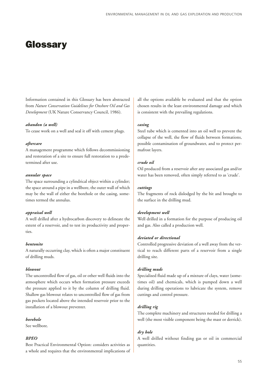### **Glossary**

Information contained in this Glossary has been abstracted from *Nature Conservation Guidelines for Onshore Oil and Gas Development* (UK Nature Conservancy Council, 1986).

#### *abandon (a well)*

To cease work on a well and seal it off with cement plugs.

#### *aftercare*

A management programme which follows decommissioning and restoration of a site to ensure full restoration to a predetermined after use.

#### *annular space*

The space surrounding a cylindrical object within a cylinder; the space around a pipe in a wellbore, the outer wall of which may be the wall of either the borehole or the casing, sometimes termed the annulus.

#### *appraisal well*

A well drilled after a hydrocarbon discovery to delineate the extent of a reservoir, and to test its productivity and properties.

#### *bentonite*

A naturally occurring clay, which is often a major constituent of drilling muds.

#### *blowout*

The uncontrolled flow of gas, oil or other well fluids into the atmosphere which occurs when formation pressure exceeds the pressure applied to it by the column of drilling fluid. Shallow gas blowout relates to uncontrolled flow of gas from gas pockets located above the intended reservoir prior to the installation of a blowout preventer.

#### *borehole*

See wellbore.

#### *BPEO*

Best Practical Environmental Option: considers activities as a whole and requires that the environmental implications of all the options available be evaluated and that the option chosen results in the least environmental damage and which is consistent with the prevailing regulations.

#### *casing*

Steel tube which is cemented into an oil well to prevent the collapse of the well, the flow of fluids between formations, possible contamination of groundwater, and to protect permafrost layers.

#### *crude oil*

Oil produced from a reservoir after any associated gas and/or water has been removed, often simply referred to as 'crude'.

#### *cuttings*

The fragments of rock dislodged by the bit and brought to the surface in the drilling mud.

#### *development well*

Well drilled in a formation for the purpose of producing oil and gas. Also called a production well.

#### *deviated or directional*

Controlled progressive deviation of a well away from the vertical to reach different parts of a reservoir from a single drilling site.

#### *drilling muds*

Specialized fluid made up of a mixture of clays, water (sometimes oil) and chemicals, which is pumped down a well during drilling operations to lubricate the system, remove cuttings and control pressure.

#### *drilling rig*

The complete machinery and structures needed for drilling a well (the most visible component being the mast or derrick).

#### *dry hole*

A well drilled without finding gas or oil in commercial quantities.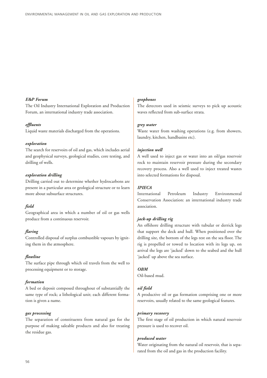#### *E&P Forum*

The Oil Industry International Exploration and Production Forum, an international industry trade association.

#### *effluents*

Liquid waste materials discharged from the operations.

#### *exploration*

The search for reservoirs of oil and gas, which includes aerial and geophysical surveys, geological studies, core testing, and drilling of wells.

#### *exploration drilling*

Drilling carried out to determine whether hydrocarbons are present in a particular area or geological structure or to learn more about subsurface structures.

#### *field*

Geographical area in which a number of oil or gas wells produce from a continuous reservoir.

#### *flaring*

Controlled disposal of surplus combustible vapours by igniting them in the atmosphere.

#### *flowline*

The surface pipe through which oil travels from the well to processing equipment or to storage.

#### *formation*

A bed or deposit composed throughout of substantially the same type of rock; a lithological unit; each different formation is given a name.

#### *gas processing*

The separation of constituents from natural gas for the purpose of making saleable products and also for treating the residue gas.

#### *geophones*

The detectors used in seismic surveys to pick up acoustic waves reflected from sub-surface strata.

#### *grey water*

Waste water from washing operations (e.g. from showers, laundry, kitchen, handbasins etc).

#### *injection well*

A well used to inject gas or water into an oil/gas reservoir rock to maintain reservoir pressure during the secondary recovery process. Also a well used to inject treated wastes into selected formations for disposal.

#### *IPIECA*

International Petroleum Industry Environmental Conservation Association: an international industry trade association.

#### *jack-up drilling rig*

An offshore drilling structure with tubular or derrick legs that support the deck and hull. When positioned over the drilling site, the bottom of the legs rest on the sea floor. The rig is propelled or towed to location with its legs up, on arrival the legs are 'jacked' down to the seabed and the hull 'jacked' up above the sea surface.

#### *OBM*

Oil-based mud.

#### *oil field*

A productive oil or gas formation comprising one or more reservoirs, usually related to the same geological features.

#### *primary recovery*

The first stage of oil production in which natural reservoir pressure is used to recover oil.

#### *produced water*

Water originating from the natural oil reservoir, that is separated from the oil and gas in the production facility.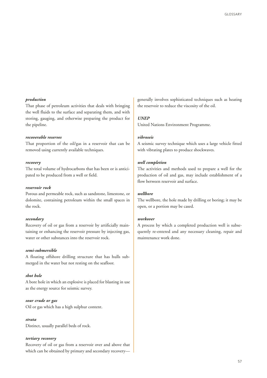#### *production*

That phase of petroleum activities that deals with bringing the well fluids to the surface and separating them, and with storing, gauging, and otherwise preparing the product for the pipeline.

#### *recoverable reserves*

That proportion of the oil/gas in a reservoir that can be removed using currently available techniques.

#### *recovery*

The total volume of hydrocarbons that has been or is anticipated to be produced from a well or field.

#### *reservoir rock*

Porous and permeable rock, such as sandstone, limestone, or dolomite, containing petroleum within the small spaces in the rock.

#### *secondary*

Recovery of oil or gas from a reservoir by artificially maintaining or enhancing the reservoir pressure by injecting gas, water or other substances into the reservoir rock.

#### *semi-submersible*

A floating offshore drilling structure that has hulls submerged in the water but not resting on the seafloor.

#### *shot hole*

A bore hole in which an explosive is placed for blasting in use as the energy source for seismic survey.

#### *sour crude or gas*

Oil or gas which has a high sulphur content.

#### *strata*

Distinct, usually parallel beds of rock.

#### *tertiary recovery*

Recovery of oil or gas from a reservoir over and above that which can be obtained by primary and secondary recoverygenerally involves sophisticated techniques such as heating the reservoir to reduce the viscosity of the oil.

#### *UNEP*

United Nations Environment Programme.

#### *vibroseis*

A seismic survey technique which uses a large vehicle fitted with vibrating plates to produce shockwaves.

#### *well completion*

The activities and methods used to prepare a well for the production of oil and gas, may include establishment of a flow between reservoir and surface.

#### *wellbore*

The wellbore, the hole made by drilling or boring; it may be open, or a portion may be cased.

#### *workover*

A process by which a completed production well is subsequently re-entered and any necessary cleaning, repair and maintenance work done.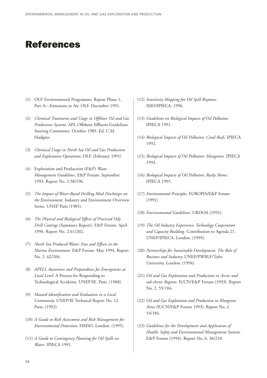### References

- (1) OLF Environmental Programme, Report Phase 1, Part A—Emissions to Air. OLF. December 1991.
- (2) *Chemical Treatments and Usage in Offshore Oil and Gas Production Systems*. API, Offshore Effluent Guidelines Steering Committee. October 1989. Ed. C.M. Hudgins.
- (3) *Chemical Usage in North Sea Oil and Gas Production and Exploration Operations*. OLF. (February 1991)
- (4) Exploration and Production (E&P) *Waste Management Guidelines*. E&P Forum. September 1993. Report No. 2.58/196.
- (5) *The Impact of Water-Based Drilling Mud Discharges on the Environment.* Industry and Environment Overview Series. UNEP Paris (1985).
- (6) *The Physical and Biological Effects of Processed Oily Drill Cuttings* (Summary Report). E&P Forum. April 1996. Report No. 2.61/202.
- (7) *North Sea Produced Water: Fate and Effects in the Marine Environment.* E&P Forum. May 1994. Report No. 2. 62/204.
- (8) *APELL Awareness and Preparedness for Emergencies at Local Level*. A Process for Responding to Technological Accidents. UNEP/IE. Paris. (1988).
- (9) *Hazard Identification and Evaluation in a Local Community.* UNEP/IE Technical Report No. 12. Paris. (1992).
- (10) *A Guide to Risk Assessment and Risk Management for Environmental Protection.* HMSO. London. (1995).
- (11) *A Guide to Contingency Planning for Oil Spills on Water*. IPIECA 1991.
- (12) *Sensitivity Mapping for Oil Spill Response.* IMO/IPIECA. 1996.
- (13) *Guidelines on Biological Impacts of Oil Pollution.* IPIECA 1991.
- (14) *Biological Impacts of Oil Pollution: Coral Reefs.* IPIECA 1992.
- (15) *Biological Impacts of Oil Pollution: Mangroves.* IPIECA 1993.
- (16) *Biological Impacts of Oil Pollution: Rocky Shores.* IPIECA 1995.
- (17) *Environmental Principles.* EUROPIA/E&P Forum (1991).
- (18) *Environmental Guidelines.* UKOOA (1991).
- (19) *The Oil Industry Experience. Technology Cooperation and Capacity Building.* Contribution to Agenda 21. UNEP/IPIECA. London. (1995).
- (20) *Partnerships for Sustainable Development. The Role of Business and Industry.* UNEP/PWBLF/Tufts University. London. (1994).
- (21) *Oil and Gas Exploration and Production in Arctic and sub-Arctic Regions.* IUCN/E&P Forum (1993). Report No. 2. 55/184.
- (22) *Oil and Gas Exploration and Production in Mangrove Areas* (IUCN/E&P Forum 1993). Report No. 2. 54/184.
- (23) *Guidelines for the Development and Application of Health, Safety and Environmental Management Systems.* E&P Forum (1994). Report No. 6. 36/210.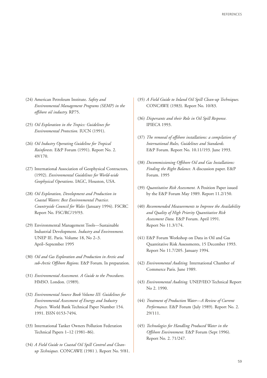- (24) American Petroleum Institute. *Safety and Environmental Management Programs (SEMP) in the offshore oil industry.* RP75.
- (25) *Oil Exploration in the Tropics: Guidelines for Environmental Protection.* IUCN (1991).
- (26) *Oil Industry Operating Guideline for Tropical Rainforests.* E&P Forum (1991). Report No. 2. 49/170.
- (27) International Association of Geophysical Contractors, (1992). *Environmental Guidelines for World-wide Geophysical Operations*. IAGC, Houston, USA.
- (28) *Oil Exploration, Development and Production in Coastal Waters: Best Environmental Practice. Countryside Council for Wales* (January 1994). FSCRC Report No. FSC/RC/19/93.
- (29) Environmental Management Tools—Sustainable Industrial Development. *Industry and Environment.* UNEP IE. Paris. Volume 18, No 2–3. April–September 1995
- (30) *Oil and Gas Exploration and Production in Arctic and sub-Arctic Offshore Regions.* E&P Forum. In preparation.
- (31) *Environmental Assessment. A Guide to the Procedures.* HMSO. London. (1989).
- (32) *Environmental Source Book Volume III: Guidelines for Environmental Assessment of Energy and Industry Projects.* World Bank Technical Paper Number 154. 1991. ISSN 0153-7494.
- (33) International Tanker Owners Pollution Federation Technical Papers 1–12 (1981–86).
- (34) *A Field Guide to Coastal Oil Spill Control and Cleanup Techniques.* CONCAWE (1981 ). Report No. 9/81.
- (35) *A Field Guide to Inland Oil Spill Clean-up Techniques.* CONCAWE (1983). Report No. 10/83.
- (36) *Dispersants and their Role in Oil Spill Response.* IPIECA 1993.
- (37) *The removal of offshore installations: a compilation of International Rules, Guidelines and Standards.* E&P Forum. Report No. 10.11/193. June 1993.
- (38) *Decommissioning Offshore Oil and Gas Installations: Finding the Right Balance.* A discussion paper. E&P Forum. 1995
- (39) *Quantitative Risk Assessment.* A Position Paper issued by the E&P Forum May 1989. Report 11.2/150.
- (40) *Recommended Measurements to Improve the Availability and Quality of High Priority Quantitative Risk Assessment Data.* E&P Forum. April 1991. Report No 11.3/174.
- (41) E&P Forum Workshop on Data in Oil and Gas Quantitative Risk Assessments, 15 December 1993. Report No 11.7/205. January 1994.
- (42) *Environmental Auditing.* International Chamber of Commerce Paris. June 1989.
- (43) *Environmental Auditing.* UNEP/IEO Technical Report No 2. 1990.
- (44) *Treatment of Production Water—A Review of Current Performance.* E&P Forum (July 1989). Report No. 2. 29/111.
- (45) *Technologies for Handling Produced Water in the Offshore Environment.* E&P Forum (Sept 1996). Report No. 2. 71/247.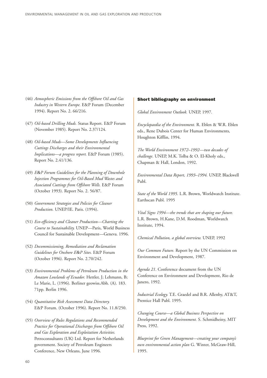- (46) *Atmospheric Emissions from the Offshore Oil and Gas Industry in Western Europe.* E&P Forum (December 1994). Report No. 2. 66/216.
- (47) *Oil-based Drilling Muds.* Status Report. E&P Forum (November 1985). Report No. 2.37/124.
- (48) *Oil-based Muds—Some Developments Influencing Cuttings Discharges and their Environmental Implications—a progress report.* E&P Forum (1985). Report No. 2.41/136.
- (49) *E&P Forum Guidelines for the Planning of Downhole Injection Programmes for Oil-Based Mud Wastes and Associated Cuttings from Offshore Wells.* E&P Forum (October 1993). Report No. 2. 56/87.
- (50) *Government Strategies and Policies for Cleaner Production.* UNEP/IE. Paris. (1994).
- (51) *Eco-efficiency and Cleaner Production—Charting the Course to Sustainability.* UNEP—Paris, World Business Council for Sustainable Development—Geneva. 1996.
- (52) *Decommissioning, Remediation and Reclamation Guidelines for Onshore E&P Sites.* E&P Forum (October 1996). Report No. 2.70/242.
- (53) *Environmental Problems of Petroleum Production in the Amazon Lowlands of Ecuador.* Hettler, J; Lehmann, B; Le Marie, L. (1996). Berliner geowiss.Abh. (A). 183. 71pp. Berlin 1996.
- (54) *Quantitative Risk Assessment Data Directory.* E&P Forum. (October 1996). Report No. 11.8/250.
- (55) *Overview of Rules Regulations and Recommended Practice for Operational Discharges from Offshore Oil and Gas Exploration and Exploitation Activities.* Petroconsultants (UK) Ltd. Report for Netherlands government. Society of Petroleum Engineers Conference, New Orleans, June 1996.

#### Short bibliography on environment

*Global Environment Outlook.* UNEP, 1997.

*Encyclopaedia of the Environment.* R. Eblen & W.R. Eblen eds., Rene Dubois Center for Human Environments, Houghton Kifflin, 1994.

*The World Environment 1972–1992—two decades of challenge*. UNEP, M.K. Tolba & O. El-Kholy eds., Chapman & Hall, London, 1992.

*Environmental Data Report, 1993–1994.* UNEP, Blackwell Publ.

*State of the World 1995.* L.R. Brown, Worldwatch Institute. Earthscan Publ. 1995

*Vital Signs 1994—the trends that are shaping our future.* L.R. Brown, H.Kane, D.M. Roodman, Worldwatch Institute, 1994.

*Chemical Pollution, a global overview.* UNEP, 1992

*Our Common Future.* Report by the UN Commission on Environment and Development, 1987.

*Agenda 21*. Conference document from the UN Conference on Environment and Development, Rio de Janero, 1992.

*Industrial Ecology.* T.E. Graedel and B.R. Allenby, AT&T, Prentice Hall Publ. 1995.

*Changing Course—a Global Business Perspective on Development and the Environment.* S. Schmidheiny, MIT Press, 1992.

*Blueprint for Green Management—creating your company's own environmental action plan* G. Winter, McGraw-Hill, 1995.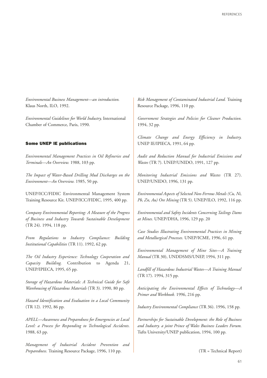*Environmental Business Management—an introduction.* Klaus North, ILO, 1992.

*Environmental Guidelines for World Industry,* International Chamber of Commerce, Paris, 1990.

#### Some UNEP IE publications

*Environmental Management Practices in Oil Refineries and Terminals—An Overview.* 1988, 103 pp.

*The Impact of Water-Based Drilling Mud Discharges on the Environment—An Overview.* 1985, 50 pp.

UNEP/ICC/FIDIC Environmental Management System Training Resource Kit. UNEP/ICC/FIDIC, 1995, 400 pp.

*Company Environmental Reporting: A Measure of the Progress of Business and Industry Towards Sustainable Development* (TR 24). 1994, 118 pp.

*From Regulations to Industry Compliance: Building Institutional Capabilities* (TR 11). 1992, 62 pp.

*The Oil Industry Experience: Technology Cooperation and Capacity Building.* Contribution to Agenda 21, UNEP/IPIECA, 1995, 65 pp.

*Storage of Hazardous Materials: A Technical Guide for Safe Warehousing of Hazardous Materials* (TR 3). 1990, 80 pp.

*Hazard Identification and Evaluation in a Local Community* (TR 12). 1992, 86 pp.

*APELL—Awareness and Preparedness for Emergencies at Local Level: a Process for Responding to Technological Accidents.* 1988, 63 pp.

*Management of Industrial Accident Prevention and Preparedness.* Training Resource Package, 1996, 110 pp.

*Risk Management of Contaminated Industrial Land.* Training Resource Package, 1996, 110 pp.

*Government Strategies and Policies for Cleaner Production.* 1994, 32 pp.

*Climate Change and Energy Efficiency in Industry.* UNEP IE/IPIECA, 1991, 64 pp.

*Audit and Reduction Manual for Industrial Emissions and Wastes* (TR 7). UNEP/UNIDO, 1991, 127 pp.

*Monitoring Industrial Emissions and Wastes* (TR 27). UNEP/UNIDO, 1996, 131 pp.

*Environmental Aspects of Selected Non-Ferrous Metals (Cu, Ni, Pb, Zn, Au) Ore Mining* (TR 5). UNEP/ILO, 1992, 116 pp.

*Environmental and Safety Incidents Concerning Tailings Dams at Mines.* UNEP/DHA, 1996, 129 pp. 20

*Case Studies Illustrating Environmental Practices in Mining and Metallurgical Processes.* UNEP/ICME, 1996, 61 pp.

*Environmental Management of Mine Sites—A Training Manual* (TR 30), UNDDSMS/UNEP, 1994, 311 pp.

*Landfill of Hazardous Industrial Wastes—A Training Manual* (TR 17). 1994, 315 pp.

*Anticipating the Environmental Effects of Technology—A Primer and Workbook.* 1996, 216 pp.

*Industry Environmental Compliance* (TR 36). 1996, 158 pp.

*Partnerships for Sustainable Development: the Role of Business and Industry. a joint Prince of Wales Business Leaders Forum.* Tufts University/UNEP publication, 1994, 100 pp.

(TR = Technical Report)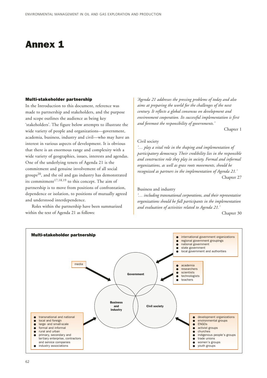### Annex 1

#### Multi-stakeholder partnership

In the Introduction to this document, reference was made to partnership and stakeholders, and the purpose and scope outlines the audience as being key 'stakeholders'. The figure below attempts to illustrate the wide variety of people and organizations—government, academia, business, industry and civil—who may have an interest in various aspects of development. It is obvious that there is an enormous range and complexity with a wide variety of geographies, issues, interests and agendas. One of the underlying tenets of Agenda 21 is the commitment and genuine involvement of all social groups20, and the oil and gas industry has demonstrated its commitment<sup>17,18,19</sup> to this concept. The aim of partnership is to move from positions of confrontation, dependence or isolation, to positions of mutually agreed and understood interdependence.

Roles within the partnership have been summarized within the text of Agenda 21 as follows:

*'Agenda 21 addresses the pressing problems of today and also aims at preparing the world for the challenges of the next century. It reflects a global consensus on development and environment cooperation. Its successful implementation is first and foremost the responsibility of governments.'*

Chapter 1

#### Civil society

*'… play a vital role in the shaping and implementation of participatory democracy. Their credibility lies in the responsible and constructive role they play in society. Formal and informal organizations, as well as grass roots movements, should be recognized as partners in the implementation of Agenda 21.'* Chapter 27

Business and industry

*'… including transnational corporations, and their representative organizations should be full participants in the implementation and evaluation of activities related to Agenda 21.'*

Chapter 30

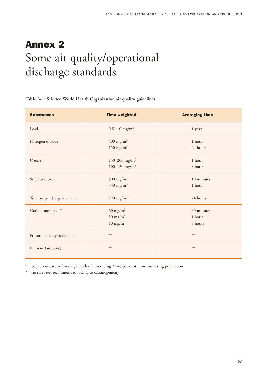## Annex 2 Some air quality/operational discharge standards

**Table A-1: Selected World Health Organization air quality guidelines**

| <b>Substances</b>            | <b>Time-weighted</b>                                      | <b>Averaging time</b>           |
|------------------------------|-----------------------------------------------------------|---------------------------------|
| Lead                         | $0.5 - 1.0$ mg/m <sup>3</sup>                             | 1 year                          |
| Nitrogen dioxide             | $400 \text{ mg/m}^3$<br>150 mg/m $3$                      | 1 hour<br>24 hours              |
| Ozone                        | 150-200 mg/m <sup>3</sup><br>100-120 mg/m <sup>3</sup>    | 1 hour<br>8 hours               |
| Sulphur dioxide              | 500 mg/m $3$<br>350 mg/m $3$                              | 10 minutes<br>1 hour            |
| Total suspended particulates | 120 mg/m $3$                                              | 24 hours                        |
| Carbon monoxide*             | 60 mg/m $3$<br>$30 \text{ mg/m}^3$<br>$10 \text{ mg/m}^3$ | 30 minutes<br>1 hour<br>8 hours |
| Polyaromatic hydrocarbons    | $**$                                                      | $**$                            |
| Benzene (airborne)           | $**$                                                      | $**$                            |

\* to prevent carboxyhaemoglobin levels exceeding 2.5–3 per cent in non-smoking population

\*\* no safe level recommended, owing to carcinogenicity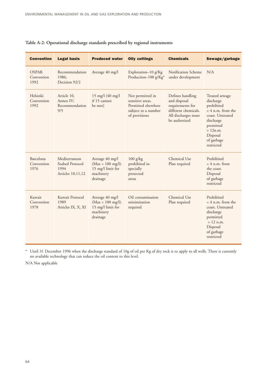| <b>Convention</b>                  | <b>Legal basis</b>                                            | <b>Produced water</b>                                                                | <b>Oily cuttings</b>                                                                                | <b>Chemicals</b>                                                                                                     | Sewage/garbage                                                                                                                                                   |
|------------------------------------|---------------------------------------------------------------|--------------------------------------------------------------------------------------|-----------------------------------------------------------------------------------------------------|----------------------------------------------------------------------------------------------------------------------|------------------------------------------------------------------------------------------------------------------------------------------------------------------|
| <b>OSPAR</b><br>Convention<br>1992 | Recommendation<br>1986:<br>Decision 92/2                      | Average 40 mg/l                                                                      | Exploration-10 g/Kg<br>Production-100 g/Kg*                                                         | Notification Scheme<br>under development                                                                             | N/A                                                                                                                                                              |
| Helsinki<br>Convention<br>1992     | Article 10,<br>Annex IV;<br>Recommendation<br>9/5             | 15 mg/l (40 mg/l<br>if 15 cannot<br>be met)                                          | Not permitted in<br>sensitive areas.<br>Permitted elsewhere<br>subject to a number<br>of provisions | Defines handling<br>and disposal<br>requirements for<br>different chemicals.<br>All discharges must<br>be authorized | Treated sewage<br>discharge<br>prohibited<br>< 4 n.m. from the<br>coast. Untreated<br>discharge<br>permitted<br>> 12n.m.<br>Disposal<br>of garbage<br>restricted |
| Barcelona<br>Convention<br>1976    | Mediterranean<br>Seabed Protocol<br>1994<br>Articles 10,11,12 | Average 40 mg/l<br>$(Max < 100$ mg/l).<br>15 mg/l limit for<br>machinery<br>drainage | $100$ g/kg<br>prohibited in<br>specially<br>protected<br>areas                                      | Chemical Use<br>Plan required                                                                                        | Prohibited<br>$< 4$ n.m. from<br>the coast.<br>Disposal<br>of garbage<br>restricted                                                                              |
| Kuwait<br>Convention<br>1978       | Kuwait Protocol<br>1989<br>Articles IX, X, XI                 | Average 40 mg/l<br>$(Max < 100$ mg/l).<br>15 mg/l limit for<br>machinery<br>drainage | Oil contamination<br>minimization<br>required                                                       | Chemical Use<br>Plan required                                                                                        | Prohibited<br>$<$ 4 n.m. from the<br>coast. Untreated<br>discharge<br>permitted<br>$> 12$ n.m.<br>Disposal<br>of garbage<br>restricted                           |

#### **Table A-2: Operational discharge standards prescribed by regional instruments**

\* Until 31 December 1996 when the discharge standard of 10g of oil per Kg of dry rock is to apply to all wells. There is currently no available technology that can reduce the oil content to this level.

N/A Not applicable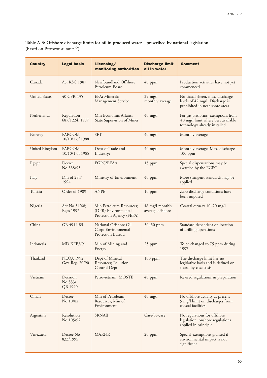**Table A-3: Offshore discharge limits for oil in produced water—prescribed by national legislation**  (based on Petroconsultants<sup>55</sup>)

| <b>Country</b>       | <b>Legal basis</b>                   | Licensing/<br>monitoring authorities                                        | <b>Discharge limit</b><br>oil in water | <b>Comment</b>                                                                                           |  |
|----------------------|--------------------------------------|-----------------------------------------------------------------------------|----------------------------------------|----------------------------------------------------------------------------------------------------------|--|
| Canada               | <b>Act RSC 1987</b>                  | Newfoundland Offshore<br>Petroleum Board                                    | 40 ppm                                 | Production activities have not yet<br>commenced                                                          |  |
| <b>United States</b> | 40 CFR 435                           | EPA; Minerals<br>Management Service                                         | $29$ mg/l<br>monthly average           | No visual sheen, max. discharge<br>levels of 42 mg/l. Discharge is<br>prohibited in near-shore areas     |  |
| Netherlands          | Regulation<br>687/1224, 1987         | Min Economic Affairs;<br>State Supervision of Mines                         | $40$ mg/l                              | For gas platforms, exemptions from<br>40 mg/l limit where best available<br>technology already installed |  |
| Norway               | <b>PARCOM</b><br>10/10/1 of 1988     | <b>SFT</b>                                                                  | $40$ mg/l                              | Monthly average                                                                                          |  |
| United Kingdom       | PARCOM<br>10/10/1 of 1988            | Dept of Trade and<br>Industry;                                              | $40$ mg/l                              | Monthly average. Max. discharge<br>$100$ ppm                                                             |  |
| Egypt                | Decree<br>No 338/95                  | EGPC/EEAA                                                                   | 15 ppm                                 | Special dispensations may be<br>awarded by the EGPC                                                      |  |
| Italy                | Dm of 28.7<br>1994                   | Ministry of Environment                                                     | 40 ppm                                 | More stringent standards may be<br>applied                                                               |  |
| Tunisia              | Order of 1989                        | <b>ANPE</b>                                                                 | 10 ppm                                 | Zero discharge conditions have<br>been imposed                                                           |  |
| Nigeria              | Act No 34/68;<br><b>Regs 1992</b>    | Min Petroleum Resources;<br>(DPR) Environmental<br>Protection Agency (FEPA) | 48 mg/l monthly<br>average offshore    | Coastal estuary 10-20 mg/l                                                                               |  |
| China                | GB 4914-85                           | National Offshore Oil<br>Corp; Environmental<br><b>Protection Bureau</b>    | 30-50 ppm                              | Standard dependent on location<br>of drilling operations                                                 |  |
| Indonesia            | MD KEP3/91                           | Min of Mining and<br>Energy                                                 | 25 ppm                                 | To be changed to 75 ppm during<br>1997                                                                   |  |
| Thailand             | <b>NEQA 1992;</b><br>Gov. Reg. 20/90 | Dept of Mineral<br>Resources; Pollution<br>Control Dept                     | 100 ppm                                | The discharge limit has no<br>legislative basis and is defined on<br>a case-by-case basis                |  |
| Vietnam              | Decision<br>No 333/<br>QB 1990       | Petrovietnam, MOSTE                                                         | $40$ ppm                               | Revised regulations in preparation                                                                       |  |
| Oman                 | Decree<br>No 10/82                   | Min of Petroleum<br>Resources; Min of<br>Environment                        | $40$ mg/l                              | No offshore activity at present<br>5 mg/l limit on discharges from<br>coastal facilities                 |  |
| Argentina            | Resolution<br>No 105/92              | <b>SRNAII</b>                                                               | Case-by-case                           | No regulations for offshore<br>legislation, onshore regulations<br>applied in principle                  |  |
| Venezuela            | Decree No<br>833/1995                | <b>MARNR</b>                                                                | 20 ppm                                 | Special exemptions granted if<br>environmental impact is not<br>significant                              |  |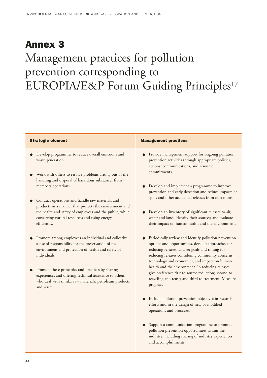# Annex 3 Management practices for pollution prevention corresponding to EUROPIA/E&P Forum Guiding Principles<sup>17</sup>

| <b>Strategic element</b>                                                                                                                                                              | <b>Management practices</b>                                                                                                                                                                                                                                         |  |  |
|---------------------------------------------------------------------------------------------------------------------------------------------------------------------------------------|---------------------------------------------------------------------------------------------------------------------------------------------------------------------------------------------------------------------------------------------------------------------|--|--|
| Develop programmes to reduce overall emissions and<br>waste generation.                                                                                                               | Provide management support for ongoing pollution<br>prevention activities through appropriate policies,<br>actions, communications, and resource                                                                                                                    |  |  |
| Work with others to resolve problems arising out of the<br>handling and disposal of hazardous substances from<br>members operations.                                                  | commitments.<br>Develop and implement a programme to improve                                                                                                                                                                                                        |  |  |
| Conduct operations and handle raw materials and                                                                                                                                       | prevention and early detection and reduce impacts of<br>spills and other accidental releases from operations.                                                                                                                                                       |  |  |
| products in a manner that protects the environment and<br>the health and safety of employees and the public, while<br>conserving natural resources and using energy<br>efficiently.   | Develop an inventory of significant releases to air,<br>water and land; identify their sources; and evaluate<br>their impact on human health and the environment.                                                                                                   |  |  |
| Promote among employees an individual and collective<br>sense of responsibility for the preservation of the<br>environment and protection of health and safety of<br>individuals.     | Periodically review and identify pollution prevention<br>options and opportunities, develop approaches for<br>reducing releases, and set goals and timing for<br>reducing releases considering community concerns,<br>technology and economics, and impact on human |  |  |
| Promote these principles and practices by sharing<br>experiences and offering technical assistance to others<br>who deal with similar raw materials, petroleum products<br>and waste. | health and the environment. In reducing releases,<br>give preference first to source reduction; second to<br>recycling and reuse; and third to treatment. Measure<br>progress.                                                                                      |  |  |
|                                                                                                                                                                                       | Include pollution prevention objectives in research<br>efforts and in the design of new or modified<br>operations and processes.                                                                                                                                    |  |  |
|                                                                                                                                                                                       | • Support a communication programme to promote                                                                                                                                                                                                                      |  |  |

pollution prevention opportunities within the industry, including sharing of industry experiences and accomplishments.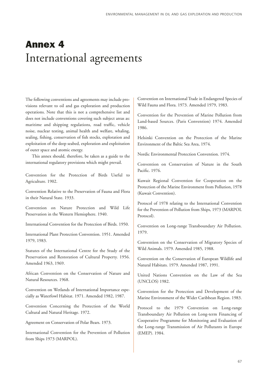## Annex 4 International agreements

The following conventions and agreements may include provisions relevant to oil and gas exploration and production operations. Note that this is not a comprehensive list and does not include conventions covering such subject areas as: maritime and shipping regulations, road traffic, vehicle noise, nuclear testing, animal health and welfare, whaling, sealing, fishing, conservation of fish stocks, exploration and exploitation of the deep seabed, exploration and exploitation of outer space and atomic energy.

This annex should, therefore, be taken as a guide to the international regulatory provisions which might prevail.

Convention for the Protection of Birds Useful to Agriculture. 1902.

Convention Relative to the Preservation of Fauna and Flora in their Natural State. 1933.

Convention on Nature Protection and Wild Life Preservation in the Western Hemisphere. 1940.

International Convention for the Protection of Birds. 1950.

International Plant Protection Convention. 1951. Amended 1979, 1983.

Statutes of the International Centre for the Study of the Preservation and Restoration of Cultural Property. 1956. Amended 1963, 1969.

African Convention on the Conservation of Nature and Natural Resources. 1968.

Convention on Wetlands of International Importance especially as Waterfowl Habitat. 1971. Amended 1982, 1987.

Convention Concerning the Protection of the World Cultural and Natural Heritage. 1972.

Agreement on Conservation of Polar Bears. 1973.

International Convention for the Prevention of Pollution from Ships 1973 (MARPOL).

Convention on International Trade in Endangered Species of Wild Fauna and Flora. 1973. Amended 1979, 1983.

Convention for the Prevention of Marine Pollution from Land-based Sources. (Paris Convention) 1974. Amended 1986.

Helsinki Convention on the Protection of the Marine Environment of the Baltic Sea Area, 1974.

Nordic Environmental Protection Convention. 1974.

Convention on Conservation of Nature in the South Pacific. 1976.

Kuwait Regional Convention for Cooperation on the Protection of the Marine Environment from Pollution, 1978 (Kuwait Convention).

Protocol of 1978 relating to the International Convention for the Prevention of Pollution from Ships, 1973 (MARPOL Protocol).

Convention on Long-range Transboundary Air Pollution. 1979.

Convention on the Conservation of Migratory Species of Wild Animals. 1979. Amended 1985, 1988.

Convention on the Conservation of European Wildlife and Natural Habitats. 1979. Amended 1987, 1991.

United Nations Convention on the Law of the Sea (UNCLOS) 1982.

Convention for the Protection and Development of the Marine Environment of the Wider Caribbean Region. 1983.

Protocol to the 1979 Convention on Long-range Transboundary Air Pollution on Long-term Financing of Cooperative Programme for Monitoring and Evaluation of the Long-range Transmission of Air Pollutants in Europe (EMEP). 1984.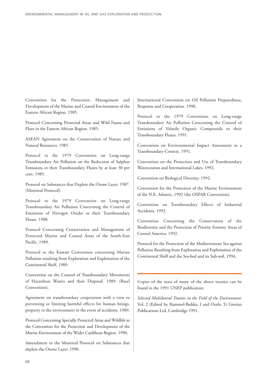Convention for the Protection, Management and Development of the Marine and Coastal Environment of the Eastern African Region. 1985.

Protocol Concerning Protected Areas and Wild Fauna and Flora in the Eastern African Region. 1985.

ASEAN Agreement on the Conservation of Nature and Natural Resources. 1985.

Protocol to the 1979 Convention on Long-range Transboundary Air Pollution on the Reduction of Sulphur Emissions or their Transboundary Fluxes by at least 30 per cent. 1985.

Protocol on Substances that Deplete the Ozone Layer. 1987. (Montreal Protocol).

Protocol to the 1979 Convention on Long-range Transboundary Air Pollution Concerning the Control of Emissions of Nitrogen Oxides or their Transboundary Fluxes. 1988.

Protocol Concerning Conservation and Management of Protected Marine and Coastal Areas of the South-East Pacific. 1989.

Protocol to the Kuwait Convention concerning Marine Pollution resulting from Exploration and Exploitation of the Continental Shelf, 1989.

Convention on the Control of Transboundary Movements of Hazardous Wastes and their Disposal. 1989. (Basel Convention).

Agreement on transboundary cooperation with a view to preventing or limiting harmful effects for human beings, property or the environment in the event of accidents. 1989.

Protocol Concerning Specially Protected Areas and Wildlife to the Convention for the Protection and Development of the Marine Environment of the Wider Caribbean Region. 1990.

Amendment to the Montreal Protocol on Substances that deplete the Ozone Layer. 1990.

International Convention on Oil Pollution Preparedness, Response and Cooperation. 1990.

Protocol to the 1979 Convention on Long-range Transboundary Air Pollution Concerning the Control of Emissions of Volatile Organic Compounds or their Transboundary Fluxes. 1991.

Convention on Environmental Impact Assessment in a Transboundary Context. 1991.

Convention on the Protection and Use of Transboundary Watercourses and International Lakes. 1992.

Convention on Biological Diversity. 1992.

Convention for the Protection of the Marine Environment of the N.E. Atlantic, 1992 (the OSPAR Convention).

Convention on Transboundary Effects of Industrial Accidents. 1992.

Convention Concerning the Conservation of the Biodiversity and the Protection of Priority Forestry Areas of Central America. 1992.

Protocol for the Protection of the Mediterranean Sea against Pollution Resulting from Exploration and Exploitation of the Continental Shelf and the Sea-bed and its Sub-soil, 1994.

Copies of the texts of many of the above treaties can be found in the 1991 UNEP publication:

*Selected Multilateral Treaties in the Field of the Environment* Vol. 2 (Edited by Rummel-Bulska, I and Osafo, S) Grotius Publications Ltd, Cambridge 1991.